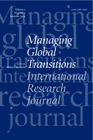$158N$   $1581 - 6311$ 

Managing

Transitions

Research

ournal

UIT DE

*eInternational* 

Global

Volume<sub>7</sub> Number 2 Summer 2009

EDITOR<br>Boštjan Antončič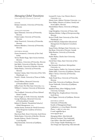# *Managing Global Transitions*

*International Research Journal*

editor Boštjan Antončič, University of Primorska, *Slovenia* associate editors Egon Žižmond, *University of Primorska, Slovenia* Dušan Lesjak, *University of Primorska, Slovenia* Anita Trnavčevič, University of Primorska, *Slovenia* Roberto Biloslavo, *University of Primorska, Slovenia* editorial board Zoran Avramovic,´ *University of Novi Sad, Serbia* Terrice Bassler Koga, *Open Society Institute, Slovenia* Cene Bavec, *University of Primorska, Slovenia* Jani Bekő, University of Maribor, Slovenia Vito Bobek, *University of Maribor, Slovenia* Štefan Bojnec, *University of Primorska, Slovenia* Suzanne Catana, *State University of New York, Plattsburgh,* usa David L. Deeds, *University of Texas at Dallas,* usa David Dibbon, *Memorial University of Newfoundland,* Canada Jeffrey Ford, *The Ohio State University,* usa William C. Gartner, *University of Minnesota,* usa Tim Goddard, *University of Prince Edward Island,* Canada Noel Gough, *La Trobe University,* Australia George Hickman, *Memorial University of Newfoundland, Canada* Robert D. Hisrich, *Thunderbird School of Global Management,* usa András Inotai, *Institute for World Economics of the Hungarian Academy of Sciences, Hungary* Hun Joon Park, *Yonsei University, South Korea* Štefan Kajzer, *University of Maribor, Slovenia* Jaroslav Kalous, *Charles University, Czech Republic* Maja Konečnik, University of Ljubljana, *Slovenia*

Leonard H. Lynn, *Case Western Reserve University,* usa Monty Lynn, *Abilene Christian University,* usa Neva Maher, *Ministry of Labour, Family and Social Affairs, Slovenia* Massimiliano Marzo, *University of Bologna, Italy* Luigi Menghini, *University of Trieste, Italy* Marjana Merkac,ˇ *College of Entrepreneurship, Slovenia* Kevin O'Neill, *State University of New York, Plattsburgh,* usa David Oldroyd, *Independent Educational Management Development Consultant, Poland* Susan Printy, *Michigan State University,* usa Jim Ryan, *University of Toronto, Canada* Mitja Ruzzier, *University of Primorska, Slovenia* Hazbo Skoko, *Charles Sturt University, Australia* David Starr-Glass, *State University of New York,* usa Ian Stronach, *Manchester Metropolitan University,* uk Ciaran Sugrue, *Dublin City University, Ireland* Zlatko Šabic,ˇ *University of Ljubljana, Slovenia* Mitja I. Tavčar, University of Primorska, *Slovenia* Nada Trunk Širca, *University of Primorska, Slovenia* Irena Vida, *University of Ljubljana, Slovenia* Zvone Vodovnik, *University of Ljubljana, Slovenia* Manfred Weiss, *Johan Wolfgang Goethe University,* Germany Min-Bong Yoo, *Sungkyunkwan University, South Korea* Pavel Zgaga, *University of Ljubljana, Slovenia* editorial office University of Primorska Faculty of Management Koper Cankarjeva 5, si-6104 Koper, Slovenia *Phone:* ++386 (0) 5 610 2021 *E-mail:* mgt@fm-kp.si *www.mgt.fm-kp.si Managing Editor:* Alen Ježovnik *Editorial Assistant:* Tina Andrejašicˇ *Copy Editor:* Alan McConnell-Duff *Cover Design:* Studio Marketing jwt *Text Design and Typesetting:* Alen Ježovnik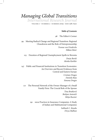# *Managing Global Transitions International Research Journal*

VOLUME  $7 \cdot$  NUMBER 2  $\cdot$  SUMMER 2009  $\cdot$  ISSN 1581-6311

#### *Table of Contents*

98 The Editor's Corner

99 Meeting Radical Change and Regional Transition: Regional Closedowns and the Role of Entrepreneurship *Yvonne von Friedrichs Håkan Boter*

123 Duration of Regional Unemployment Spells in Slovenia *Darja Boršiˇc Alenka Kavkler*

147 Public and Financial Institutions in Transition Economies: An Overview and Recent Evidences from Central and Eastern Europe

> *Cristian Dragos Daniela Beju Simona Dragos*

171 The Personal Network of the Owner-Manager of a Small Family Firm: The Crucial Role of the Spouse

> *Tina Bratkoviˇc Boštjan Antonˇciˇc Mitja Ruzzier*

191 **HRM Practices in Insurance Companies: A Study** of Indian and Multinational Companies *Subhash C. Kundu*

*Divya Malhan*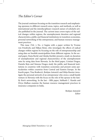# *The Editor's Corner*

The journal continues focusing on the transition research and emphasizing openness to different research areas, topics, and methods, as well as international and the interdisciplinary research nature of scholarly articles published in the journal. The current issue covers topics of the radical changes within regions, the unemployment duration and regional characteristics, public and financial institutions in transition economies, personal networking of the entrepreneur, and human resource management practices.

This issue (Vol. 7, No. 2) begins with a paper written by Yvonne von Friedrichs and Håkan Boter, who investigate the effects of radical changes within regions by focusing on the role of entrepreneurship and using data on Swedish municipalities from different regions. In the second paper, Darja Boršič and Alenka Kavkler present a study on duration of unemployment and regional characteristics of the unemployment rates by using data from Slovenia. In the third paper, Cristian Dragos, Daniela Beju and Simona Dragos study the public and financial institutions in countries with transition economies and present some particularities within countries from Central and Eastern Europe. In the fourth paper, Tina Bratkovič, Boštjan Antončič and Mitja Ruzzier investigate the personal network of an entrepreneur who owns a small family venture in Slovenia with the focus on the role of the spouse in the family firm's networking. In the last – fifth paper, Subhash C. Kundu and Divya Malhan examine the human resource management practices in insurance companies in India.

> Boštjan Antončič *Editor*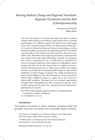# *Meeting Radical Change and Regional Transition: Regional Closedowns and the Role of Entrepreneurship*

Yvonne von Friedrichs Håkan Boter

The aim of this paper is to describe and analyze the effects of radical changes within regions by providing an empirical base from 12 Swedish municipalities from different regions. The specific focus of the paper is the role of entrepreneurship, both as an opportunity-seeking activity in order to find and develop new business undertakings, as well as entrepreneurship as a perspective for supporting activities in the public or private spheres. The results are based on interviews and surveys, secondary data, information from regional governments, municipal websites and also from other public information channels. Two questions were raised in analysing the case: (1) What types of contextual factors are of strategic importance when regions are challenged by radical change, and what role do these factors have in a regional restructuring and development process? (2) What types of policy and support measures are productive for entrepreneurial activities in regions when adaptation to radical change is required? The results presented by the study provide insight into how the development of local economies is affected when conditions change in a region due to the closure of a major public workplace. The paper also tries to present opportunities through which municipalities are able to prepare for and take action to help entrepreneurial activity face ongoing structural change and a globalized local economy.

*Key Words:* radical change, regional transition, entrepreneurship,

restructure, strategies, closedowns jel *Classification:* l26, r11

#### **Introduction**

The business environment is always changing. Sometimes slowly and gradually, other times very quickly and, occasionally, almost revolution-

*Dr Yvonne von Friedrichs is an Assistant Professor in the Department of Social Sciences, Mid Sweden University, Sweden.*

*Dr Håkan Boter is a Professor at the Umeå School of Business and Economics, Umeå University, Sweden.*

*Managing Global Transitions* 7 (2): 99–122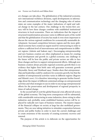ary changes can take place. The globalization of the industrial economy, new international workforce divisions, rapid developments in information and communication technology and the changing roles of nation states are some examples of the major indications of rapid and radical change in the last century. One challenge in the twenty-first century will be how these changes combine with established institutional structures in local economies. There are indications that the impact of structural transformation processes varies in different parts of the world and that the globalization of society has made it even more important to discuss the various regional conditions for economically sustainable development. Increased competition between regions and the more globalised economy have created an urgent need for restructuring in order to achieve a sufficient level of innovativeness and competitiveness in different regions (Asheim and Isaksen 1997). Encouraging entrepreneurship and new business creation are often emphasized as means for creating local development and growth in a global economy; one challenge in the future will be how the public and private sectors are able to face these changes and how to support entrepreneurial efforts. Although new business creation always precedes regional economic growth there is no evidence that higher firm birth rates will guarantee economic growth (Reynolds, Storey and Westhead 1994). Studies show that entrepreneurship and leadership could be catalysers for economic growth, but that the number of entrepreneurial activities varies in different regions (Bygrave and Minniti 2000). It is therefore interesting to generate further knowledge about the impact of different contextual settings on entrepreneurial activities and what strategies to use in order to encourage entrepreneurial efforts for the preservation and development of regional prosperity in times of radical change.

In the second half of 2008 the global financial crisis affected all sectors of the global economy. The long-term consequences will be substantial, with considerable restructuring in some industries, down-sizing in other industries and, probably, some established business sectors will be replaced by radically new types of business ventures. The massive impact of the financial collapse on society at large has also mobilized governments. They are now taking initiatives to stimulate cooperation between private and public bodies in order to meet the current challenges and to create awareness of the necessity of creating economic recovery and renewal.

The purpose of this article is to elaborate on the opportunities for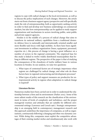regions to cope with radical changes in the local environment, as well as to discuss the policy implications of such changes. Moreover, the article starts out from a business support agency perspective and will specifically study the role of entrepreneurship, both as opportunity-seeking activity in order to find and develop new business undertakings on commercial markets, but also how entrepreneurship can be applied to study support organizations and mechanisms in sectors involving public, semi-public and private support agencies.

Sweden is in the middle of a process of radical change that aims to transform its national military capabilities from a traditional domestic defence force to nationally and internationally oriented smaller and more flexible task forces with high mobility. As there have been significant investments in military organization (bases, equipment, personnel, expertise etc.), this process of change is having a great influence on a number of sectors in the regional community. The empirical base for this study is linked to twelve widely distributed municipalities that belong to different regions. The perspective of the paper is that of studying the consequences of the closedown of twelve military bases in various locations in Sweden. In our analysis, we raise two questions:

- 1. What types of contextual factors are of strategic importance when regions are challenged by radical change, and what role do these factors have in regional restructuring and development processes?
- 2. What types of policy and support measures are productive for entrepreneurial activity in regions when adaptation to radical change is required?

# **Literature Review**

Numerous studies have been carried out in order to understand the relationship between a firm and its environment (Parker 2005). Some of the more salient results of this research are the classification of the environment in terms of levels of complexity and turbulence, and the proper managerial routines and attitudes that are suitable for different environmental settings (Lawrence and Lorsch 1967). Strategic entrepreneurship is an emerging field in contemporary management research and this approach underlines the importance of companies, as well as organizations, continuously following a changing and often very dynamic context. While doing this, companies must exploit the competitive advantages of their existing market niches and simultaneously also work with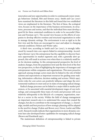innovation and new opportunities in order to continuously renew strategic behaviour (Ireland, Hitt and Sirmon 2003). Smith and Cao (2007) have examined the literature in this field and found that two established views are emphasized in the literature. The first of these, the ecological view, focuses on the importance of the business environment, its structures, processes and norms, and that the individual firm must develop a good fit for these contextual conditions in order to be successful (Hannan and Freeman 1977). The second view focuses on the efforts of companies to develop effective routines and structural organisation in order to manage dynamic settings. The environment is not as rigid as in the first view and the firms are encouraged to react and adjust to changing external conditions (Nelson and Winter 1982).

A third view, according to Smith and Cao (2007), is strongly influenced by research into core aspects linked to entrepreneurship. According to Kirzner (1973) the entrepreneur has the capability to discover business opportunities in market segments and, with a generally alert approach, this will result in actions even when there is a relatively small basis for decision-making. In this entrepreneurial perspective the level of analysis changes, from the population level and the firm level of the first two perspectives, to that of highlighting the importance of managers and entrepreneurs within companies and organizations. This more proactive approach among strategic actors must also be linked to the role of belief systems and expectations as important resources for guiding sense making, information collection, decision-making and actions (Weick 1995). Active roles for core actors can positively influence and shape the environmental readiness to meet and act in states of emerging radical change.

Radical change processes can be linked to a major shift in market preferences, or be associated with essential development stages of core technology, and consequently these types of events and processes will occur relatively infrequently in the lifecycle of a company, organization, market or a sector in the society. Within the field of change management an important research aim is to understand the causes that created the changes, but also to contribute to the management of change, i. e. knowledge, models and best practices of how strategic planning will be adapted to the need for change (Frahm and Brown 2007; Dover, Lawler and Hilse 2008). Research results indicate that organizations in more dynamic contexts have also developed better capabilities for managing radical change (Brown and Eisenhardt 1997).

The mainstream definition of entrepreneurship is linked to private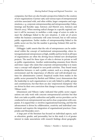companies, but there are also broader perspectives linked to the creation of new organizations (Gartner 1985) and various types of entrepreneurial activities associated with, and often within, larger companies and organizations, e. g. corporate entrepreneurship and intrapreneurship (Zahra, Jennings and Kuratko 1999; Antoncic and Hisrich 2001; Antoncic and Hisrich 2004). When meeting radical changes in a specific regional context it will be necessary to mobilize a wide range of actors in order to meet the challenges linked to the new situation. A wide set of actors within the business community will come forward, but so will various public organizations. Earlier studies of entrepreneurship linked to the public sector are few, but the number is growing (Ireland, Hitt and Sirmon 2003).

DiMaggio (1988) asserts that the role of entrepreneurs can be understood within the concept of institutional entrepreneurship, where interorganizational entrepreneurs at high, middle and low levels in all types of organizations are often the driving forces behind new development projects. The need for these types of roles is obvious in private as well as public organizations. Another understanding emanates from Morris and Jones (1999) who claim that corporate entrepreneurship is in many ways a concept well adapted to non-profit activities. They found many similarities between ce and a public context, such as a strong cultural environment and the importance of effective and well-developed routines for administrative control. Empirical results from studies in the public sector presented by Bartlett and Dibben (2002) demonstrate that the leadership in such organizations is not only linked to public groups and constituencies, but that there are also 'empowered champions' that are driven by their own conviction that change is necessary (Sundin and Tillmar 2008).

Johannisson and Nilsson (1989) indicated that public sector organizations not only work with concrete entrepreneurial activities but that their core tasks as public authorities and public service providers can be conducted in an entrepreneurial way and in close cooperation with companies. It is argued that ce involves organizational learning, and that the advancement is driven by collaboration, creativity and individual commitment and requires the integration of organisational practices (Zampetakis and Moustakis 2007).

A large part of the literature has focused on individual aspects, such as education, gender, and personality, but in this study it is of greater interest to make associations with research findings about geographi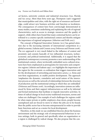cal factors, university contexts and industrial structures (Lee, Florida and Acs 2004). More than forty years ago, Thompson (1967) suggested that municipalities and cities, with the right set of resources and knowledge, could attract new business activities and function as incubators. The consequences of context have been convincingly demonstrated in many studies, sometimes underlining and explaining the role of regional characteristics, such as access to strategic resources and the quality of support, while others have found that many contextual factors can be attributed to a country-specific institutional context and thereby mitigate the importance of regional uniqueness (Atherton and Frith 2007).

The concept of Regional Innovation Systems (RIS) has gained attention due to the increasing intensity of international competition in a global economy (Asheim and Coenen 2004; Doloreux and Dionne 2008). The RIS approach is very much linked to the influence of context and proximity and consists basically of two influential structures, technoeconomic and political-institutional. Additionally, it is argued that the globalized contemporary economy promotes a new understanding of the institutional context, where territorially embedded socio-cultural structures have been emphasized as prerequisites for innovative and competitive regions (Asheim and Isaksen 1997). RIS highlights the importance of the region for the economic co-ordination that triggers innovation and for the development of networking and innovative actors, i. e. firms and non-firm organizations, to enable positive development. The approach 'emphasizes the dynamic, cumulative and social nature of the innovation process as well as the network of relationships between the structure of production and the institutional setting in which they are embedded' (Doloreux and Dionne 2008). Accordingly, innovation systems are influenced by firms and their support infrastructures as well as by informal and formal institutions that facilitate or impede innovative activities. In times of radical change in local society traditional structures, norms and values are challenged. One example of such challenges for regions could be when major private or public employers close down, people become unemployed and are forced to move to where the jobs are to be found; then the public sector has to become entrepreneurial in order to provide basic functions and act as a motor for local development.

Therefore, in this study we use established theories about the business environment and the strategic role of entrepreneurial behaviour in various settings, both in general and specifically when an organization or a region is challenged by radical change. We also propose that the con-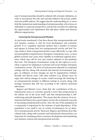cept of entrepreneurship should be utilized with a broader definition, in order to incorporate the roles and activities linked to the private, public and semi-public spheres. We suggest that the understanding of ce covers both the mainstream understanding of entrepreneurship, with a focus on individual or corporate perspectives, and also the activities for exploring the opportunities and exploitation that take place within and between different organizations.

## **Fostering the Entrepreneurial Mindset**

As previously mentioned, it has been shown that entrepreneurship and new business creation is vital for local development and economic growth. It is a regularly expressed opinion that a number of nations and regions in Europe have low entrepreneurial activity and that 'Europe needs to foster entrepreneurial drive more effectively' to cope with increased global competitiveness (European Commission 2004). A more global economy may cause some volatility in traditional regional structures, which may call for new and creative solutions to the problems that arise. The European Commission's recipe for the regions is to develop a capacity for adapting to economic and social changes (European Commission 2006a). The form of such processes depends on contextual settings and has, along with external and internal environmental triggers, an influence on how changes are met by organisations (Ireland, Kuratko and Morris 2006). Like other scholars (e. g. Kirzner 1973) we argue that radical changes in society could encourage the fostering of an entrepreneurial mindset in different settings in society, along with strategic measures that will vary according to the cultural contextual inheritance.

Bygrave and Minniti (2000) claim that 'the contribution of the entrepreneurial sector to economic growth is more than proportional to the relative size of the sector itself' and that entrepreneurship is selfreinforcing and path dependent. This means that the existence of an entrepreneurial history has a great impact on how the community succeeds in increasing entrepreneurial activity. Also, the size of the population in a community is important for the existence of path dependency. If the population is too small it can, in certain circumstances, be an obstacle to entrepreneurial activity. Moreover, Bygrave and Minniti show that cultural traits, along with economic and institutional characteristics, are important for attaining positive economic development and stimulating new business creation and entrepreneurial activities.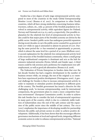Sweden has a low degree of early stage entrepreneurial activity compared to most of the countries in the study Global Entrepreneurship Monitor (gem) (Bosma et al. 2007). In comparison to other Nordic countries, which all have strong similarities concerning business infrastructures, culture, etc., only 4.2 percent of the Swedish population is involved in entrepreneurial activity, while equivalent figures for Finland, Norway and Denmark are 6.9, 6.5, and 5.4 respectively. One possible explanation for the relatively low level of entrepreneurial activity in Sweden could be that major parts of the Swedish economy are driven by the public sector. Sweden's public sector has undergone powerful expansion during recent decades; in 1970 the public sector counted for 44 percent of total GDP while in 1999 it amounted to almost 60 percent of GDP. During the same period the us has remained at approximately 30 percent, which is almost the same level for a period of 30 years (Klefbom 2001). A second explanation for the relatively low entrepreneurial activity level is the structure of the Swedish business community, where a small group of large multinational companies is dominant and acts as the hub for extensive industrial networks (Porter, Sölvell, and Zander 1991). A third reason could be risk aversion and a preference for employment over selfemployment, as well as good job alternatives (Bosma et al. 2008).

The Federation of Private Enterprises in Sweden claim that over the last decade Sweden has had a negative development in the number of business owners while, on average, the rest of the original 15 eu members have experienced positive development (Företagarna 2006). A general challenge for Sweden is thus to increase entrepreneurial activity in order to maintain or stimulate positive development in different parts of the country. The Swedish government has issued a directive for this challenging work, 'to increase entrepreneurship, weak by international comparisons, the government plans to create a more competitive business environment' (European Commission 2006b). In order to achieve this task Sweden has to consider the lack of entrepreneurial experience in many parts of the country, which is due to a relatively stable tradition of industrialism since the end of the 19th century and the expansion of the public sector since the middle of last century. The OECD (2007) emphasises the importance of developing models for partnership between the public and private sectors in order to achieve positive development. Additionally, it has been shown that this encourages effective governance mechanisms at local and regional levels, integrating different economic actors in order to enhance entrepreneurial activities. 'National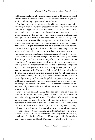and transnational innovation systems are ineffective if they are not based on sound local innovation systems that are closer to business, higher education and training organisations'  $\alpha$ ECD (2007).

As different regions bear different cultural inheritances the models for effective governance structures probably vary according to the external and internal triggers for such actions. Falcone and Wilson (2008) show, for example, that in times of change in rural or semi-rural areas alternative governance models may be of value in encouraging local economic development. Also, positive local development can be achieved by an organization that involves different cooperating actors from the public and private sector, and the support of proactive centres for economic operation within the region has some impact on local entrepreneurial activity. Harvey (1989) along with Perlmutter and Cnaan (1995) emphasises the necessity of a proactive approach in the urban environment too, to provide a good business climate aimed at encouraging urban entrepreneurialism in times of conditional change. Lumpkin and Dess (1996) show that entrepreneurial organizations outperform non entrepreneurial organizations. As entrepreneurship and innovation are the keys to economic growth, the concept of entrepreneurship and innovation in public organizations has gained momentum, leading to new public management in many countries (Kropp and Zolin 2008). It is also claimed that the environmental and contextual changes in society will 'necessitate a government to change the way it operates in structural design and in terms of process' (p. 597). A quest for public entrepreneurial approaches will become increasingly important as municipalities are subject to radical change (Perlmutter and Cnaan 1995). In order to be able to act entrepreneurially it seems to be vital to have an entrepreneurial orientation in a community.

Entrepreneurial orientation may differ between countries, regions or communities for various reasons, such as differences in dynamism and uncertainty (Kropp and Zolin 2008). The choice of strategy in meeting radical change may depend on the predomination of industrial or entrepreneurial orientation in different contexts. The choice of strategy has an impact on both the public and private sectors' degree of passivity, activity or pro-activity regarding participation and success in adaptation processes (Porter 1998). Sweden has a fairly strong tradition of industrialism that is reflected in the way private and public organizations perform, as well as in the division of labour and how responsibility for development issues are organized locally (Wigblad 1995). Lack of entrepreneuri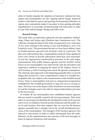alism in Sweden impedes the adoption of innovative solutions for how regions and municipalities can face ongoing radical change. Empirical studies in this field are sparse and growing environmental turbulence in regions and communities makes it necessary to have guiding principles regarding how to encourage entrepreneurship and innovation in order to cope with radical changes (Kropp and Zolin 2008).

# **Research Design**

This study takes an exploratory approach and uses qualitative methodology (Glaser and Strauss 1967; Eisenhart 1991; Gummesson 2005). The collection of empirical data for this study was generated over a time span of two years, starting in the spring of 2005 and finishing in 2007 (von Friedrichs 2009). The government decision to close down military bases in Sweden between 1999 and 2006 involved a total of 12 garrisons. The data were collected from the 12 municipalities involved. Some significant actors were chosen to provide information about how each municipality met the ongoing local transformation processes. In the early stages, representatives from public business agencies and the Swedish Armed Forces in two municipalities were interviewed, with the descriptive and exploratory ambition of mapping the extent of the 'military retreat' in each location, as well as learning more about the general consequences. The relatively open approach at the beginning gradually led to a research design that focused on a more comprehensive study of 12 Swedish municipalities that were subject to the transformation of the Swedish Armed Forces. These 12 municipalities took part in compensation programmes established by the Swedish government in 1999 and 2004 to varying extents. The focus was on the impact of the closedowns on each municipality and the strategies used to face this by using transformation processes in the local society.

In Sweden all 290 municipalities have established business agencies that are owned or partially owned by the local government. Their main task is to encourage and stimulate the development of the local economy and to serve as mediators between private businesses and the public sector in each location. How they organise this can vary, but the business agencies normally have a strategic role in the overall development processes of the municipalities. The managers of the business agencies were selected as interviewees in order to collect information from the establishment, on the implementation and outcome of the local strategies in times of regional closedowns and transition.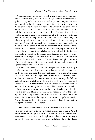A questionnaire was developed and in-depth interviews were conducted with the managers of the business agencies in 10 of the 12 municipalities. 2 respondents were interviewed in person, 6 respondents were interviewed via the telephone, 2 respondents sent in written answers to the questionnaire, 1 respondent refused to answer the questions and 1 respondent was not available. Each interview lasted between 1-2 hours and the notes that were taken during the interview were further developed in a more detailed form immediately after the interview. After the main interviews, missing information, ambiguities in the material, and follow up questions were taken via the telephone, in approximately 10 interviews. The questions asked were organised around issues relating to the development of the municipality, the impact of the military transformation, local business structure, strategies for coping with structural changes in society and future challenges for municipalities in Sweden. The results are based on the interviews and survey, secondary data, information from regional authorities, municipal websites and also from other public information channels. The multi-methodological approach (Yin 2003) also included the extensive use of international, national and regional reports and other material.

The data were coded, analyzed and interpreted in three steps using a careful approach, resulting in categories that were developed as a base for the discussion and conclusions. The first step was to assemble all the answers obtained from the respondents in a transcribed form and organise them in relation to the questionnaire. As a second step, the full text material was interpreted, so resulting in the development of significant categories. The last step was to relate these categories to the information obtained from secondary data and other public information channels.

Table 1 presents information about the 12 municipalities and their location in Sweden. Three are located in the northern part of the country, in a sparsely populated region. Four are located in the middle of the country in a region that shows greater variation in population density. Five are located in the southern part of Sweden where the population per square kilometre is more dense.

# **The Case of the Transformation of the Swedish Armed Forces**

Since Sweden's entry into the European Union, the Swedish Armed Forces have been in a process of transformation, from a large counterinvasion defence force to a readily deployable military. Due to this ongoing transformation, major public-owned workplaces like military bases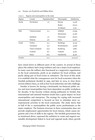| Region | County          | Population/km <sup>2</sup> | Municipality | Inhabitants |
|--------|-----------------|----------------------------|--------------|-------------|
| North  | Norrbotten      | 2.6                        | Kiruna       | 23,258      |
|        |                 |                            | Boden        | 28,002      |
|        |                 |                            | Arvidsjaur   | 6,791       |
| Mid    | Västernorrland  | 11.2                       | Sollefteå    | 20,849      |
|        |                 |                            | Härnösand    | 25,080      |
|        | Jämtland        | 2.6                        | Östersund    | 58,600      |
|        | Dalarna         | 9.8                        | Falun        | 55,267      |
| South  | Örebro          | 32.3                       | Karlskoga    | 30,159      |
|        | Värmland        | 15.6                       | Kristinehamn | 23,848      |
|        | Västra Götaland | 64.6                       | Karlsborg    | 6,880       |
|        | Gotland         | 18.1                       | Gotland      | 57,297      |
|        | Skåne           | 108.7                      | Hässleholm   | 49,381      |
| Sweden |                 | 22.2                       |              | 9,113,257   |

TABLE 1 Regions and municipalities in the study

have closed down in different parts of the country. In several of those places the military had a long tradition and was a major local employer. In many cases the military also functioned as a supportive organization in the local community, partly as an employer for local civilians, and partly taking part in local events as volunteers. The focus of this study is to establish what the consequences were for local economies when the Swedish parliament decided in 1999, and later in 2004, to close down several military bases, as well as how local authorities met this challenge.

Sweden is known for having a dominantly tax-financed public sector, and most municipalities have been dependent on public workplaces for decades. It has become evident among politicians in Sweden that international and national business trends have a great impact on local municipalities and enterprises. The strategy for coping with increased international competition is focused on how to stimulate more entrepreneurial activities in the local community. The study shows that in half of the 12 municipalities the public sector predominates as the major employer. The business structure in these communities does not provide employment opportunities for local citizens, which causes migration and a loss of skills in the regions. The Swedish government has, as mentioned above, expressed the ambition to create and support sustainable development linked to local and regional needs where growth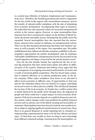is a central issue (Ministry of Industry, Employment and Communications 2001). Therefore, the Swedish government has tried to compensate for the loss of jobs in the regions with 'extraordinary measures,' such as the transfer of national public workplaces with the aim of stimulating local economic development. Accompanying these types of measures, the authorities have also expressed a desire for increased entrepreneurial activity in the various regions. However, in some municipalities these measures have had a counteractive impact on the division of labour between the private and public sectors, meaning that the public sector has expanded. Several municipalities have also reported that the extraordinary measures have exerted an influence on entrepreneurial activity. That is to say that increased attractiveness has drawn new business ventures, as well as people, to the region. One respondent says: 'the public establishments have influenced attitudes and given credibility to the municipality's opportunities for positive development' and, he continues, 'with public establishments, entrepreneurial activity has increased as has inward migration and degree of survival for the private business sector.'

Over the last few decades Sweden has experienced the loss of several big enterprises that have closed down plants and offices in different parts of the country. Andersson and Friberg (2005) argue that this is a consequence of an ongoing structural transformation of society and a result of increased global competition. This has forced many companies to improve efficiency or to relocate production units, or the entire company. When major workplaces close down or are relocated it affects local economies in different ways. If opportunities to find new jobs for the redundant labour force are limited in a region, individuals are forced to move to where jobs are available. This will directly diminish the tax base of the local economy. As Sweden has a welfare system that is mainly financed by the public sector through taxes, the migration of people and firms could have a major impact on local economic development. If the local economy depends on a publicly financed social welfare system, radical changes could cause problems for publicly financed services such as schools, care of the elderly, housing and local public investments. Municipalities have been forced to look for new models in order to adapt to ongoing significant transformation in several areas. Since there is no general blueprint or model regarding how to stimulate entrepreneurship, experimentation seems to be the key (Morris and Jones 1999). To find these new models we have to bring in more knowledge from different contextual settings. Learning from the municipalities' ex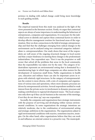perience in dealing with radical change could bring more knowledge to such guiding models.

#### **Results**

The empirical material from this study was analyzed in the light of the views presented in the literature section. Firstly, we argue that contextual aspects are always of some importance in understanding the behaviour of entrepreneurs, companies and organizations. It is necessary for the individual actors to identify and capture these contextual factors in order to develop effective management routines for functional areas of the organization. Here we draw connections to the field of strategic entrepreneurship and find that the challenges emerging from radical changes in the environment can be analysed using two contextual categories: industrialism vs. entrepreneurialism. Our study shows that most of the respondents are well aware of the ongoing structural changes in local society and that a major hindrance in meeting these changes is the predominant industrialism. One respondent says: 'First it was the proprietor or mill owner that solved all the problems that arose in the local community, then the responsibility was taken over by the state.' The category of industrialism represents an environmental setting that is dominated by a manufacturing logic in which large companies are often motors for the development of numerous small firms. Public organizations in health care, education and military bases can also be important actors in regions with relatively rigid structures. In the category of entrepreneurialism the context is more diverse, with a mix of companies and organizations of various sizes and operations, where more dynamic processes are driven by entrepreneurial activities. Several respondents testified to weak interest from the private sector in involvement in dynamic processes and making contributions to regional development issues. 'The local companies only show up if they can do business as the outcome of the meetings, if not they do not show up,' says one respondent.

Secondly, the companies and organizations have strategic instruments with the purpose of surviving and developing within various environmental conditions. In some organizations the strategic intentions are relatively moderate, due to the combination of environmental setting and strategic ambitions in the organizations. The organizations adjust to rigid environmental conditions with reactive, sometimes inactive, strategies. On the other hand, other organizations believe that they can work in and influence an external context in a proactive way. The municipali-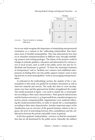

ties in our study recognise the importance of stimulating entrepreneurial orientation as a contrast to the 'suffocating industrialism' that dominates most of Swedish municipalities. They also demonstrate how they try to stimulate entrepreneurialism in different ways, through establishing 'projects and training packages.' The theme of the projects could be changes in attitude, guidance, education and information for various actors in local society, such as staff in the public sector, but also for individuals and businesses in general. 'To hone the municipal treatment of entrepreneurs' and to 'facilitate new ventures and established entrepreneurs in finding their way into public support systems' seem to have top priority in most municipalities' work in encouraging entrepreneurialism.

As indicated in the methodology section, the analysis of the 12 municipalities in this study was guided by secondary documents as well as interview material and surveys. The study also aims to cover developments over time and this approach has further strengthened the results. The model presented in figure 1 was used to classify the 12 municipalities according to their main characteristics. Their general infrastructure and the business structure (e. g. large/small firms, manufacturing/service sectors, private companies/public organisations) were analyzed, following the model presented below, in order to classify the 12 municipalities according to their main characteristics. Another important aspect of the classification was an overview of the general business culture in the regions, the level of networking between firm constellations and the collaboration between the private and public sector in general.

In the first quadrant (industrialism – reactive) we find five municipalities that are all dominated by the public sector. Naturally, the military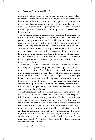investments in these regions are part of this public environment, and one important explanation for the public profile, but these municipalities all have a modern historical record of extensive public activities linked to the health and education sectors. Additionally, in one of the municipalities a large multinational company (state-owned) is very dominant in the development of the business community, as well as the civil service infrastructure.

In the second quadrant (industrialism – proactive) three municipalities in an industrial setting are working with regional development programmes in a proactive manner. The military sector has been an allpervasive resource from the beginning of the twentieth century, in the form of military bases in two of the municipalities and in the third as a multinational armament factory owned by the state. In addition to the military investments the business communities in these regions have a more varied business structure, with a mixture of manufacturing and service sectors. Two of these municipalities are also located in intensive agricultural districts with a pronounced small business and entrepreneurial culture.

In the third quadrant (entrepreneurialism – proactive) we found that many of the private and public initiatives originate from an entrepreneurial platform. One of the three municipalities in this group is in a typical farming area with a history of small business units, like two found in the second quadrant, but this region has also developed into one of the most concentrated and general destinations for summer tourism. Also typical of this category is that the entrepreneurial culture obviously has a positive influence on resource sharing between companies, as well as on open and dynamic networking between companies and actors from the public sector.

Finally, the fourth quadrant (entrepreneurialism – reactive) is an adequate classification for only one of the twelve municipalities being studied. This region has been strongly dominated by large companies and a dynamic competitive extended environment. In particular, one major international city within 70 kilometres entails extensive company networks, with the main head offices in the city, as well as public organizations which are also strongly influenced by central offices, authorities and local government in the nearby city. The municipality has all the right conditions for entrepreneurial activities, but a relatively inactive development process in the region is explained mainly by the nearby city, resulting in trust for 'big brother' which means the indirect suppression of various regional initiatives.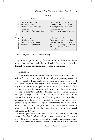|         |                 | Reactive                                                                                                                       | Proactive                                                                                                                                                                                        |
|---------|-----------------|--------------------------------------------------------------------------------------------------------------------------------|--------------------------------------------------------------------------------------------------------------------------------------------------------------------------------------------------|
| Context | Industrial      | • External dependence<br>• Passive attitudes<br>• Reactive plans within rigid<br>structures<br>• Dominance of locomotive firms | • Planning activities started<br>• Actors from sectors mobilized<br>• Growing awareness to develop<br>existing structures<br>• Network constellations emerging                                   |
|         | Entrepreneurial | • External dependence<br>• Passive attitudes<br>· Rigid regional structures<br>• Closeness to metro-areas                      | • Actions plans for development<br>• Wide engagement in the region<br>• Entrepreneurial activities in all<br>sectors – firms and public agencies<br>• Open and dynamic network<br>constellations |

figure 2 Regional Corporate Entrepreneurship

Figure 2 displays a summary of the results discussed above and shows some underlying elements in the municipalities' environments that influence how radical change is met by regions in transition.

## **Discussion**

The transformation of our society will force nations, regions, municipalities, firms and other organizations to adopt adaptation processes of various kinds. It will also challenge our taken-for-granted solutions and models for how we use and organize our businesses, as well as our publicly financed resources. Adaptation to the radical transformation of society and the globalized economy will force regions into restructuring processes, in order to be able to sustain regional prosperity and positive development. Regions will have to face and meet radical change in the local environment more frequently. The study shows that the different municipalities and the various contexts have developed different strategies for coping with radical change. It seems that the awareness of external and internal radical change in the local economy affects the choice of strategy, as do traditions and the general attitude towards how to deal with problems that arise.

When studying the 12 cases and the collected material, an overarching analysis of the last decade's development can be carried out. The downsizing of the military sector started in the 1990s, but has accelerated dramatically over the last 5–8 years. Generally, municipalities that were sites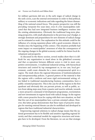for military garrisons did not, in the early stages of radical change in the early 2000s, scan the external environment in order to find political, military or economic indications and risks regarding the future dismantling of the national armed forces. This passive perspective was still the prevailing viewpoint five years later, even if a few municipalities indicated that they had now integrated business intelligence routines into the existing administration. Obviously the traditional long-term planning perspective, with small adjustments to the previous year's budget, is strongly dominant and preparedness for new elements of radical change can be estimated as weak. One explanation for this attitude could be the influence of a strong expansion phase with a good economic climate in Sweden since the beginning of this century. This situation probably had some impact on municipalities' awareness of what the consequences of the ongoing changes in the global economy could be for future local development and prosperity.

As discussed in the theory section, several studies show that it is difficult for any organization to stand alone in the globalized economy and that co-operation between different actors is vital in most competitive environments. A traditional industrial setting, with hierarchical structures and control by top management or, in our case, local government, could create obstacles for a more entrepreneurial spirit in a region. The study shows the regional dimensions of institutionalisation and entrepreneurship policies. A general pattern of the material is that the regions with a uniform and more rigid environmental setting, often linked to traditional manufacturing business communities, have a public-oriented perspective. This is the case for all the regions in the first quadrant and obviously this can prevent private, as well as public, actors from taking steps away from a passive and reactive attitude, towards a more proactive command of development programmes, reorientation and new investments in regions faced with radical change. In the regions with a more proactive focus for coping with their new situation, we find that five out of six municipalities have a private-oriented culture. However, this latter group demonstrates that these types of proactive strategies for meeting external threats can also be mobilized and developed in regions that have traditional industrial characteristics.

Empowering regional solutions to radical change means that the national government has to be flexible and sensitive regarding regional diversity and that contextual models for supportive structures and strategies have to be developed. From the literature, we can see that strategic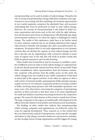entrepreneurship can be used in studies of radical change. Primarily, the role of strong entrepreneurship among individual companies and organizations in uncovering, and also exploiting, new business opportunities in new market segments, comprises the absolutely basic and necessary undertaking that must be performed in order to meet radical change. However, the concept of entrepreneurship is also linked to belief systems, expectations and norms and, in the end, with the right information, the decisions and actions of entrepreneurs will ultimately also shape environmental readiness to act when the region is challenged by radical change. The results of this exploratory study have to be further tested on more extensive material, but we are finding indications that regions with proactive attitudes and strategies also show successful positive development. We propose that it is not only organizations in very dynamic contexts that can develop the capacity to meet radical change, but that this is also the case for organizations with a proactive attitude in many types of regions and, in the end, this will result in positive trends that build on gained experiences and circular learning.

Other studies have found that it may be necessary to mobilize a number of different actors in order to meet radical changes at a regional level. In the last decade particular interest has been shown in successful Triple Helix constellations, where representatives from the business community cooperate with partners from the public sector. In this study the radical changes have not resulted in any visible cooperation of this kind in about half of the regions involved. In the other six regions we find a wide variety of network models, spanning from feeble attempts among a couple of actors to very intensive cooperative projects covering a number of fields, involving many partners and with sustainable operations over many years. One observation concerning the categories of participating partners in these networks is that there seem to be some impediments for small and medium-sized firms becoming involved in the cooperative groups. The reason for their absence in this context is mainly lack of time. The large companies in the region are traditionally well integrated in the official networks linked to local politics and infrastructural investments.

The findings of other studies also indicate that entrepreneurship within existing companies and organizations can indirectly widen the scope for regional development. Thus, research on ce has verified that the core characteristics typical of entrepreneurs, such as specific strengths and talents in risk-taking, innovative behaviour and proactive attitudes, are also strategic factors in large organizations and the triggers for change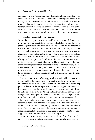and development. The material from this study exhibits a number of examples of active ce. Some of the directors of the support agencies are strategic actors in cooperative activities, such as network construction, responsibility for the management of strategic projects and 'watchmen' for the fulfilment of agreed tasks in the networks. A couple of local politicians can also be classified as entrepreneurs with a proactive attitude and a pragmatic view of how to realize the agreed development prospects.

## **Conclusions and Policy Implications**

To use the concept of ce at a regional level and involve different organizations with various attitudes towards radical changes could offer regional organisations and other stakeholders a better understanding of the processes needed for organisational renewal. The study shows that the regional context and the regional awareness of ongoing structural changes in society influence the choice of strategy. The aim of the policies of Swedish regional government is to empower local initiatives in stimulating local entrepreneurial and innovative activities, in order to meet radical change and a globalized economy. The municipalities in the study show different preparedness as regards how to tackle these changes. The consequence of this is that governmental supportive structures and the means to stimulate entrepreneurship and innovation have to take different shapes depending on regional cultural inheritance and business structure.

We argue that the use of a  $CE$  approach at a regional level could serve as a model for the development of proactive strategies in times of radical change, as ce is a process of organisational renewal. It could help policymakers to make entrepreneurial activities happen in times of radical change when productive and supportive resources have to find ways to make new combinations. As corporate activity often demands radical change to internal organisational behaviour patterns, the regions' desire for different models is obvious. Previous studies may, along with the results of this study, form a basis for looking at ce from a regional perspective; a perspective that will leave obsolete models behind in favour of the creation of new contemporary models that embrace a number of actors. It seems that in order to stimulate regions to take steps towards a more differentiated business structure, the public sector has to subsidize supportive organisations and active networking arenas.

A number of policy implications can be drawn from this study. Regions with a reactive, and sometimes even inactive, behaviour when con-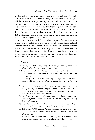fronted with a radically new context can result in situations with 'waitand-see' responses. Dependence on large organisations and on old, established structures can produce a passive attitude, and sometimes decrees are established so that no one 'rocks the boat.' Instead, an implicit culture recommends that they should wait for the government (and others) to decide on subsidies, compensation and suchlike. In these situations it is important to stimulate the production of proactive strategies that involve many partners from many categories in open networks, in order to create a dynamic environment.

Patterns in the material indicate a slow but powerful momentum in which old and rigid structures are slowly dissolving and being replaced by more dynamic sets of various business actors and different network constellations. An important issue for policy makers is investment in dynamic arenas where representatives from small and large companies, support agencies, venture capital companies, political groups, local authorities and universities can meet and cooperate.

#### **References**

- Andersson, T., and D. Friberg. 2005. *The changing impact of globalisation: The case of Sweden.* Stockholm: Invest in Sweden.
- Antoncic, B., and R. D. Hisrich. 2001. Intrapreneurship: Construct refinement and cross-cultural validation. *Journal of Business Venturing* 16  $(5): 495 - 527.$

———. 2004. Corporate entrepreneurship contingencies and organizational wealth creation. *Journal of Management Development* 23 (6): 518–50.

- Asheim B., and L. Coenen. 2004. The role of regional innovation systems in a globalising economy: Comparing knowledge bases and institutional frameworks of Nordic clusters. Paper presented at DRUID Summer Conference in Elsinore, Denmark.
- Asheim, B., and A. Isaksen. 1997. Location, agglomeration and innovation: towards regional innovation systems in Norway. *European Planning Studies* 5 (3): 299–31.
- Atherton, A., and K. Frith. 2007. Creating an entrepreneurial region. Paper presented at the isbe Conference in Glasgow, Scotland.
- Bartlett, D., and P. Dibben. 2002. Public sector innovation and entrepreneurship: Case studies from local government. *Local Government Studies* 28 (4): 107–21.
- Bosma, N., K. Jones, E. Autio, and J. Levie. 2007. *Global entrepreneurship monitor: 2007 executive report.* Babson Park, ma: Babson College.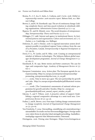- Bosma, N., J. Z. Acs, E. Autio, A. Coduras, and J. Levie. 2008. *Global entrepreneurship monitor: 2008 executive report.* Babson Park, ma: Babson College.
- Brown, S., and K. M. Eisenhardt. 1997. The art of continuous change: Linking complexity theory and time-paced evolution in relentlessly shifting organizations. *Administrative Science Quarterly* 42 (1): 1–34.
- Bygrave, W., and M. Minniti. 2000. The social dynamics of entrepreneurship. *Entrepreneurship: Theory and Practice* 24 (2): 1–12.
- DiMaggio, P. J. 1988. Interest and agency in institutional theory. In *Institutional patterns and organizations: Culture and environment,* ed. L. G. Zucker, 3–22. Cambridge, ma: Ballinger.
- Doloreux, D., and S. Dionne. 2008. Is regional innovation system development possible in peripheral regions? Some evidence from the case of La Pocatière, Canada. *Entrepreneurship & Regional Development* 20  $(3): 259 - 83.$
- Dover, P. A., W. Lawler, and H. Hilse. 2008. Creating an entrepreneurial mindset at Infineon technologies: The Infineon-Babson global manager development programme. *Journal of Change Management* 8 (3– 4): 265–77.
- Eisenhardt, K. M. 1991. Better stories and better constructs: The case for rigor and comparative logic. *Academy of Management Review* 16 (3): 620–7.
- European Commission. 2004. Action plan: The European agenda for entrepreneurship. Http://ec.europa.eu/enterprise/entrepreneurship/ promoting\_entrepreneurship/doc/com\_70\_en.pdf.
- ———. 2006a. Time to move up a gear: The new partnership for growth and jobs. Http://ec.europa.eu/growthandjobs/pdf/illustrated-version \_en.pdf.
- ———. 2006b. [The Commission's assessments of national reform programmes for growth and jobs:] Sweden. Http://ec .europa.eu/ growthandjobs/pdf/2006\_annual\_report\_sweden\_en.pdf.
- Falcone, T., and T. Wilson. 2008. A proactive culture of support: Establishing a regional comparative advantage in a semi-rural area. *Competitiveness Review* 18 (3): 241–56.
- Frahm, J., and K. Brown. 2007. First steps: Linking change communication to change receptivity. *Journal of Organizational Change Management* 20 (3): 370–87.
- Von Friedrichs, Y. 2009. Omvandling, omställning och omstrukturering i närsamhället: En studie om hur försvarsnedläggningen i Sverige under 2000-talets första år påverkat lokal näringslivsutveckling. Samhällsvetenskapliga rapporter från Mittuniversitetet, Östersund.
- Företagarna. 2006. Företag utan företagare. Https://www.foretagarna.se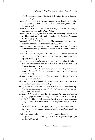/FileOrganizer/Foretagarna%20Centralt/Opinion/Rapporter/Foretag \_utan\_foretagare.pdf

- Gartner, W. B. 1985. A conceptual framework for describing the phenomenon of new venture creation. *Academy of Management Review* 10 (4): 696–706.
- Glaser, B., and A. Strauss. 1967. *The discovery of grounded theory: Strategies for qualitative research.* New York: Aldine.
- Gummesson, E. 2005. Qualitative research in marketing: Roadmap for a wilderness of complexity and unpredictability. *European Journal of Marketing* 39 (3–4): 309–27.
- Hannan, M. T., and J. H. Freeman. 1977. The population ecology of organizations. *American Journal of Sociology* 82 (5): 929–64.
- Harvey, D. 1989. From managerialism to entrepreneurialism: The transformation in urban governance in late capitalism. *Geografiska Annaler*  $B$  71 (1):  $3-17$ .
- Ireland, R. D., M. A. Hitt, and D. G. Sirmon. 2003. A model of strategic entrepreneurship: The construct and its dimensions. *Journal of Management* 29 (6): 963–89.
- Ireland, R. D., D. F. Kuratko, and M. H. Morris. 2006. A health audit for corporate entrepreneurship: Innovation at all levels; Part 1. *Journal of Business Strategy 27* (1): 10–7.
- Johannisson, B., and A. Nilsson. 1989. Community entrepreneurs: networking for local development. *Entrepreneurship & Regional Development* 1 (1): 3–19.
- Kirzner, I. M. 1973. *Competition and entrepreneurship.* Chicago: The University of Chicago Press.
- Klefbom, G. 2001. *Sveriges offentliga sektor och den ekonomiska tillväxten.* Luleå: Luleå University of Technology.
- Kropp, F., and R. Zolin. 2008. us federal government entrepreneurship: New enterprise structures. *Journal of Small Business and Enterprixe Development* 15 (3): 595–605.
- Lawrence, P. R., and J. W. Lorsch. 1967. *Organization and environment: Managing differentiation and integration.* Boston: Harvard University.
- Lee, S. Y., R. Florida, and Z. J. Acs. 2004. Creativity and entrepreneurship: A regional analysis of new firm formation. *Regional Studies*38 (8): 879– 91.
- Lumpkin, G. T., and G. G. Dess. 1996. Clarifying the entrepreneurial construct and linking it to performance. *Academy of Marketing Review* 21  $(1): 135 - 72.$
- Ministry of Industry, Employment and Communications. 2001. A policy for growth and viability throughout Sweden. Http://www.regeringen .se/sb/d/108/a/46546.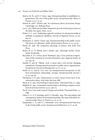- Morris, M. H., and F. F. Jones. 1999. Entrepreneurship in established organizations: The case of the public sector. *Entrepreneurship Theory & Practice* 24 (1): 73–93.
- Nelson, R., and C. Winter. 1982. *An evolutionary theory of economic change.* Cambridge, ma: Belknap Press.
- oecd. 2007. *Baltic partnerships: Integration, growth and local governance in the Baltic Sea region. Paris: OECD.*
- Parker, S. C. 2005. Explaining regional variations in entrepreneurship as multiple occupational equilibria. *Journal of Regional Science* 45 (4): 829–50.
- Perlmutter, F., and R. Cnaan. 1995. Entrepreneurship in the public sector: The horns of a dilemma. *Public Administration Review* 55 (1): 29–36.
- Porter, M. 1998. *The competitive advantage of nations.* New York: Free Press.
- Porter, M. E., Ö. Sölvell, and I. Zander. 1991. *Advantage Sweden.* Stockholm: Nordstedts.
- Reynolds, P., D. J. Storey and P. Westhead. 1994. Cross-national comparisions of the variation in new firm formation rates. *Regional Studies* 28  $(4): 443 - 56.$
- Sundin, E. and M. Tillmar. 2008. A nurse and a civil servant changing institutions: Entrepreneurial processes in public sector organizations. *Scandinavian Journal of Management* 24 (2): 113–24.
- Smith, K. G., and Q. Cao. 2007. An entrepreneurial perspective on the firm-environment relationship. *Strategic Entrepreneurship Journal* 1  $(3-4)$ : 329–44.
- Thompson, J. D. 1967. *Organizations in action: Social science bases of administrative theory.* New York: McGraw-Hill.
- Weick, K. E. 1995. *Sensemaking in organizations.* Thousand Oaks, ca: Sage.
- Wigblad, R. 1995. Community turnarounds in declining company towns. *Journal of Socioeconomics* 24 (3): 463–75.
- Yin, R. 2003. *Case study research: Design and methods.* Thousand Oaks, ca: Sage.
- Zahra, S. A., D. F. Jennings, and D. F. Kuratko. 1999. The antecedents and consequences of firm-level entrepreneurship: The state of the field. *Entrepreneurship Theory & Practice* 24 (2): 47–67.
- Zampetakis, L. A., and T. L. Moustakis. 2007. Entrepreneurial behaviour in the Greek public sector. *Entrepreneurial Behaviour* 13 (1): 19–38.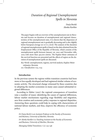# *Duration of Regional Unemployment Spells in Slovenia*

Daria Boršič Alenka Kavkler

The paper begins with an overview of the unemployment rate in Slovenia and focuses on duration of unemployment and regional characteristics of the unemployment rates. It is shown that the dispersion of regional unemployment rate is gradually decreasing and is also slightly below European average on NUTS 3 level. The analysis of the duration of regional unemployment spells is based on the data obtained from the Employment Office of the Republic of Slovenia, which consists of the unemployment spells between January 1st, 2002 and November 18th, 2005 with more than 450,000 entries. The Kaplan-Meier estimates of the survival function are presented and the effects of region on the duration of unemployment spells are discussed.

*Key Words:* unemployment, regions, survival analysis, Kaplan-Meier estimator, Slovenia jel *Classification:* p33, p34

## **Introduction**

In the previous system the regions within transition countries had been more or less equally developed and had registered similar volume of economic activity. The structural change witnessed by these countries due to adopting the market economies in many cases caused substantial regional differences.

According to Huber (2007) the regional consequences of transition raise a number of issues: identifying the causes of regional differences, labour market mechanisms regarding wage flexibility and migration, new firm creation and economic policy response to regional disparities. Answering these questions could help in coping with characteristics of national labour markets, and thus, improve the efficiency of economic policy.

*Dr Darja Boršiˇc is an Assistant Professor at the Faculty of Economics and Business, University of Maribor, Slovenia.*

*Dr Alenka Kavkler is a Teaching Assistant at the Faculty of Economics and Business, University of Maribor, Slovenia.*

*Managing Global Transitions* 7 (2): 123–146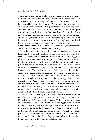Analyses of regional unemployment in transition countries include Römisch and Ward (2005) and Landesmann and Römisch (2006). Recent review papers on the topic of regional unemployment include Elhorst 2003, Huber 2007, Ferragina and Pastore 2008. Empirical estimates of regional unemployment and its persistence in transition economies are presented in Bornhorst and Commander (2006). Western European countries are empirically tested in Bayer and Jüssen (2006), while Taylor and Wren (1997) evaluate uk regional policy in the mid-1990s. Feragina and Pastore (2008) address two cases for explaining regional disparities in transition countries: (1) regions with high unemployment deal with low job creation rates due to similar labour market trends after the transition on the national level, (2) on the other hand the regional differences are an outcome of diverse speed of restructuring.

In the last couple of decades different survival analyses and duration techniques have gained popularity in the social sciences to model the length of unemployment spells and strike duration. Moffitt (1999) applied the usual econometric techniques in labour economics, including the proportional hazard methods and the duration models. Examples of duration model applications in labour markets can be found in Green and Riddell (1995), D'Agostino and Mealli (2000), and Arranz and Romero (2003). They explain the effects of different determinants of unemployment duration for Canada, nine EU15 members and Spain, respectively. Newell and Pastore (2006) apply duration models to estimate the effect of regional unemployment variation on aggregate economic restructuring in Poland. Factors of unemployment duration in Ukraine are discussed in Kupets (2006) by using the Cox proportional hazard model with two competing risks. The author concludes that age, marital status, income during unemployment and local demand constraints significantly affect the duration of unemployment.

Analytical papers investigating unemployment in Slovenia are rather rare. Slovenian unemployment is analysed by Vodopivec (1995a; 2004), Domadenik and Pastore (2006), Orazem, Vodopivec, and Wu (2005) and Kavkler and Boršič (2006; 2007). Vodopivec (1995a) uses a duration model in presenting effects of unemployment insurance on the unemployment duration. While Domadenik and Pastore (2006) test the impact of education and training systems on the participation of young people in the labour markets of Slovenia and Poland. Kavkler and Boršič (2006; 2007) estimate the effects of age, gender and education on duration of unemployment by duration data techniques.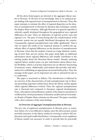All the above listed papers are devoted to the aggregate labour market in Slovenia. To the best of our knowledge, there is no analytical paper dealing with regional issues of unemployment in Slovenia. Thus, this paper attempts to estimate the effect of regional disparities on the duration of unemployment in Slovenia by duration data techniques, namely the Kaplan-Meier estimator. Although Slovenia is in general regarded as relatively equally developed throughout the geographical area, regional differences do exist. There are disparities of regional activity rates and regional GDP. The pace of restructuring after the transformation of the economic system was not equally distributed throughout the country. Consequently, regional unemployment rates differ significantly. That is why we expect the results of our empirical analysis to confirm the significant effect of regional differences on the duration of unemployment in Slovenia. Given that the analysis is based on a huge database consisting of more than 450,000 entries, this paper sheds light on additional information about regional differences and notably contributes to the existing studies about the Slovenian labour market. Namely, analysing regional labour market issues can give information about labour market flexibility, which is of prime importance for an effective functioning of monetary union. Additionally, such analysis also provides vital information for establishing an appropriate structural funds policy. Thus, the message of this paper can be important not only to national but also to eu authorities.

The paper is structured as follows. The introduction is followed by an overview of the characteristics of total unemployment rate in Slovenia presenting important stylized facts about the labour market against which regional differences evolved. Then, the regional unemployment rate is discussed and compared to European regional developments. Next, a description and preliminary analysis of the dataset is presented. It is followed by a brief presentation of duration models and survival analysis. Results of Kaplan-Meier estimates are discussed. The paper concludes with a short summary of the main findings.

# **An Overview of Aggregate Unemployment Rate in Slovenia**

The low rate of registered unemployment in Slovenia prior to transition (below 2%) is not difficult to explain, since the old economic system provided assurance in the labour market by striving to achieve full employment and equal wealth distribution. Consequently, severe regulation of labour market was necessary in order to provide jobs for practically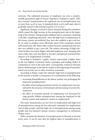everyone. The unlimited assurance of employees was even a constitutionally guaranteed right in former Yugoslavia (Vodopivec 1995b). After the economic transformation the registered rate of unemployment rose to more than 14.4% in 1993. It remained above 13.9% until 1998, when it gradually started to fall and had reached  $7.7\%$  in 2007.<sup>1</sup>

Significant changes occurred in labour demand during the transition, which caused the high increase in the unemployment rate at the beginning of the nineties. Young people suddenly had no assurance of getting a job after completing education. Since the high level of employment in the former system was artificial, they were also unlikely to get a job easily. In order to produce more efficiently, most of the companies started with massive lay-offs. Many older workers became unemployed and were also very unlikely to get a new job. The relative advantage of high educated workers increased. Higher educated employees were changing jobs more easily; they were less likely to become unemployed and had better chances of re-employment, if needed.

According to Vodopivec (1995b), women represented a higher share in the two highest vocational classes (managers and leading clerks) in comparison to men in the mid-1980s. Consequently, women in Slovenia had no disadvantages in the labour market at the beginning of transition, which was not the case in other transition economies.

According to Kajzer (1998) the relatively high level of unemployment in the nineties is mostly a consequence of a combination of the following:

- increasing disequilibrium in the labour market was prolonging the long term unemployment;
- the effect of increasing investment activity on employment was neutralised by the structure of investment and increasing structural discrepancies;
- the effect of economic growth on employment was decreased by wage growth, hidden unemployment among the employed in the former system and employers' caution in employment.

The main characteristics are low level of employment and high level of unemployment among the low educated, extremely low employment rate of older people, relatively high rate of unemployment among young people and non-intensive human resource management in enterprises (Kajzer 2005).

Table 1 presents the duration of unemployment in Slovenia in the last seven years. It can be seen that the highest share of unemployment is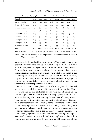| Duration              | 2000  | 2001                   | 2002  | 2003   | 2004   | 2005   | 2006   | 2007   |
|-----------------------|-------|------------------------|-------|--------|--------|--------|--------|--------|
| Up to 3 months        | 17.9  | 20.2                   | 20.2  | 23.6   | 25.5   | 22.7   | 22.4   | 21.7   |
| From 3 till 6 months  | 10.0  | 13.2                   | 13.0  | 14.0   | 14.3   | 13.9   | 11.3   | 12.6   |
| From 6 till 9 months  | 5.5   | 6.2                    | 7.0   | 8.4    | 8.2    | 8.8    | 8.1    | 7.8    |
| From 9 till 12 months | 5.2   | 5.8                    | 7.5   | 8.0    | 7.5    | 8.3    | 7.5    | 7.2    |
| From 1 till 2 years   | 15.3  | 14.2                   | 18.5  | 19.1   | 19.4   | 18.3   | 20.4   | 18.2   |
| From 2 till 3 years   | 12.1  | 9.0                    | 8.1   | 9.7    | 9.1    | 9.5    | 9.7    | 10.3   |
| From 3 till 5 years   | 16.4  | 13.5                   | 10.2  | 7.3    | 7.7    | 8.8    | 9.7    | 10.1   |
| From 5 till 8 years   | 10.5  | 9.3                    | 7.5   | 4.4    | 3.6    | 4.5    | 5.3    | 6.3    |
| More than 8 years     | 7.2   | 8.6                    | 7.9   | 5.4    | 4.7    | 5.2    | 5.5    | 5.9    |
| Total                 | 100.0 | 100.0                  | 100.0 | 100.0  | 100.0  | 100.0  | 100.0  | 100.0  |
| Total in persons      |       | 104,583 104,316 99,607 |       | 95,993 | 90,728 | 92,575 | 78,303 | 68,411 |

table 1 Duration of unemployment in Slovenia in % of total number of unemployed

note Based on data available on the Employment Office of the Republic of Slovenia web site (http://www.ess.gov.si/).

represented by the spells of less than 3 months. This is mainly due to the fact that all unemployed receive a financial compensation as a certain share of their previous wage in the first three months of unemployment. The duration of up to 3 months is followed by the duration of 1 to 2 years, which represents the long-term unemployment. It has increased in the last seven years from 15.3% in 2000 to 20.4% in 2006. On the other hand, very long-term unemployment, measured as duration of unemployment above 2 years, amounted to 30.2% of total unemployed workers in 2006, which is 16 percentage points less than in 2000.

Relatively generous unemployment benefits throughout the observed period makes people less motivated for searching for a new job (Kajzer 2005). This can be also confirmed by observing the difference among ILO<sup>2</sup> unemployment rate and registered unemployment rate. In Slovenia, there is a large discrepancy among the two rates of unemployment. Table 2 shows significant differences among the rates, although it is gradual in the recent years. This is mainly due to above mentioned financial aid, relatively high level of informal work and a high share of long term unemployed who become passive and do not meet the second criterion of actively seeking for a job in the Labour Force Survey (Kajzer 2005). Consequently, registered rates imply that Slovenia has high unemployment, while ILO rates show that it has low unemployment. Taking into account international criteria, the 110 rates should be considered. We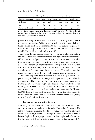| Unemployment rate                     |  | 2000 2001 2002 2003 2004 2005 2006 2007 |     |     |     |     |
|---------------------------------------|--|-----------------------------------------|-----|-----|-----|-----|
| Registered                            |  | 12.2 11.6 11.6 11.3 10.6 10.2 9.4 7.7   |     |     |     |     |
| ILO                                   |  | $6.7$ $6.2$ $6.3$ $6.7$ $6.3$ $6.5$ $6$ |     |     |     | 4.9 |
| Difference (% points) 5.5 5.4 5.3 4.6 |  |                                         | 4.3 | 3.7 | 3.4 | 2.8 |

table 2 Comparison of the registered and ilo unemployment rates for Slovenia

note Based on data available on the Employment Office of the Republic of Slovenia website (registered rates, see http://www.ess.gov.si/) and on the Eurostat website (ILO rates, see http://ec.europa.eu/eurostat).

present the comparison of Slovenia in the EU according to ILO rates in the rest of this section. While the analytical part of the paper below is based on registered unemployment data, since the database required for the duration analysis is not available in the Labour Force Survey but was provided by the Slovenian Employment office.

According to the Labour Force Survey the unemployment rate in Slovenia is below the European average. The light gray columns for individual countries in figure 1 present total ILO unemployment rates, while the gray columns denote the long term unemployment rate, measured as a share of long term unemployed<sup>3</sup> in the active population of individual countries. Both unemployment rates for Slovenia are below eu15 and eu25 in 2006. The total unemployment rate is 6.0%, which is 1.4 and 1.9 percentage points below the eu15 and eu25 averages, respectively.

While the long term unemployment in Slovenia is 2.9%, which is 0.2 percentage point below eu15 average and 0.7 percentage point below the eu25 average. The highest total unemployment rates were recorded for Poland (13.8%), Slovakia (13.4%) and France (9.5%), while the lowest rate is 3.9% for Denmark and Netherlands. As far as the long term unemployment rate is concerned, the highest rate was noted for Slovakia  $(10.8\%)$ , Poland  $(7.8\%)$  and Germany  $(4.6\%)$ . On the other hand, the lowest long term unemployment rates are recorded for Denmark (0.8%), Cyprus  $(0.9\%)$  and Sweden  $(1.1\%)$ .

#### **Regional Unemployment in Slovenia**

According to the Statistical Office of the Republic of Slovenia there are twelve statistical regions in Slovenia: Pomurska, Podravska, Koroška, Savinjska, Zasavska, Spodnjeposavska, Jugovzhodna Slovenija, Osrednjeslovenska, Gorenjska, Notranjsko-kraška, Goriška and Obalnokraška. Registered unemployment rates in these regions clearly indicate the East-West distribution. Eastern regions, such as Pomurska and Po-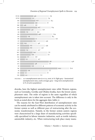

FIGURE 1 ILO unemployment rates in EU25, 2006, in % (light gray – harmonized unemployment rates, yearly averages; gray – long-term unemployment in % of active population)

dravska, have the highest unemployment rates while Western regions, such as Gorenjska, Goriška and Obalno-kraška, have the lowest unemployment rates. The order of regions is the same regardless of which unemployment rate is taken into account. The difference is only in the levels as noted above for the aggregate data (table 2).

The reasons for the East-West distribution of unemployment rates can be mainly attributed to different patterns of economic activity in the former system as well as different pace of restructuring after the economic transformation. Namely, in the former system eastern regions were characterized by a large share of manufacturing activities specifically specialized in labour intensive industries, such as textile industry, automobile industry, etc. When restructuring took place many manu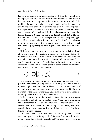facturing companies were abolished, leaving behind huge numbers of unemployed workers, who had difficulties in finding new jobs due to at least two reasons: (1) required qualification in other sectors and (2) the problem of overall lower labour demand. Despite the fact that many new small firms arose, their labour demand was/is much lower compared to the large socialist companies in the previous system. Moreover, investigating patterns of regional specialization and concentration of manufacturing, Traistaru, Nijkamp and Resmini (2002) found that in Slovenia regional specialization had not changed significantly in the period 1990– 1999. Thus, the regional distribution of sectoral activity has not changed much in comparison to the former system. Consequently, the high level of unemployment persists in regions with a high share of manufacturing.

Differences among regions can be presented by the coefficient of variation. This is one of the structural indicators by which the eu follows the implementation of the Lisbon strategy in employment, innovation and research, economic reforms, social cohesion and environment (Pečar 2005). According to Eurostat's methodology, the coefficient of variation of regional unemployment rates is based on the weighted variance of unemployment rates, which is defined as:

$$
Var\left(\frac{x_i}{y_i}\right) = \sum_i \left( \left[ \frac{x_i}{y_i} - \frac{\bar{x}}{\bar{y}} \right]^2 \frac{y_i}{\sum_i y_i} \right). \tag{1}
$$

where  $x_i$  denotes unemployed persons in region  $i, y_i$  represents active population in region *i*,  $\bar{x}$  and  $\bar{y}$  stand for the averages of  $x_i$  and  $y_i$ , and  $\bar{x}/\bar{y}$ is the unemployment rate at national level. The coefficient of variation of unemployment rates is the square root of the variance stated in Equation 1 divided by the unemployment rate at national level. It gives a measure of the regional spread of unemployment rates.

In the period 2000–2002 the coefficient of variation was increasing and it reached the highest point of 35.1% in 2002. Afterwards it was decreasing and it reached the lowest value of 30.8 in the first half of 2006. This development of coefficient of variation implies that the regional differences in the unemployment rate in Slovenia have been decreasing during the last four years (figure 2).

Also the regional level of unemployment and its regional dispersion can be compared at the European level. Eurostat (2006) divides statistical units according to the Nomenclature of Territorial Units for Statistics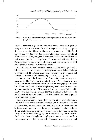

figure 2 Coefficient of variation of regional unemployment in Slovenia, 2000–2006 (adapted from Pečar 2006)

(NUTS) adopted in July 2003 and revised in 2005. The NUTS regulation comprises three main levels of statistical regions according to population size NUTS 1 (3 million–7 million), NUTS 2 (800,000–3 million) and nuts 3 (150,000–800,000). Below nuts 3 level, there are so called Local Administrative Units  $(LAU)$ , which represent districts and municipalities and are not subject to NUTS regulation. Thus, NUTS classification divides Europe into 89 regions on nuts 1 level, 254 regions on nuts 2 level and 1214 regions on nuts 3 level (Eurostat 2007).

According to the size of Slovenia, the whole country belongs to NUTS 2 level, while each of the 12 statistical regions described above belongs to NUTS 3 level. Thus, Slovenia as a whole is one of the 254 regions and Slovene statistical regions are 12 among 1214 European regions.

At NUTS 2 level the lowest rates of unemployment in 2005 were recorded in Herefordshire, Worcestershire and Warwickshire in uk (2.6%), Provincia Autonoma Bolzano/Bozen in Italy (2.7%) and North Yorkshire in  $UK (2.9%)$ . While the highest regional unemployment rates were attained in Výhodné Slovensko in Slovakia (23.1%), Dolnoslaskie ´ (22.8%) and Zahodnieopomorskie (22.7%) in Poland (Mladý 2006). As noted above, at the same level Slovenia has reached the unemployment rate of 6.5% (sors 2006).

Table 3 presents regional unemployment rates at NUTS 3 level for 2005. The first part are the lowest rates, below 3%, in the second part are the 12 statistical regions in Slovenia and the third part of the table shows the highest unemployment rates in Europe, above 25%. It can be noted that the unemployment rates below 3% were recorded for 6 regions in uk, 4 regions in the Netherlands, 3 regions in Italy and 2 regions in Austria. On the other hand, the highest unemployment rates were registered for 8 German regions, 3 Polish regions and 1 Greek region. Slovenian regional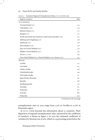| Region (country)                                          | Rate |
|-----------------------------------------------------------|------|
| EU25 minimum                                              |      |
| Overig Zeeland (NL)                                       | 2.4  |
| Oxfordshire (UK)                                          | 2.4  |
| Bolzano-Bozen (1T)                                        | 2.7  |
| Bologna (IT)                                              | 2.7  |
| North and North East Somerset, South Gloucestershire (UK) | 2.7  |
| Salzburg und Umgebung (AT)                                | 2.8  |
| Innsbruck (AT)                                            | 2.8  |
| Warwickshire (UK)                                         | 2.8  |
| Kop van Noord-Holland (NL)                                | 2.9  |
| Midden-Noord-Brabant (NL)                                 | 2.9  |
| Devon $cc(vK)$                                            | 2.9  |
| Oost-Zuid-Holland (NL), North Yorkshire (UK), Surrey (UK) | 3.0  |
| Slovenia                                                  |      |
| Goriška                                                   | 4.2  |
| Gorenjska                                                 | 4.7  |
| Obalno-kraška                                             | 4.8  |
| Osrednjeslovenska                                         | 4.9  |
| Notranjsko-kraška                                         | 5.1  |
| Jugovzhodna Slovenija                                     | 5.6  |
| Koroška                                                   | 6.8  |
| Spodnjeposavska                                           | 7.4  |
| Savinjska                                                 | 8.1  |
| Podravska                                                 | 8.7  |
| Zasavska                                                  | 8.8  |
| Pomurska                                                  | 11.0 |

TABLE 3 European Regional Unemployment Rates, NUTS 3 level, 2005

*Continued on the next page*

unemployment rates in 2005 range from 4.2% in Goriška to 11.0% in Pomurska region.

At NUTS 3 level Eurostat has information about 21 countries. Their dispersion of regional unemployment rates, measured by the coefficient of variation, is shown in figure 3. In 2005 the estimated coefficient of variation for Slovenia was 30.9%, which is 0.9 percentage point below the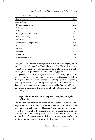| Region (country)               | Rate |
|--------------------------------|------|
| EU25 maximum                   |      |
| Nordvorpommern (DE)            | 25.0 |
| Ostvorpommern $(\text{de})$    | 25.7 |
| Uckermark (DE)                 | 25.9 |
| Görlitz, Kreisfreie Stadt (DE) | 26.0 |
| Sangerhausen (DE)              | 26.0 |
| Mansfelder Land (DE)           | 26.1 |
| Jeleniogórsko-walbrzyski (PL)  | 26.5 |
| $S$ lupski $(pL)$              | 27.2 |
| $Elcki$ ( $PL$ )               | 27.3 |
| Demmin (DE)                    | 27.9 |
| Kastoria (GR)                  | 28.5 |
| Uecker-Randow (DE)             | 29.8 |

table 3 *Continued from the previous page*

average of 31.8%. Below the average are also differences among regions in Sweden (15.6%), Ireland (16.6%) and Denmark (20.3%), while the most evident are the differences among regional unemployment rates in Italy (62.5%), Czech Republic (46.6%) and Germany (45.3%).

In general, the European regional dispersion of unemployment rate has decreased at NUTS 3 level in the last three years. Considerable falls in the regional difference were recorded for Italy (19.4 percentage points), Hungary and Germany (both 6.8 percentage points). On the other hand, there were also some gaps expanded, as for Slovakia, Estonia and Lithuania with an increase in coefficient of variation by 6.8, 6.1 and 3.7 percentage points, respectively.

# **Regional Comparison of the Length of Unemployment Spells in Slovenia**

The data for our empirical investigation were obtained from the Employment Office of the Republic of Slovenia. The database consists of the unemployment spells completed between January 1st, 2002 and November 18th, 2005 and all of the ongoing spells on November 18th, 2005. For each of the unemployment spells, the start and end date and the factors sex, age, level of education and statistical region were made available to us. Since the Employment Office of the Republic of Slovenia is not al-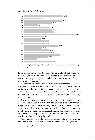

FIGURE 3 Dispersion of regional unemployment rates in EU (NUTS level 3) in 2005, in %

lowed to disclose personal data about the unemployed, only a personal identifying number was added to enable identification of repeated spells. 455,581 unemployment spells are included in our database with the maximal length of 13,547 days.

In a preliminary analysis, the descriptive statistics for the 348,281 spells completed on November 18th, 2005 were calculated. The mean, standard deviation and the 95% confidence intervals of the mean for the 12 Slovenian regions can be found in table 4. Already from the 95% confidence intervals for the mean one may observe significant differences among different regions.

One of the visual aids to present such results are the boxplots (figure 4). The boxplot (also called the box-and-whiskers plot) summarizes a single numeric variable within categories of another variable. Each box shows the median, the quartiles and the whiskers that extend to the last point within 1.5 times the interquartile range. The outliers are usually also given in the boxplots, but we left them out due to the fact that our distribution has a very long right tail.

The difference between Podravska, Zasavska and Savinjska region on the one hand and Gorenjska, Goriška and Obalno-kraška region on the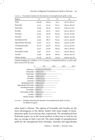| Region                | $\left( 1\right)$ | (2)    | (3)    | (4)              |
|-----------------------|-------------------|--------|--------|------------------|
| Total                 | 348,281           | 479.69 | 791.11 | (477.07, 482.32) |
| Pomurska              | 31,122            | 472.54 | 815.10 | (463.49, 481.60) |
| Podravska             | 76,393            | 565.38 | 906.26 | (558.95, 571.81) |
| Koroška               | 13,633            | 467.75 | 756.92 | (455.05, 480.47) |
| Savinjska             | 50,941            | 509.86 | 809.46 | (502.83, 516.89) |
| Zasavska              | 9,873             | 505.27 | 791.79 | (489.65, 520.89) |
| Spodnjeposavska       | 14,542            | 486.75 | 813.92 | (473.52, 499.98) |
| Jugovzhodna Slovenija | 19,503            | 510.35 | 893.39 | (497.81, 522.88) |
| Osrednjeslovenska     | 60,716            | 426.60 | 660.58 | (421.34, 431.85) |
| Gorenjska             | 33,227            | 375.98 | 636.94 | (369.13, 382.83) |
| Notranjsko-kraška     | 7,947             | 452.62 | 714.22 | (436.92, 468.33) |
| Goriška               | 12,938            | 395.48 | 668.45 | (383.96, 407.00) |
| Obalno-kraška         | 16,736            | 430.46 | 779.92 | (418.64, 442.28) |

table 4 Descriptive statistics for the duration of unemployment spells, in days

Column headings are as follows: (1)  $N$ , (2) mean, (3) standard deviation, (4) 95% confidence interval for the mean.





other hand is obvious. The regions of Gorenjska and Goriška are the most advantageous in the labour market with mean length of unemployment spells of 376 and 395 days, respectively. The unemployed from Podravska region are in the worst position, as they have to wait for 565 days on average to find a new job. The mean length of unemployment spells for the unemployed from Savinjska, Zasavska and Jugovzhodna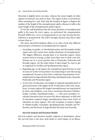Slovenija is slightly above 500 days, whereas the mean lengths of other regions are between 400 and 500 days. The region is thus a crucial factor when searching for a job. Note that the boxplot in figure 4 displays the median of the length of the unemployment spells, whereas in table 4 the mean length of the unemployment spells is given.

To test the null hypotheses that the mean duration of unemployment spells is the same for every region, we performed the nonparametric Kruskal-Wallis test. anova is inappropriate in our case, because the distribution is asymmetrical. The null is strongly rejected, since the *p*-value is lower than  $10^{-6}$ .

The above described database allows us to take a look into different characteristics of duration of unemployment by regions:

- 1. According to gender, in Osrednjeslovenska and Notranjsko-kraška region men and women have similar durations of unemployment. The biggest difference among them is in Zasavska region, where women need on average 43 days more than men to find a new job. Women are in a worse position also in Pomurska, Podravska and Koroška region. On the other hand, it takes longer for men to get re-employed in Goriška and Spodnjeposavska region.
- 2. Regarding age, in all regions the unemployed aged between 40 and 60 years are in the worst position. It is interesting to note that young unemployed (18 years or less) have a relatively long duration of unemployment in Jugovzhodna Slovenija, Spodnjeposavska, Zasavska, Podravska and Pomurska region.
- 3. As for level of education, the length of regional unemployment in general decreases with higher levels of education with a few exceptions. In many regions the longest unemployment was experienced by those who finished 3-year lower vocational education (Obalnokraška, Goriška, Osrednjeslovenska, . . .). Also post-secondary vocational education does not prove the above statement, as this level of education required longer unemployment than lower levels of education in many regions. The next exception is master's degree in Obalno-kraška, Gorenjska, Spodnjeposavska, Koroška and Podravska, and doctorate in Jugovzhodna Slovenija and Zasavska.

# **Survival Analysis and Duration Models**

Survival analysis and duration models originate in biostatistics, where the survival time is the time until death or until relapse of an illness.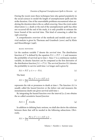During the recent years these techniques have also gained popularity in the social sciences to model the length of unemployment spells and the strike duration. One of the unavoidable problems encountered when analyzing the duration data is the so-called *censoring.* Since the event under observation (i. e. death or the end of the unemployment spell) has often not occurred till the end of the study, it is only possible to estimate the lower bound of the survival time. This kind of censoring is called the *right censoring.*

A comprehensive overview of the methods and models used in survival analysis is given by Therneau and Grambsch (2000) and by Klein and Moeschberger (1998).

#### basic notions

Let the random variable *T* denote the *survival time.* The distribution function of *T* is defined by the equation  $F(t) = P(T \le t)$  and measures the probability of survival up to time *t*. Since *T* is a continuous random variable, its density function can be computed as the first derivative of the distribution function  $f(t) = F'(t)$ . The *survival function*  $S(t)$  denotes the probability to survive until time *t* or longer and is given by

$$
S(t) = P(T \ge t) = 1 - F(t).
$$
 (2)

The limit

$$
\lambda(t) = \lim_{\delta \to 0} \frac{P(t \le T < t + \delta | T \ge t)}{\delta} \tag{3}
$$

represents the risk or proneness to death at time *t*. The function  $\lambda(t)$  is usually called the *hazard function* or the *failure rate* and measures the instantaneous death rate given survival until time *t*.

By integrating the hazard function over the interval [0, *t*] one obtains the so-called *cumulative hazard function*

$$
\Lambda(t) = \int_{o}^{t} \lambda(u) du.
$$
 (4)

In addition to defining basic notions, we shall also derive the relations between them that will be needed in the following subsections. Obviously,

$$
\lambda(t) = \lim_{\delta \to 0} \frac{P(t \le T < t + \delta)T \ge t)}{\delta} =
$$

*Volume 7 · Number 2 · Summer 2009*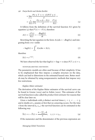138 *Darja Boršiˇc and Alenka Kavkler*

$$
= \lim_{\delta \to 0} \frac{P(t \le T < t + \delta)/P(T \ge t)}{\delta} =
$$
  
= 
$$
\frac{1}{S(t)} \lim_{\delta \to 0} \frac{F(t + \delta) - F(t)}{\delta} = \frac{F'(t)}{S(t)}.
$$
 (5)

It follows from the definition of the survival function  $S(t)$  given by equation (4) that  $F'(t) = -S'(t)$ , therefore

$$
\lambda(t) = \frac{-S'(t)}{S(t)} = -\frac{d\log S(t)}{dt}.\tag{6}
$$

Rewriting the last equation in the form  $\lambda(u)du = -d\log S(u)$  and integrating from 0 to *t* yields

$$
-\log S(t) = \int_0^t \lambda(u) du = \Lambda(t),\tag{7}
$$

therefore

$$
S(t) = e^{-\Lambda(t)}.\tag{8}
$$

We have observed the fact that  $logS(0) = log1 = 0$  since  $P(T \ge 0) = 1$ .

#### nonparametric methods

The parametric models are often used because of their simplicity. It has to be emphasized that they impose a complex structure on the data, which can lead to distortions in the estimated hazard rates. Better models may be obtained by using nonparametric methods that impose very few restrictions.

#### *Kaplan-Meier estimator*

The derivation of the Kaplan-Meier estimator of the survival curve can be found in Greene (2003) and in Zeileis (2002). This estimator of the survival function is also called the *product limit estimator* for reasons that will be clear later on.

Given *n* individuals with *p* distinct survival times  $t_1 < t_2 < \ldots < t_p$ and *di* deaths at *ti*, assume at first that no censoring occurs. For the time *t* from the interval  $[t_s, t_{s+1})$  the survival function can be estimated in the following way:

$$
\hat{S}(t) = 1 - \hat{F}(t) = \frac{n - \sum_{j=1}^{s} d_j}{n}, \quad t_s \le t < t_{s+1}.\tag{9}
$$

If the numerator and the denominator of the previous expression are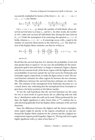successively multiplied by factors of the form  $n - d_1 - d_2 - \cdots - d_i$ ,  $i =$ <sup>1</sup>, <sup>2</sup>,..., *<sup>s</sup>* <sup>−</sup> <sup>1</sup>, one obtains

$$
\hat{S}(t) = \frac{n - d_1}{n} \cdot \frac{n - d_1 - d_2}{n - d_1} \cdot \dots \cdot \frac{n - d_1 - d_2 - \dots - d_s}{n - d_1 - \dots - d_{s-1}}.
$$
(10)

Let  $r_i = n$ ,  $i = 2, ..., p$ , denote the number of individuals whose observed survival time is at least *ti*−<sup>1</sup> and let *ri*. In other words, the *number at risk ri* takes into account all individuals alive during the time interval  $[t_{i-1}, t_i]$ . Under the assumption of no censoring, the equation  $r_{i+1} = r_i - d_i$ holds, whereas  $r_{i+1} = r_i - d_i - c_i$  if censorings occur, with  $c_i$  equal to the number of censored observations in the interval  $[t_{i-1}, t_i]$ . The final version of the Kaplan-Meier estimator can thus be written as

$$
\hat{S}(t) = \left(1 - \frac{d_1}{r_1}\right) \cdot \cdots \cdot \left(1 - \frac{d_s}{r_s}\right) = \prod_{j=1}^s \left(1 - \frac{d_j}{r_j}\right), \quad t_s \le t < t_{s+1}. \tag{11}
$$

#### **RESULTS**

Recall that the survival function  $S(t)$  denotes the probability of survival time greater than or equal to *t*. In our case, the probability for the unemployment spell to last until time t or longer is measured. Figure 5 depicts only the two extreme levels of the factor region with the highest and lowest probability of survival, namely the survival curves for Podravska and Gorenjska region, respectively, to make the figure easier to read. The survival function estimates for other regions lie between the two extremes. The differences between the survival function estimates are clearly visible. The estimate of the unemployed from Podravska decreases to 0 at a much slower rate, indicating that the unemployed from Gorenjska region have a far better position in the labour market.

To test the null hypothesis that the survival functions are the same for two or more levels of a given factor, the so-called log rank test with the  $\chi^2$ -distribution under the null can be used. When performed for our data, the highly significant *p*-value (lower than  $10^{-16}$ ) confirms the results derived graphically from the Kaplan-Meier estimates of the survival functions.

Since the differences between the highest and the lowest unemployment region might be specific to the regions considered, we also performed the Kaplan-Meier analysis for the 4 lowest and the 4 highest unemployment regions pooled together (figure 6). The log rank test is again highly significant with a *p*-value of less than  $10^{-6}$ .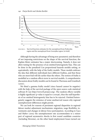

region and the unemployed from Gorenjska region (in bold)

Although having the advantage of being non-parametric and therefore of not imposing restrictions on the shape of the survival function, the Kaplan-Meier estimator has a major shortcoming. Namely, it does not allow testing for the presence of an omitted heterogeneity bias. This can be done in the penalized Cox proportional hazards models setting, or equivalently, with the help of the frailty models. These models embrace the idea that different individuals have different frailties, and that those who are most frail will die earlier than the others. The notion of frailty is modelled as a random effects term in survival models. A comprehensive discussion about frailty models can be found in Therneau and Grambsch  $(2000).$ 

We fitted a gamma frailty model (since hazard cannot be negative) with the help of the survival package of the open source code statistical software R (see http://www.R-project.org). The random effects variable is highly significant (*p*-value is equal to 0.00046), thus the null hypothesis of no omitted heterogeneity bias has to be rejected. Omitted heterogeneity suggests the existence of some unobserved reason why regional unemployment differences might persist.

We can look for reasons of persistent regional disparities in regional labour market adjustment mechanisms: migration, wage flexibility, investments and changes in labour force participation. According to Gacs and Huber (2005) the unemployment rate accommodates to a minor part of regional asymmetric shocks in first round candidate countries (including Slovenia), on the other hand employment losses turned out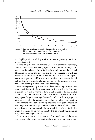

to be highly persistent, while participation rates importantly contribute to the adjustment.

Internal migration in Slovenia is low, has fallen during the transition, and it is not effective in reducing regional disparities (Huber 2007; Fidrmuc 2004). Such characteristics of migration despite substantial regional differences are in contrast to economic theory, according to which the migration should increase rather than fall. One of the major impediments for migration could be real estate market: house ownership and high land prices contribute to lower migration, while increased construction accelerates migration to a region (Huber 2007).

As far as wage flexibility is concerned, there is no straightforward outcome of existing studies for transition countries as well as for Slovenia. In general, Slovenia is known to have a high degree of labour market rigidity (Ferragina and Pastore 2008). Büttner (2007) does find a correctly signed (negative) and significant effect of regional unemployment rate on wage level in Slovenia after controlling for industry composition of employment. Although his findings show that the negative impacts of unemployment rates on wage level are similar to those of old eu members, this does not automatically imply a high level of wage flexibility, since EU countries are known for a relatively high level of wage rigidities to regional unemployment rates.

For transition countries Bornhorst and Commander (2006) show that a substantial fall in labour demand results in very slow employment re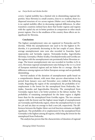covery. Capital mobility has a limited role in diminishing regional disparities. Since Slovenia is a small country, close to eu markets, there is a dispersed structure of FDI across regions (Huber 2007) indicating there is no capital mobility effect in decreasing regional differences. In other transition countries stylized facts show that border regions and regions with the capital city are in better position in comparison to other much poorer regions. Due to the smallness of the country these effects are insignificant for Slovenia.

## **Conclusions**

The highest unemployment rates are registered in Pomurska and Podravska. While the unemployment rate used to be the highest in Podravska, it is persistently decreasing in the last couple of years. Above average unemployment rates were also recorded in Zasavska, Spodnjeposavska and Savinjska regions. Notranjsko-kraška, Jugovzhodna Slovenija, Gorenjska, Obalno-kraška, Osrednjeslovenska and Goriška are the regions with the unemployment rate persistently below Slovenian average. The lowest unemployment rate was recorded in Goriška: 6.5% in 2005. Slovenian regional unemployment rates belong to the NUTS 3 level of European statistical regions and are below the eu average. Also the differences among regions are below European average and are gradually diminishing.

Survival analysis of the duration of unemployment spells based on a comprehensive dataset, with more than 450,000 observations in the period from January 2002 and November 2005 yielded the following results. Regarding the region of the unemployed, the probability of reemployment is the lowest for the unemployed from Podravska, Savinjska, Zasavska and Jugovzhodna Slovenija. The unemployed from Gorenjska region have a far better position in the labour market. The probability of remaining unemployed for the latter region is slightly lower than for the unemployed from Goriška region. The two extreme regions with the lowest and the highest mean length of unemployment are Gorenjska and Podravska region, where the unemployed have to wait for 376 and 565 days on average to find a new job, respectively. The differences between the Kaplar-Meier survival function estimates are highly significant. The probability of re-employment for the unemployed from Gorenjska is the highest among all regions, while being the lowest for the unemployed from Podravska.

The analysis has proven that the characteristics of duration of regional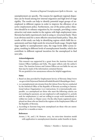unemployment are specific. The reasons for significant regional disparities can be found among low internal migration and high level of wage rigidity. The results can help to identify potential target groups of unemployed in different regions in order to improve the efficiency of an active employment policy. Furthermore, one of the prime policy objectives should be to enhance migration by, for example, providing a more attractive real estate market in the regions with high employment rates. Slovenia has lately experienced a lack in using eu structural funds. There is an obvious need for a more effective structural funds policy. Thus, the results of this study can help in identifying regions which fulfil the requirements and have high needs for structural funds usage. Despite high wage rigidity to unemployment rates, the wage levels differ across regions, resulting in different levels of unemployment benefits, which also contribute to different regional incentives for the unemployed to find new jobs.

## **Acknowledgments**

This research was supported by a grant from the Austrian Science and Liaison Offices Ljubljana and Sofia. The paper reflects only the author's views. The Austrian Science and Liaison Offices are not liable for any use that may be made of the information contained therein.

We are grateful to two anonymous referees for helpful suggestions.

## **Notes**

- 1 Based on data provided by Employment Service of Slovenia (http://www .ess.gov.si/slo/Dejavnost/StatisticniPodatki/Kazalci/GibanjeRegbp.htm).
- 2 ilo unemployment rate streams from the Labour Force Survey conducted by the Statistical Office of the Republic of Slovenia according to International Labour Organisation (ILO) instructions. It is internationally comparable. ILO unemployed are those who meet the following criteria: are not working for payment, are not employed or self-employed (1), actively seek for employment (2) and are willing to accept work immediately or within two weeks (3) (Kajzer 2005). On the other hand, registered unemployed are those who are listed in the register at the Employment Office of the Republic of Slovenia.
- 3 According to Eurostat long term unemployed are those who are unemployed for 12 months or more.

# **References**

Arranz, J. M., and J. M. Romero. 2003. An extra-time duration model with application to unemployment duration under benefits in Spain.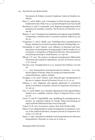Documento de Trabajo e2003/38, Fundacion Centro de Estudios Andaluces.

- Bayer, C., and F. Jüßen. 2006. Convergence in West German regional unemployment rates. Http://129.3.20.41/eps/urb/papers/0411/0411007.pdf.
- Bornhorst, F., and S. Commander. 2006. Regional unemployment and its persistence in transition countries. *The Economics of Transition* 14 (2): 269–88.
- Büttner, T. 2007. Unemployment disparities and regional wage flexibility: Comparing eu members and eu-accession countries. *Empirica* 34 (4): 287–97.
- D'Agostino, A., and F. Mealli. 2000. Modelling short unemployment in Europe. Institute for Social & Economic Research Working Paper 06.
- Domadenik, P., and F. Pastore. 2006. Influence of education and training systems on participation of young people in labour market of cee economies: A comparison of Poland and Slovenia. *International Journal of Entrepreneurship & Small Business* 3 (1): 640–66.
- Elhorst, J. P. 2003. The mystery of regional unemployment differentials: Theoretical and empirical explanations. *Journal of Economic Surveys* 17 (5): 709–48.
- Eurostat. 2006. Unemployment in EU25. Eurostat News Release STAT/06/ 150.

———. 2007. Nomenclature of territorial units for statistics – nuts: Statistical regions of Europe. Http://ec.europa.eu/comm/eurostat/ ramon/nuts/home\_regions\_en.html.

- Ferragina, A. M., and F. Pastore. 2008. Mind the gap: Unemployment in the new eu regions. *Journal of Economic Surveys* 22 (1): 73–113.
- Fidrmuc, J. 2004. Migration and regional adjustment to asymmetric shocks in transition economies. *Journal of Comparative Economics* 32  $(2): 230 - 47.$
- Gacs, V., and P. Huber. 2005. Quantity adjustments in the regional labour markets of eu candidate countries. *Papers in Regional Science* 4 (84): 542–58.
- Green, D., and W. Craig Riddell. 1995. Qualifying for unemployment insurance: An empirical analysis of Canada. Http://www.hrsdc.gc.ca/ eng/cs/sp/hrsdc/edd/reports/1995-000322/rep17.pdf.
- Greene, W. H. 2003. *Econometric analysis.* New York: Prentice-Hall.
- Huber, P. 2007. Regional labour market developments in transition: A survey of the empirical literature. *European Journal of Comparative Economics* 4 (2): 263–98.
- Kajzer, A. 1998. Uporabnost sodobnih teorij brezposelnosti pri obravnavi brezposelnosti v Sloveniji. ib *revija,* no. 8–10:46–52.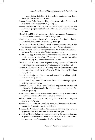———. 2005. Pojem fleksibilnosti trga dela in stanje na trgu dela v Sloveniji. Delovni zvezki 14, umar.

Kavkler, A., and D. Boršič. 2006. The main characteristics of unemployed in Slovenia. *Naše gospodarstvo* 52 (3–4): 3–15.

———. 2007. Duration data analysis: Features of unemployment spells in Slovenia. Paper presented at Warsaw International Economic Meeting, Warsaw.

- Klein, J. P., and M. L. Moeschberger. 1998. *Survival analysis: Techniques for censored and truncated data.* New York: Springer.
- Kupets, O. 2006. Determinants of unemployment duration in Ukraine. *Journal of Comparative Economics* 34 (2): 228–47.
- Landesmann, M., and R. Römisch. 2006. Economic growth, regional disparities and employment in the EU-27. WIIW Research Reports 333.
- Mladý, M. 2006. Regional unemployment in the European Union, Bulgaria and Romania. *Eurostat: Statistics in Focus,* no. 1.
- Moffitt, R. A. 1999. New developments in econometric methods for labour market analysis. In *Handbook of labour economics,* ed. O. Ashenfelter and D. Card, 1367–97. Amsterdam: North Holland.
- Newell, A., and F. Pastore. 2006. Regional unemployment and industrial restructuring in Poland. *Eastern European Economics* 44 (3): 5–28.
- Orazem, P., M. Vodopivec, and R. Wu 2005. Worker displacement during the transition: experience from Slovenia. *The Economics of Transition* 13 (2): 311–40.
- Pečar, J. 2005. Regije 2005: Izbrani socio-ekonomski kazalniki po regijah. Delovni zvezki 9, umar.

———. 2006. Regije 2006: Izbrani socio-ekonomski kazalniki po regijah. Delovni zvezki 15, umar.

- Römisch, R., and T. Ward. 2005. Regional employment paterns and prospective developments in the new eu member states. wiiw Research Reports 319.
- sors. 2006. Labour force survey results: Slovenia 2005. Rapid Reports 150/2006, Statistical Office of the Republic of Slovenia.
- Taylor, J., and C. Wren. 1997. uk regional policy: An evaluation. *Regional Studies* 31 (9): 835–48.
- Therneau, T. M., and P. M. Grambsch. 2000. *Modelling survival data: Extending the Cox model.* New York: Springer.
- Traistaru, I., P. Nijkamp, and L. Resmini. 2002. *The emerging economic geography in* eu *accession countries.* Adelshot: Ashgate.
- Vodopivec, M. 2004. Labor market developments in the 1990s. In *Slovenia: Yugoslavia to the European Union,* ed. M. Mrak, M. Rojec and C. Silva-Jáuregui, 292—314. Washington: The World Bank.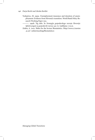- Vodopivec, M. 1995a. Unemployment insurance and duration of unemployment: Evidence from Slovenia's transition. World Bank Policy Research Working Paper 1552.
- ———. 1995b. Trg dela. In *Strategija gospodarskega razvoja Slovenije: Splošni pogoji za gospodarski razvoj,* 145–70. Ljubljana: umar.
- Zeileis, A. 2002. Slides for the lecture Biostatistics. Http://www.ci.tuwien .ac.at/∼zeileis/teaching/Biostatistics/.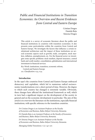# *Public and Financial Institutions in Transition Economies: An Overview and Recent Evidences from Central and Eastern Europe*

Cristian Dragos Daniela Beju Simona Dragos

This article is a survey of economic literature about the public and financial institutions in countries with transition economies. It also presents some particularities within the countries from Central and Eastern Europe. We investigate the factors that influence a certain institutional architecture and the impact of those institutions on several economic aspects such as growth, trade, corruption, stock markets, inflation, unemployment, etc. For the financial sector we investigate some specific problems: stock markets, deposit insurance, central bank and credit market, consolidation, globalization and international investment in financial services.

*Key Words:* institutions, transition, economic reform, Central and Eastern Europe jel *Classification:* p33, p34

## **Introduction**

In the 1990's the countries from Central and Eastern Europe embraced democracy and capitalism, which led to numerous radical socioeconomic transformations over a short period of time. However, the degree to which each country has changed is extremely variable. Obviously, these changes have affected the institutional framework as well, which in turn had a significant impact on the development of the society in general and on the economic development in particular. The aim of this article is to overview the literature on the institutions, especially financial institutions, with specific reference to the transition countries.

*Dr Cristian Dragos is an Assistant Professor at the Faculty of Economics and Business, Babes-Bolyai University, Romania. Dr Daniela Beju is an Assistant Professor at the Faculty of Economics and Business, Babes-Bolyai University, Romania. Dr Simona Dragos is an Assistant Professor at the Faculty of Economics and Business, Babes-Bolyai University, Romania.*

*Managing Global Transitions* 7 (2): 147–170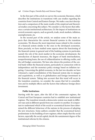In the first part of the article we survey the economic literature, which describes the institutions in transitions with case studies regarding the countries from Central and Eastern Europe. We make a succinct description and a comparison of the main results of the empirical and theoretical studies concerning this subject. We consider (a) the factors that influence a certain institutional architecture; (b) the impact of institutions on several economic aspects, such as growth, trade, stock markets, inflation, unemployment, etc.

In the second part of the article, we analyze some of the main aspects that characterize the current financial systems in the transition economies. We discuss the most important issues related to the creation of a financial system similar to the ones in the developed economies. More precisely, we have studied some aspects about the functioning of the financial system in general and of the banking systems in particular, namely the role of the stock market in the economic development, the introduction of deposit insurance, the degree of bank intermediation, nonperforming loans, the use of collateralization in offering credits, and the soft budget constraints. We have also shown the position of the central bank within the financial system, particularly in connection with its independence and the monetary policy strategy based on inflation targeting. Concerning the global economy, in the last two decades we have witnessed a rapid consolidation of the financial system due to mergers and acquisitions, as well as to globalization and foreign investment in the financial system. Taking into account that this trend will occur in the transition countries, we consider the causes that led to consolidation and its multiple effects and the factors that influence foreign direct investment.

## **Public Institutions**

Starting with the 1990s, after the fall of the communist regimes, the Central and East European countries had to establish new institutional regimes. The transition towards a democratic system was made in different ways and at different speeds from one country to another. It is important to understand which of the social or economical factors have determined the different behaviour of the nations in the process of adopting the new structures. Some authors consider that the economical factors predominate in the building of new regimes; others imply that the social factors, especially the social capital, decide the sustainment degree of the institutional reforms by the citizens.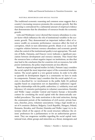#### natural resources and social values

The traditional economic reasoning and common sense suggests that a country's increasing resources promotes the economic growth. But this reasoning is contradicted by a substantial amount of empirical evidence that demonstrates that the abundance of resources breaks the economic growth.

Leite and Weidmann (2002) showed that resource abundance is a major factor which influences the role of institutional variables in the economic growth. They demonstrated an important indirect effect of resource wealth on economic performance: resources affect the level of corruption, which in turn determines growth. Isham et al. (2003) find a negative relation between resource abundance and economic growth when the control of the institutional quality is not appropriate. The analysis of Bulte, Damania, and Deacon (2005) indicates a significant association between development and resource intensity. They found that the resources have a robust negative impact on institutions, an idea that may lead to the conclusion that for countries rich on resources, but with poorer institutions, the policy improvements are less effective.

Based on empirical regional studies (in Italy), Putnam (1993) considers the social capital the most important aspect of the economical modernization. The social capital is a very general notion. In order to be able to quantify its development degree in a community we have to study its components. Putnam (1993) considers that the social capital of a society is described by: (a) involvement in the public field; (b) political equality based on cooperation not on dependency (addiction) regarding the relationships with the public authorities; (c) solidarity, trust and tolerance; (d) extensive participation in voluntary associations. Kunioka and Woller (1999) consider Central and Eastern Europe a favourable context for correlating the social capital with the democratically controlled procedures. The main motivation is the total extinction, during the communist period, of the institutions of civil society: private business, churches, press, voluntary associations. Using a logit model on a set of 8 countries (Belarus, Bulgaria, Czech Republic, Hungary, Poland, Romania, Slovakia, and Ukraine) Kunioka and Woller (1999) try to determine which of the aspects of the social structure influence the citizens' preferences for a parliamentary or for an authoritarian government. They use exogenous variables regarding the social capital: institutional trust, ethnic groups and minorities as a threat, immigrants and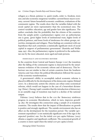refugees as a threat, patience vs. quick results, order vs. freedom, town size; and also economic exogenous variables: current/future macro economy, current/ future household economic conditions, evaluations of the communist regime. The results show that the variables linked with the social capital are more representative than the economical ones. The control variables: education, age and gender have also significance. The author concludes that the probability that the citizens of the countries from the sample prefer a parliamentary regime over an authoritarian one is great, 'given higher levels of institutional trust, higher levels of political patience, and lower levels of intolerance for ethnic groups, minorities, immigrants and refugees. These findings are consistent with our hypotheses that each constitutes a statistically significant stock of social capital in support of parliamentary government' (Kunioka and Woller 1999, 593). Also, the parliamentary regime is preferred to the authoritarian one by the more educated, more aged and male persons.

#### democracy and economic reform

In the countries from Central and Eastern Europe (CEE) the transition after the falling of the communist regime is characterized by the simultaneous evolution of the economic reform and of democracy. This behaviour was not similar to that of certain countries from the Southern America and Asia where the political liberalization followed the success of the economic transformations.

A government's ability to accomplish radical economic reforms is placed in difficulty by the development of the democratic regime (Roland 2000). In a democratic system the citizens can refuse some economical reforms, which would not happen in the case of a benevolent dictator (eg. China). Cheung (1998) considers that the introduction of democracy in an unstable stage of transition may lead to a decline of the national output.

Fidrmuc (2003) believes that in the CEE the 'democracy reinforces progress in economic liberalization, which in turn, improves growth' (p. 583). He investigates this connection using a sample of 25 transition countries. The results show that the impact of liberalization on growth is positive and strongly significant. The outside environment also has an effect on the development for the transition period. The variable 'government expenditure' is not statistically significant even if the sign is the expected (positive) one. For the initial GDP per capita Fidrmuc (2003) obtains a negative and significant coefficient. The economical growth of a country is more rapid when the initial GDP per capita is lower.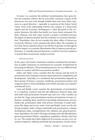In some cee countries the political transformations have gone before the economic reforms. But in some other countries a regress of the democracy was seen even though initially there have been taken measures in a good direction – especially in countries of the former Soviet Union. Even if the relationship between the creation of a democratic regime and the economic development is often discussed in the economic literature, this effect has hardly ever been clearly estimated. Dethier, Ghanem, and Zoli (1999) remark a positive correlation between the degree of democratization and the evolution in economic liberalization. Nonetheless, they do not consider the direct effect of democracy on growth. Fidrmuc (2003) estimates this direct effect. He concludes (p. 602) that 'democratization alone is not the key to growth; it is through its positive impact on economic liberalization that it improves growth performance. A centrally planned democracy would be even less conducive to growth than an autocratic market economy.'

#### privatisation

In the 1990's, the former communist countries considered the privatization of public enterprises an instrument for economic development by increasing its efficiency. The privatization process was very different from country to country and from one period to another.

Fisher and Sahay (2000) consider that the velocity and the level of privatization have essential economic repercussions for competition and development. Generally, it is considered that privatization depends on three groups of factors: economic conditions, government policies and exogenous factors (Goel and Budak 2006; Parker and Saal 2003; Djankov and Murrell 2002).

Goel and Budak (2006) examine the determinants of privatization in 25 transition countries and also the differences between large scale and small scale privatization between 1997 and 2001. They consider (p. 99) that the 'large-scale privatization involves privatization of major industries, including those involved in providing infrastructure services. Small-scale privatization deals with private ownership of small enterprises like shops and service units.' Goel and Budak (2006) use the following variables: index of large-scale/small-scale privatisation, a human development index, unemployment rate, inflation rate, general government expenditure, the index of foreign exchange and trade liberalization, general government balance, population, population density, land area  $(p. 103)$ . The results show that a high level of economic success (GDP, education, longevity), influence positively the privatisation. Greater unem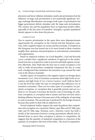ployment and lower inflation stimulates small scale privatisation but the influence on large scale privatization is not statistically significant. Foreign exchange liberalization encourages both types of privatisation but bigger government deficits stimulate only the large-scale privatisation. The country size and the population have an important positive effect, especially in the last years of transition. Strangely, a greater population density appears to slow down the process.

#### **CORRUPTION**

Due to massive privatization in the 1990s there were disproportionate opportunities for corruption in the Central and East European countries, with a negative impact on society and the economy. Corruption in this European area has turned out to be more brutal as these countries amplify their openness and participation in international communities and organizations.

Based on empirical evidence (in Czech Republic), Lizal and Kocenda (2001) consider that a significant transform of approach to the institutional structure is required in order to prevent and battle against corruption effectively. They think that the best way to avoid corruption is not only to make all procedures completely transparent but also to create such a background that minimizes the incentives to go around the rules even in the absence of penalty.

Another aspect of corruption is the negative impact on foreign direct investment (FDI). Even if transition economies show high levels of corruption and high levels of FDI, Cuervo-Cazurra (2008) believes that it is not the level but rather the type of corruption that influences FDI in transition economies. There are two main types of corruption: (a) persistent corruption, or corruption that is generally present and acts as a limit to FDI because it increases the known costs of investing; (b) arbitrary corruption, or corruption that is unsure and does not have such a limiting influence because it becomes part of the ambiguity of operating in such economies. The second type is preferred by the foreign investors because they prefer to deal with an unknown evil.

Several empirical studies support the main hypothesis that competition and corruption are connected (Mauro 1995; Bliss and Di Tella 1997; Ades and Di Tella 1999; Treisman 2000). Emerson (2006) has built a model of the interaction between corrupt government officials and industrial firms to prove that corruption is adverse to competition. He suggests that the quantity of industrial competition is a function of the quantity of corruption (the level of the bribe). The level of competitive-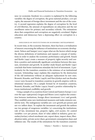ness (or economic freedom) in a country is explained by the following variables: the degree of corruption, the gross national product, gnp per capita, the amount of foreign direct investment and the size of the country. A second regression explains the degree of corruption by the level of civil liberties, the amount of expenditures on education and the net enrollment ratios for primary and secondary schools. The estimations show that competition and corruption are negatively correlated. Higher education and democracy have a depressing effect on corruption in a country.

#### influence of institutions on economic development

In recent time, in the economic literature, there has been a revitalization of interest concerning the influence of institutions on economic development. Nelson and Sampat (2001) argue what are the factors which merge the diverse definitions of institutions and expand a concept of institutions in order to analyse the economic performance and growth. Knack and Keefer (1995) create a measure of property rights security and confirm a positive and statistically significant correlation between this measure, investment and growth. In another study Knack and Keefer (1997) conclude that better institutions stimulate the level of investment. A particularity for the transition countries is the existence of an institutional vacuum. Schmieding (1993) explains this emptiness by the destruction of the old institutions without an adequate replacement by new ones. Brunetti, Kisunko, and Weder (1997b) and Havrylyshyn and van Rooden (2000) were focused to transition countries in growth empirics with institutional measures. On a sample formed by 18 transition countries, Brunetti, Kisunko, and Weder (1997a) found a positive relationship between institutional credibility and growth.

Using a sample of 25 countries from Central and Eastern Europe (CEE) over the 1990–1998 period, Grogan and Moers (2001) explore the connection between institutions, foreign direct investment (FDI) and growth. They establish some new institutional measures and make extensive sensitivity tests. The endogenous variables are: GDP growth per person and net FDI inflow share. To explain the investment and growth the authors use two groups of exogenous variables: (a) concerning the institutions: rule of law, investment law, property rights, civil society; (b) control variables: GNP per person, share of value added in industry, gross secondary/tertiary school enrolment rate, export share, import share, liberalization index, private sector share, government consumption share and inflation rate. The results of the estimations for the transition countries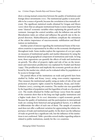show a strong mutual connection between the quality of institutions and foreign direct investments  $(FDI)$ . The institutional quality is more probable to be a source of growth, because the correlation is less mutually relevant. The significant statistical results obtained by Grogan and Moers (2001) show that an adequate institutional frame is more important than some 'classical' economic variables when explaining the growth and investment. Amongst the control variables, only the inflation rate and the liberalization index are robust and influence the growth rate in the expected direction. Multicollinearity problems complicate the estimation of the relative importance of macroeconomic stabilization and liberalization on institutions.

Another point of interest regarding the institutional frame of the transition countries is represented by its effect on the economic development throughout trade. Some studies explore the regression of GDP per capita on measures of institutional quality and market dimension by using the historical and geographical component of institutions and trade. In long term, these regressions can quantify the effects of trade and institutions on growth. The effect of property rights and rule of law on the investment and innovation predilection was explained by Frankel and Romer (1999). This predilection and implicitly the economic growth are also affected by the market size, which can be evaluated either by population or by access to foreign trade.

The partial effects of the institutions on trade and growth have been studied by Dollar and Kraay (2003), using cross-country regressions. They measure the institutional quality using an index of rule of law and protection of property rights created by Kaufmann, Kraay, and Zoido-Lobation (2002), covering 168 countries. The market size was quantified by the logarithm of population and the logarithm of trade as a fraction of GDP. The results obtained by Dollar and Kraay (2003) from the sample of the countries show that in the long run high-quality institutions and a higher trade share  $(\%$  in GDP) determine a rapid economic growth. Because the quality of institutions and the participation in international trade are coming from historical and geographical factors, it is difficult to differentiate the effect of each one of them. The sample of countries used does not offer a sufficient variation for appreciating the relative importance of trade and institutional quality. In the short run the influence of trade on growth has a significant role, but the influence of the institutions is not confirmed. Table 1 provides several studies regarding subjects related to public institutions, mainly for the CEE countries.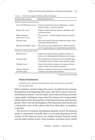| Problem topics/authors                 | Related problem issues                                                                                           |  |
|----------------------------------------|------------------------------------------------------------------------------------------------------------------|--|
| Natural resources and social values    |                                                                                                                  |  |
| Leite and Weidmann (2002)              | • Connection between resource abundance – institu-<br>tional variables - economic growth                         |  |
| Isham et al. $(2003)$                  | • Negative relation between resource abundance and<br>economic growth                                            |  |
| Bulte, Damania,<br>and Deacon $(2005)$ | • The resources – a robust negative impact on institu-<br>tions                                                  |  |
| Putnam (1993)                          | • The social capital is the most important aspect of the<br>economical modernization                             |  |
| Kunioka and Woller (1999)              | • The social structure influences the citizens' preferen-<br>ces for a parliamentary or authoritarian government |  |
| Democracy and economic reform          |                                                                                                                  |  |
| Roland (2000)                          | • Negative correlation between radical economic re-<br>forms vs. the development of the democratic regime        |  |
| Cheung (1998)                          | • The introduction of democracy in an unstable stage<br>of transition involves decline of the national output    |  |
| Fidrmuc $(2003)$                       | • Democracy reinforces progress in economic liberal-<br>ization, which in turn improves growth                   |  |
| Dethier, Ghanem,<br>and Zoli (1999)    | • Positive correlation between democratization and the<br>evolution of economic liberalization                   |  |
|                                        |                                                                                                                  |  |

table 1 Overview on topics related to public institutions

*Continued on the next page*

## **Financial Institutions**

significant issues regarding the financial systems in transition

When transition countries began the process of political and economic liberalization at the beginning of the 1990s, they had to conceive their national financial systems. Several studies, such as those by King and Levine (1993a; 1993b), and Pagano (1993), show the existence of a strong positive relation between the characteristics of the financial system and economic growth. That is why the development of the financial system has become a top priority issue of the reforms that have taken place in transition economies.

The process of economic development depends on how the financial system is constructed. Generally, there are two main alternatives for the creation of the financial system: the market-oriented financial system and the bank-oriented system. Most transition economies from Central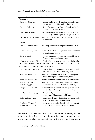| Privatisation                                              |                                                                                                             |
|------------------------------------------------------------|-------------------------------------------------------------------------------------------------------------|
| Fisher and Sahay (2000)                                    | · Velocity and level of privatization: economic reper-<br>cussions for competition and development          |
| Goel and Budak (2006)                                      | • The differences between large scale and small scale<br>privatization between 1997 and 2001                |
| Parker and Saal (2003)                                     | • The factors of the level of privatization: economic<br>conditions, government policies, exogenous factors |
| Djankov and Murrell (2002)                                 | • A quantitative approach to enterprise restructuring<br>in transition                                      |
| Corruption                                                 |                                                                                                             |
| Lizal and Kocenda (2001)                                   | • A survey of the corruption problems in the Czech<br>Republic                                              |
| Cuervo-Cazurra (2008)                                      | • Correlation between the type of corruption and FDI<br>in transition economies                             |
| Emerson $(2006)$                                           | • Models the quantity of industrial competition as a<br>function of the quantity of corruption              |
| Mauro (1995), Ades and Di<br>Tella (1999), Treisman (2000) | • Empirical studies which support the main hypothe-<br>sis that competition and corruption are connected    |

table 1 *Continued from the previous page*

*Influence of institutions on economic development*

| Nelson and Sampat (2001)                      | • Expand the concept of institutions in order to anal-<br>yse the economic performance and growth         |
|-----------------------------------------------|-----------------------------------------------------------------------------------------------------------|
| Knack and Keefer (1995)                       | • Positive correlation between the measure of prop-<br>erty security rights, investment and growth        |
| Knack and Keefer (1997)                       | • Better institutions stimulate the level of investment                                                   |
| Brunetti, Kisunko,<br>and Weder $(1997a)$     | • Positive connection between institutional credibility<br>and growth (sample of 18 transition countries) |
| Grogan and Moers (2001)                       | • Relation between institutions, foreign direct invest-<br>ment and growth (sample of 25 CEE countries)   |
| Frankel and Romer (1999)                      | • The effect of property rights and rule of law on the<br>investment and innovation predilection          |
| Dollar and Kraay (2003)                       | • Long run high-quality institutions and higher trade<br>share determine rapid economic growth            |
| Kaufmann, Kraay, and<br>Zoido-Lobation (2002) | • Measure the institutional quality using an index of<br>rule of law and protection of property rights    |

and Eastern Europe opted for a bank-based system. Regarding the development of the financial system in transition countries, some specific issues must be taken into account, such as the role of stock markets in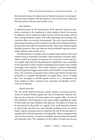the financial system, the importance of deposit insurance in securing financial system stability and the position of the central bank within the financial system (Hermes and Lensink 2000).

#### *Stock Markets*

A significant factor in the development of the financial system in transition economies is the regulation of stock markets, which can increase its efficiency. Some empirical studies (Levine and Zervos 1998a), proved that a strong financial system, with well performing stock markets, has a positive effect on economic development. The role of stock markets in promoting economic growth consists in the allocation of funds to investment projects that offer the maximum profit. Since stock markets supply liquidity insurance, they may help out more profitable long-term investments (Hermes and Lensink 2000).

The liberalization of capital control is significantly related to the stock markets issue in transition economies. Many transition countries maintained control over capital movements for a long time. Levine and Zervos (1998b) argue that the liberalization of capital flows may contribute to the expansion of stock markets, facilitating more liquid, more volatile and bigger stock markets. Their study indicates a positive relationship between liquid and bigger stock markets and durable economic development. The transition economies from Central and Eastern Europe have proceeded to a gradual liberalization of capital flows, and as of today they have managed to abolish capital control. As a consequence, the stock markets in these countries have expanded considerably and become more efficient.

## *Deposit Insurance*

The role of the deposit insurance system consists in securing the protection of deposit holders against the risk of losing their financial savings and the protection of banks against the negative effect of runs on their liabilities. When depositors have some doubts regarding the safety of their bank, they may withdraw their deposits. The failure of a bank can be interpreted by the public as a signal of the weak financial situation of other banks and this may cause liquidity problems even for solvent banks. Deposit insurance aims to diminish the risk of strong banks being affected by the bad reputation of weak banks. When contagious bank runs becomes serious, it results in incredibly unsound financial markets and financial crises. The confidence of the public in banks can increase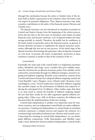through this mechanism because the entire or limited value of the deposit held at banks is guaranteed in the situation where the bank could not respect its payment obligations. Thus, deposit insurance may make a positive contribution to the safety of the financial system (Hermes and Lensink 2000).

The deposit insurance was not introduced in transition economies in Central and Eastern Europe from the beginning of the reform process. Given the fact that in the first years of transition some banks recorded financial crises and became insolvent, a lot of deposit holders lost their savings partially or entirely. Therefore, the public lost its confidence in the bank system in particular and in the financial system, in general. It became therefore necessary to implement the deposit insurance mechanism, although this was not an easy process. At the initial stage of the deposit insurance functioning, the guarantee value of deposits remained at a low level. At present, the extent of depositors' protection in these transition countries is similar to that of the countries of the eu.

#### *Central Bank*

Essentially, the main task of the central bank is to implement monetary policy. Moshirian and Szego (2003) consider that price stability represents the vital issue for an effective monetary policy. Price stability can be achieved by central banks through two different strategies: monetary targeting and inflation targeting. Recently, some transition countries from Central and Eastern Europe have adopted inflation targeting, namely the Czech Republic (1997), Hungary (2001), Poland (1998), Romania (2005) and Bulgaria (2006). Several studies have found that inflation targeting has a positive impact on the performance of inflation and output by reducing the anticipated level of inflation. Other studies argue that there is no clear proof to sustain the benefits of inflation targeting, despite the fact that their results do not offer arguments against inflation targeting either (Yifan 2003). Still, in all these countries, the inflation rate decreased after the implementation of this new strategy.

Central bank independence is another very important issue for transition countries, since an independent central bank can reduce inflationary pressures. Granting real independence to central banks in transition countries represents a complex process and requires the existence of a consistent legal and political infrastructure (Hermes and Lensink 2000). Concerning the meaning of central bank independence, we can distinguish different components. Grilli, Masciandaro, and Tabellini (1991) make a basic distinction between political independence (central bank's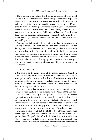ability to pursue price stability free from government's influence), and economic independence (central bank's ability to determine its policies towards the achievement of its objectives). Debelle and Fischer (1994) highlight the distinction between goal independence (central bank's ability to determine freely the goal of monetary policy), and instrument independence (central bank's freedom of choice and adjustment of instruments to achieve the goals set). Cukierman, Miller, and Neyapti (1992) distinguish between legal independence (various stipulations in the law of central bank), and actual independence (annual turnover rate of central bank's governor).

Another essential aspect is the role of central bank independence in reducing inflation. Some empirical research has provided evidence for the negative relation between central bank independence and inflation in developed countries. Other studies could not find evidence for such a relationship in the case of developing countries. Yet, there are some studies that reveal a negative correlation between central bank independence and inflation both in developing countries (Jacome and Vaszquez 2005) and in transition countries (Cukierman, Miller, and Neyapti 2000; Maliszewski 2000).

#### credit market

In the process of the development of the market economy, transition countries have chosen to create a bank-based financial system. Their bank system has been confronted with several problems, among which we notice a substantial utilization of collateralization in granting credits and a low degree of bank intermediation, measured as the share of domestic enterprise credit to GDP.

The bank intermediation recorded a low degree because of two important factors: banking sector concentration (Rother 1999) and deficient legal system (McNulty and Harper 2001). In the case of a flawed legal environment in transition economies, banks utilize collateral not only to resolve the issue of moral hazard but also to take out rents based on their market share. Collateralization may solve the problem of moral hazard since it diminishes the payoff in the situation of collapse and, consequently, determines the company to make effort (Bester 1994).

Empirical studies reveal that the likelihood of obtaining credit rises depending on the quantity of collateral offered by the company that requires a loan. The perfection of institutional environment may have as effect the decrease of collateral requisite, and, thus, the increase of bank intermediation. A perfection of the legal environment implies that more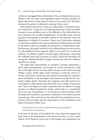credits are mortgaged than collateralized. Thus, the banks have less possibility to take out rents as the liquidation values of houses and flats are higher than those of other types of assets and vary much less. Therefore, the general requisite of collateral is reducing (Hainz 2003).

Even if almost all contract credits are collateralized, in transition countries banks have a large part of nonperforming loan in their portfolio, because of some problems, such as the difficulty of the collateralized assets evaluation, the possible disappearance of movable assets, and the imperfect functioning of secondary markets in the situation where the liquidation of collateral is necessary. Hainz (2003) finds some solutions to solve these problems. First, the accumulation of information provided by the balance sheet can simplify the assessment of collateralized assets. Furthermore, all people involved in the collateralization process need to be well qualified and the property rights to be clearly set. Second, the existence of collateral registers should supply information concerning the collateral assets and set priority of claims. Third, the formalities for seizing the collateral should be simpler and the laws related to collateral should be set clearly.

The high bank concentration in transition countries determines a lower bank intermediation, not because of a lower demand for credit due to the high interest rate, but rather because of the credit rationing (Rother (1999)). Banks apply credit rationing to avoid the adverse selection arising from asymmetric information concerning the company's assets attributable to the incomplete information provided by the companies' balance sheets. Therefore, the companies may hide assets by announcing less collateralized assets than they own in order to keep more rent. Thus, a low degree of a bank competition has two effects: (1) a large quantity of collateral required by banks, which leads to a considerable loss in the case of liquidation; (2) an increase in credit rationing, which has imposed in transition economies a constraint on successful corporate restructuring. This constraint can be reduced by the stimulation of competition between banks and the improvement of the institutional and legal environment (Hainz 2003).

## CONSOLIDATION AND INTERNATIONAL INVESTMENT in financial services

In the last two decades, at the global level, some important progress has been made in the development of the financial system, e. g. the consolidation of the financial system due to the mergers and acquisitions, the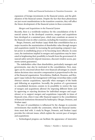expansion of foreign investments in the financial system, and the globalization of the financial system. Despite the fact that these phenomena are just recent manifestations in the transition countries, they will affect the future development of the financial system in these economies.

## *Mergers and Acquisitions in the Financial System*

Recently, there is a worldwide tendency for the consolidation of the financial system. In the developed countries, mergers and acquisitions have developed at a sustained pace, which may constitute an answer to the financial crises in other countries, including the transition countries.

Berger, Demsetz, and Strahan (1999) think that consolidation has as a major incentive the maximization of shareholder value through mergers and acquisitions mainly by increasing the participating company's market power in establishing prices or by becoming more efficient. In some cases, the institutions implied in mergers and acquisitions may be interested in heightening their possibility to benefit from the government's financial safety network (deposit insurance, discount window access, payments system guarantees).

The stakeholders other than shareholders, particularly managers and governments, may also be motivated in the consolidation. First, managers can be concerned about their own financial advantages in consolidation decisions since executive compensation is proportional to the size of the financial organization. Nevertheless, Hadlock, Houston, and Ryngaert (1999) indicate that management with large ownership stakes could obstruct exterior acquisitions, especially when managers of the banks quit following an acquisition. Secondly, the position of a government in consolidated decisions consists in its possibility to restrict the type of mergers and acquisitions allowed (by imposing different limits and by approving or rejecting decisions for individual mergers and acquisitions) or to support mergers and acquisitions (especially in times of financial crisis, when it may offer financial support in the consolidation of financial institutions threatened by bankruptcy (Berger, Demsetz, and Strahan 1999).

The pace of consolidation is influenced by the changes in economic environments that modify the constraints, which the financial institutions must deal with. A study by Berger, Demsetz, and Strahan (1999) provides five relevant issues, which explain the current pace of mergers and acquisitions:

1. Technological progress can facilitate the appearance of innovative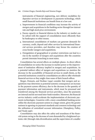instruments of financial engineering, new delivery modalities for depositor services or development in payments technology, which small financial institutions can benefit from at a low cost.

- 2. Improvements in financial conditions may increase the activity of mergers and acquisitions in the banking sector through low interest rate and high stock price environment.
- 3. Excess capacity or financial distress in the industry or market can be solved with the support of consolidation more efficiently than by bankruptcy or other means.
- 4. International consolidation of markets can generate demands for currency, credit, deposit and other services by international financial services providers, and therefore may favour the creation of cross-border mergers and acquisitions.
- 5. Deregulation of geographical or product restrictions can lead to a rise in the number of mergers and acquisitions after the countries permit interstate branching in most states.

Consolidation has several effects on multiple planes. As direct effects of consolidation we notice the increase in market power or the improvement of institution efficiency implied in mergers and acquisitions. As a potential indirect effect of mergers and acquisitions we mention the decrease in the accessibility of financial services to small clients, as the powerful institutions created by consolidation are able to offer wholesale financial services or they might close some of their branch offices.

Berger, Demsetz, and Strahan (1999) consider that mergers and acquisitions may determine as potential systemic consequences an increase in the payment system efficiency, due to the decrease in the quantity of payment information and instruments, which must be processed and transferred among the financial services providers, since the payments are internal and do not need inter-bank transfers. Moreover, the financial service industry could accelerate the implementation of electronic payments technologies. Countries with a more consolidated banking sector utilize the electronic payment system to a larger extent, given the greater easiness in agreeing on payment standards and common technology and the utilization of centralized account information (Humphrey, Pulley, and Vesala 1996).

Consolidation may also affect the safety and soundness of the financial system owing to the decrease of costs demanded by a heightened systemic risk (through risks diversification and the supervision of a smaller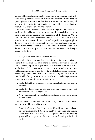number of financial institutions) or by an improved financial safety network. Finally, external effects of mergers and acquisitions are likely to appear, given the reaction of other rival institutions that may be tempted to develop their activities in the sectors abandoned by the consolidating institutions (Berger, Demsetz, and Strahan 1999).

Similar benefits and costs could be forthcoming from mergers and acquisitions that will occur in transition economies, especially those from Central and Eastern Europe. The enlargement of the European Union and, in future, of the Monetary Union with the transition countries can stimulate more cross-border mergers and acquisitions to appear, given the expansion of trade, the reduction of currency exchange costs supported by the financial institutions which activate in multiple states, and the reduction of costs paid by customers for the services of foreignowned institutions.

# *Foreign Investments in the Financial System*

Another global tendency manifested even in transition countries is represented by international investment in financial services in general and in the banking sector in particular. The worldwide movements towards financial deregulation, the progress in information technology and telecommunications, and the capital market globalization have stimulated foreign direct investment  $(FDI)$  in the banking system. Moshirian (2001) divides foreign investors in overseas banking, including transition countries, into at least three important groups:

- 1. Banks that set their branches, agencies, and subsidiaries in a foreign country.
- 2. Banks that do not open any physical office in a foreign country but are shareholders of foreign banks.
- 3. Non-bank corporations, institutions, and individuals who invest in foreign banks.

Some studies (Lizondo 1990; Moshirian 2001) show that FDI in banking is influenced by several factors, such as:

1. *Bank's foreign assets.* Empirical results of Moshirian (2001) indicate a positive relationship between the bank's foreign assets and foreign direct investment in banking. It is supposed that FDI in banking grows with the expansion of the international lending activities of banks.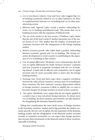- 2. FDI *in non-finance industry*. Gray and Gray (1981) suggest that FDI in banking is positively related to FDI in other industries. So, there is complementarity between FDI in banking and FDI in other manufacturing sectors.
- 3. *Bilateral trade.* Agarwal (1980) reveals a positive relationship between FDI in banking and bilateral trade. This means that FDI in banking increases with the expansion of bilateral trade.
- 4. *The size of the market in the host country.* O'Sullivan (1985) claims that the size of the host country's market represents one of the major factors of FDI. This implies that the number of potential new customers increases with the enlargement of the foreign banking market.
- 5. *Relative economic growth.* Sabi (1988) finds a positive relationship between economic growth and FDI in banking. The strong economic development in a host country is contributing to the expansion of FDI in banking in that country.
- 6. *Cost of capital differential.* Moshirian (2001) demonstrates that the cost of capital differential for banks between investors' countries and host countries is negatively correlated with the FDI in banking abroad. A bank with an effective and competitive cost of capital structure may be more successful when it enters into the foreign banking markets.
- 7. *Exchange rates.* Froot and Stein (1991) show a negative correlation between the value of host countries' currency and FDI in banking in these countries. The host countries' currency depreciation relative to foreign investors' currencies is likely to amplify the FDI since it becomes cheaper for foreign investors to invest in host countries.
- 8. *Tax regime.* Moshirian (2001) argues that the tax regime applied in a country may or may not attract foreign investors. To attract more FDI in banking, the host countries' governments can take initiative for deregulating the domestic financial market.

Taking into consideration the more facile access of foreign investors to the transition countries' market and its big potential, the relative economic growth, the low cost of capital, the fast expansion of the domestic banking market and the deregulation of the financial market recorded recently in transition economies, we can expect that foreign investors may increase their investments in the financial system in these countries, especially in banking.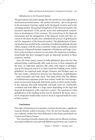#### *Globalization in the Financial System*

The government-led system design after the second war was replaced by a much more powerful system – the market-led system – due to the growth in the movement of private capital in the developed countries and to the emerging markets, the gradual deregulation of the financial markets, the increased importance of the private sector and multinational corporations in development of the economy. The innovations in the financial instruments and the deregulation of the financial system that have occurred in the latest decades have stimulated the process of globalization and the integration of the financial markets. The globalization of financial markets has resulted in the expansion of multinational banks abroad, which compete with the source countries' banks and therefore promote the process of financial markets integration (Moshirian and Szego 2003). Even in the transition countries we can notice the expansion of multinational banks that have managed to gain an important position in these countries' markets.

Since the bank system cannot be fully globalized, given the fact that national banks could basically offer some services to host companies all the time, an important question that arises with respect to globalization in the financial system is to what extent the banking sector will be globalized. An empirical study (Berger, Demsetz, and Strahan 1999) on this issue makes a distinction between two dimensions of globalization – bank nationality and bank reach. This study shows that the affiliates of multinational companies prefer host nations' banks for cash management services more frequently than home nation or third country banks. It also indicates that bank nationality and bank reach are considerably correlated and both differ to a large extent depending on the legal and financial development of the respective country. The conclusion is that globalization of the banking system may be limited in the future since a lot of companies would rather resort to local or regional banks for some of their services.

#### **Conclusions**

The topic of institutions in transition countries has become a significant research domain within economics. Over the last two decades, numerous academic studies have been dedicated to this theme particularly for Central and Eastern Europe.

The conversion towards a democratic system and an efficient economy was made in different ways and with different speeds from one country to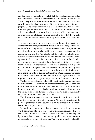another. Several studies have revealed that the social and economic factors jointly have determined the behaviour of the nations in this process. There is negative relation between resource abundance and economic growth especially when the control of the institutional quality is not appropriate. The policy improvements are less effective within the countries with poorer institutions but rich on resources. Some authors consider the social capital the most significant aspect of the economic reconstruction. The results based on empirical studies show that the variables linked with the social capital are more representative than the economic ones.

In the countries from Central and Eastern Europe the transition is characterized by the synchronized evolution of democracy and the economic reform. Using a sample of transition countries it was proved that there is a robust positive relationship between democracy, economic liberalization and growth. The velocity and the level of privatization have essential economic consequences for competition and economic development. In the economic literature, there has been in the last decade a renaissance of interest regarding the influence of institutions on growth. From a sample of countries it was shown that in the long run, high-class institutions and a higher trade share decide a rapid economic growth. The transition countries represent an attractive market for foreign direct investments. In order to take advantage of this situation the governments must create a better institutional framework by trying to reduce the corruption, because of its negative impact to FDIS and economic growth.

The bank-oriented system adopted by the transition economies must be completed by the liberalization of the stock markets, due to their positive influence on durable economic development. The ex-communist European countries had gradually liberalized the capital flows and now the capital control was eliminated. The liberalization led to significantly larger, more efficient and liquid stock markets.

The deposit insurance was not introduced in transition economies from the beginning of the reform process. At present, the extent of depositors' protection in these countries is similar to that of the old members of the European Union.

In transition countries, there is a high degree of bank concentration, which determines a lower degree of bank intermediation. A low degree of bank competition has two effects: a large quantity of collateral required by banks and an increase in credit rationing which imposes a constraint on successful corporate restructuring. This constraint can be reduced by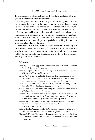the encouragement of competition on the banking market and the upgrading of the institutional environment.

The supporting of mergers and acquisitions may represent for the governments the answer to the financial crisis, bringing benefits such as: consolidation of financial institutions threatened by bankruptcy, increase in the efficiency of the payment system and expansion of trade.

The international investment in financial services in general and in the banking sector in particular is a global tendency manifested even in transition countries. We can expect that foreign investors may increase their investments in the financial system, especially in banking, in countries from Central and Eastern Europe.

Future researches may be focused on the theoretical modelling and estimation of the relations between: (a) the costs implied by better institutions, lower levels of corruption, better social values, on one side, and (b) the amount of foreign direct investments, the rhythm of the economic growth, on the other side.

#### **References**

- Ades, A., R. Di Tella. 1999. Rents, competition, and corruption. *American Economic Review* 89 (4): 982–93.
- Agarwal, J. 1980. Determinants of foreign direct investments: A survey. *Weltwirtschaftliches Archiv* 116:739–77.
- Berger, A., R. Demsetz, and P. Strahan. 1999. The consolidation of the financial services industry: Causes, consequences, and implication for the future. *Journal of Banking and Finance* 23 (2–4): 135–94.
- Bester, H. 1994. The role of collateral in a model of debt renegotiation. *Journal of Money, Credit and Banking* 26 (1): 72–86.
- Bliss, C., and R. Di Tella. 1997. Does competition kill corruption? *Journal of Political Economy* 105 (5): 1001–23.
- Brunetti, A., G. Kisunko, and B. Weder. 1997a. Credibility of rules and economic growth: Evidence from a worldwide survey of the private sector. World Bank Policy Research Working Paper 1760.
- ———. 1997b. Institutions in transition: reliability of rules and economic performance in former socialist countries. World Bank Policy Research Working Paper 1809.
- Bulte, E. H., R. Damania, and R. T. Deacon. 2005. Resource intensity, institutions, and development. *World Development* 33 (7): 1029–44.
- Cheung, S. N. 1998. The curse of democracy as an instrument of reform in collapsed communist economies. *Contemporary Economic Policy* 16  $(2): 247 - 49.$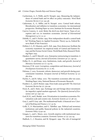- Cuckierman, A., S. Webb, and B. Neyapti. 1992. Measuring the independence of central bank and its effect on policy outcomes. *Word Bank Economic Review* 6 (3): 353–98.
- Cukierman, A., G. Miller, and B. Neyapti. 2000. Central bank reform, liberalization and inflation in transition economies: An international perspective. Working Paper 19-2000, Institute for Economic Research.
- Cuervo-Cazurra, A. 2008. Better the devil you don't know: Types of corruption and FDI in transition economies. *Journal of International Management* 14 (1): 12–27.
- Debelle, G., and S. Fischer. 1994. How independent should a central bank be? Working Papers in Applied Economic Theory 94-05, Federal Reserve Bank of San Francisco.
- Dethier, J.-J., H. Ghanem, and E. Zoli. 1999. Does democracy facilitate the economic transition? An empirical study of Central and Eastern Europe and the Former Soviet Union. World Bank Policy Research Working Paper 2194.
- Djankov, S., and P. Murrell. 2002. Enterprise restructuring in transition: A quantitative survey. *Journal of Economic Literature* 40 (3): 739–92.
- Dollar, D., A. and Kraay. 2003. Institutions, trade, and growth. *Journal of Monetary Economics* 50 (1): 133–62.
- Emerson, P. M. 2006. Corruption, competition and democracy. *Journal of Development Economics* 81 (1): 71–80.
- Fidrmuc, J. 2003. Economic reform, democracy and growth during postcommunist transition. *European Journal of Political Economy* 19 (3): 583–604.
- Fischer, S., and R. Sahay. 2000. The transition economies after ten years. Working Paper 7664, National Bureau of Economic Research.
- Frankel, J. A., and D. Romer. 1999. Does trade cause growth? *The American Economic Review* 89 (3): 379–99.
- Froot, K., and J. Stein. 1991. Exchange rate and foreign direct investment: An imperfect capital markets approach. *The Quarterly Journal of Economics* 106 (4): 1191–217.
- Goel, R. K., and J. Budak. 2006. Privatization in transition economies: Privatization scale and country size. *Economic Systems* 30 (1): 98–110.
- Gray, J., and P. Gray. 1981. The multinational bank: A financial mnc? *Journal of Banking and Finance* 5 (1): 33–63.
- Grilli, V., D. Masciandaro, and G. Tabellini. 1991. Political and monetary institutions and public financial policies in the industrial countries. *Economic Policy* 13:341–92.
- Grogan, L., and L. Moers. 2001. Growth empirics with institutional measures for transition countries. *Economic Systems* 25 (4): 323–44.
- Hadlock, C., J. Houston, and M. Ryngaert. 1999. The role of managerial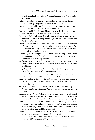incentives in bank acquisitions. *Journal of Banking and Finance* 23 (2–  $4)$ : 221–49.

- Hainz, C. 2003. Bank competition and credit markets in transition economies. *Journal of Comparative Economics* 31 (2): 223–45.
- Havrylyshyn, O., and R. van Rooden. 2000. Institutions matter in transition, but so do policies. IMF Working Paper 70.
- Hermes, N., and R. Lesnik. 2000. Financial system development in transition economies. *Journal of Banking & Finance* 24 (4): 507–24.
- Humphrey, D., L. Pulley, and J. Vesala. 1996. Cash, paper and electronic payments: A cross-country analysis. *Journal of Money, Credit and Banking* 28 (4): 942–60.
- Isham, J., M. Woodcock, L. Pritchett, and G. Busby. 2003. The varieties of resource experience: How natural resource export structures affect the political economy of economic growth. Middlebury College Economics Discussion Paper 03-08.
- Jacome, L., and F. Vaszquez. 2005. Any link between legal central bank independence and inflation? Evidence from Latin America and the Caribbean. IMF Working Paper 75.
- Kaufmann, D., A. Kraay, and P. Zoido-Lobation. 2002. Governance matters II: Updated indicators for 2000/2001. World Bank Policy Research Working Paper 2772.
- King, R., and R. Levine. 1993a. Finance and growth: Schumpeter might be right. *Quarterly Journal of Economics* 108 (3): 717–37.
- ———. 1993b. Finance, entrepreneurship, and growth: Theory and evidence. *Journal of Monetary Economics* 32 (3): 513–42.
- Knack, S., and P. Keefer. 1995. Institutions and economic performance: Cross-country tests using alternative institutional measures. *Economic Policy* 7 (3): 207–27.
- Knack, S., and P. Keefer. 1997. Does social capital have an economic payoff? A cross-country investigation. *Quarterly Journal of Economics* 112 (4): 1251–88.
- Kunioka, T., and G. M. Woller. 1999. In (a) democracy we trust: Social and economic determinants of support for democratic procedures in central and eastern Europe. *Journal of Socio-Economics* 28 (5): 577–96.
- Leite, C., and J. Weidmann. 2002. Does mother nature corrupt? Natural resources, corruption and economic growth. In *Governance, corruption, and economic performance,* ed. G. Abed and S. Gupta, 159–96. Washington, DC: International Monetary Fund.
- Levine, R., and S. Zervos. 1998a. Stock markets, banks and economic growth. *American Economic Review* 88 (3): 537–58.
	- ———. 1998b. Capital control liberalization and stock market development. *World Development* 26 (7): 1169–83.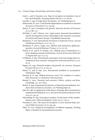- Lizal, L., and E. Kocenda. 2001. State of corruption in transition: Case of the Czech Republic. *Emerging Markets Review* 2 (2): 138–60.
- Lizondo, S. 1990. Foreign direct investment. IMF Working Paper 63.
- Maliszewski, W. 2000. Central bank independence in transition economies. *Economics of Transition* 8 (3): 749–89.
- Mauro, P. 1995. Corruption and growth. *Quarterly Journal of Economics* 110 (3): 681–712.
- McNulty, J., and J. Harper. 2001. Legal system, financial intermediation and the development of loan relationship in the transition economies of Central and Eastern Europe. Unpublished manuscript.
- Moshirian, F. 2001 International investment in financial services. *Journal of Banking and Finance* 25 (2): 317–37.
- Moshirian, F., and G. Szegö. 2003. Markets and institutions: global perspectives. *Journal of Banking & Finance* 27 (3): 377–81.
- Nelson, R. R., and B. N. Sampat. 2001. Making sense of institutions as a factor shaping economic performance. *Journal of Economic Behaviour & Organization* 44 (1): 31–54.
- O'Sullivan, P. 1985. Determinants and impact of private foreign direct investments in host countries. *Management International Review* 25 (4):  $28 - 35.$
- Pagano, M. 1993. Financial markets and growth: An overview. *European Economic Review* 37 (2–3): 613–22.
- Parker, D., and D. Saal. 2003. *International handbook on privatization.* Cheltenham: Elgar.
- Putnam, R. D. 1993. *Making democracy work: Civic traditions in modern Italy.* Princeton, nj: Princeton University Press.
- Roland, G. 2000. *Transition and economics: Politics, markets, and firms.* Cambridge, ma: mit Press.
- Rother, P. 1999. Explaining the behavior of financial intermediation: Evidence from transition economies. IMF Working Paper 36.
- Sabi, M. 1988. An application of the theory of foreign direct investment to multinational banking in LDCs. Journal of International Business Stud*ies* 19 (3): 433–47.
- Schmieding, H. 1993. From plan to market: On the nature of the transformation crisis. *Weltwirtschaftliches Archiv* 129 (2): 216–52.
- Treisman, D. 2000. The causes of corruption: A cross-national study. *Journal of Public Economics* 76 (3): 399–457.
- Yifan, H. 2003. Empirical investigations of inflation targeting. Working Paper 6, Institute for International Economics.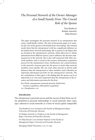# *The Personal Network of the Owner-Manager of a Small Family Firm: The Crucial Role of the Spouse*

Tina Bratkovič Boštjan Antončič Mitja Ruzzier

The paper investigates the personal network of an entrepreneur that owns a small family venture. The aim of the present paper is to examine the role of the spouse in the family firm's networking. The research results show that the entrepreneur's wife has a significant influence on the family firm's network performing. She is present in all cliques that are formed in the entrepreneur's network, which allows her to obtain information from different sources, and to influence the decision making process in the network. She is also well connected with other network members, and is crucial in the resource-information acquisition process for the entrepreneur's firm. Furthermore, her central position in the network's structure gives her the power to reach other network members more quickly. She can reach other persons at shorter path distances than the entrepreneur or other members, and is therefore an important information provider for the entrepreneur's network. The key contribution of this paper is the finding that the spouse can be as important as or even more important than the entrepreneur in the resource and information provision for the firm.

*Key Words:* entrepreneur, personal network, family firm,

resource acquisition, information acquisition jel *Classification:* l26

## **Introduction**

The entrepreneur's personal success and the success of their firms are often attributed to personal relationships or social networks. Burt (1992; 1997) referred to social networks as a form of social capital comparable

*Tina Bratkoviˇc is an Assistant at the Faculty of Management Koper, University of Primorska, Slovenia.*

*Dr Boštjan Antonˇciˇc is a Professor at the Faculty of Management Koper, University of Primorska, Slovenia.*

*Dr Mitja Ruzzier is an Assistant Professor at the Faculty of Management Koper, University of Primorska, Slovenia.*

*Managing Global Transitions* 7 (2): 171–190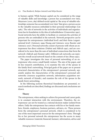to human capital. While human capital can be considered as the range of valuable skills and knowledge a person has accumulated over time, Meyerson (2000, 289) defined social capital as 'the array of valuable relationships someone has accumulated over time' that gives a person access to the valuable resources embedded in their personal relationships (Lin 1982). The role of networks in the activities of individuals and organizations has its foundation in the idea of embeddedness (Granovetter 1992). Social networks have the ability to facilitate or constrain the activities of persons who are embedded in the network. Network perspective can be important for entrepreneurs (individual level) and their firms (organizational level) (Antoncic 1999; Hoang and Antoncic 2003; Ruzzier and Antoncic 2007). Personal networks consist of persons with whom an entrepreneur has direct relations (Dubini and Aldrich 1991), and are considered to be more than the sum of individual connections that form the network (Aldrich and Zimmer 1986). Different sub-networks can represent the overall social network based on the content of ties (Brass 1992).

The paper investigates the issue of personal networking of an entrepreneur who owns a small family venture. The aim of the paper, and its key research contribution, is to examine the role of the spouse in the family firm's networking. Principal goals of the paper are to present structural characteristics of the entrepreneur's personal network, separately analyze the characteristics of the entrepreneur's personal subnetworks (resource acquisition network, information acquisition network, network of friends), and examine the role of the spouse in the family firm's networking.

In the following sections theoretical foundations are presented, research methods are described, findings are discussed and conclusions are drawn.

## **Theory**

The entrepreneur, when seeking to achieve his personal and career goals, is in constant interaction with the environment. Therefore, the entrepreneur can not be treated as a rational decision maker isolated from others. Daily the entrepreneur has contacts with his or her family members, friends, employees, business partners, advisers, etc. These persons form the entrepreneur's personal network, which is considered to be one of the most important sources for the entrepreneur's firm. Through his or her personal network the entrepreneur has the access to many valuable resources (material, financial, human), information, advice and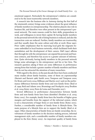emotional support. Particularly the entrepreneur's relatives are considered to be the most trustworthy network members.

A research into the business elite in Antwerp during the first half of the nineteenth century brings some evidences about the great influence of family members in entrepreneurship. The relatives played a key role in business life, and therefore were often present in the entrepreneur's personal network. The main reasons could be their skills, preparedness to work, and willingness to invest their capital. By having family members in the personal network the risk of doing business is reduced, and also the transaction costs are reduced. Further, family members are trustworthy, and they usually share the same culture and ethic at work (Rose 1995). Prior (1986) emphasizes that by marrying local girls the migrants became embedded in local business networks, which facilitated both their assimilation and the development of their careers. Hall (1992) affirms that through his wife the entrepreneur can expand his personal and business contacts, and therefore has access to a greater amount of information. Quite obviously, having family members in the personal network brings some advantages to the entrepreneur and his or her firm. The research question asking if there are some differences in performance among firms that include a greater number of family members and those that do not has attracted the attention of many researchers.

With regard to the above, in the past decade there have been conducted many studies about family business, some of them on copreneurship (Barnett and Barnett 1988; Smith 2000; Tompson and Tompson 2000; De Bruin and Lewis 2004; Millman and Martin 2007) and on the performance differences between family firms and non-family firms (Reid et al. 1999; Reid and Adams 2001; Brunninge and Nordqvist 2004; Ibrahim et al. 2004; Kotey 2005; Perez de Lema and Durendez 2007).

Several differences in performance characteristics between family firms and non-family firms have been identified (Ibrahim et al. 2004; Kotey 2005). For example, family firms have the benefits of higher gross margins and benefits from the support of the informal system, which is not a characteristic of larger firms or non-family firms (Kotey 2005). Further, a considerable number of family firms is lifestyle-firms. The main purpose of a lifestyle firm are to support the family (Reid et al. 1999). Other characteristics of family firms are family ownership, the involvement of family members in the decision making process, informal management style, and a considerable number of family members employed in the firm (Kotey 2005). An important quality of family firms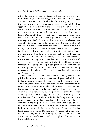is thus the network of family contacts, which represents a useful source of information (Hoy and Verser 1994 in Cromie and O'Sullivan 1999). The family involvement in a firm has therefore a strong influence on the firm's performance and organizational behavior (Cromie and O'Sullivan 1999). The latter is evident from the management style of family firm's owners, which beside the firm's objectives takes into consideration also the family needs and objectives. Management style is therefore more informal (Daily and Dollinger 1993 in Kotey 2005). As a result, family firms tend to have a dual identity, which is present in the strategic decision making process. Firstly, there is a tendency to serve the family needs, and secondly a tendency to serve the business goals (Ibrahim et al. 2004). On the other hand, family firms frequently adopt more conservative strategies, particularly in the early stage of their life cycle. Frequently, family firms tend to maintain tight control of the strategic decisionmaking process within the family unit. As a result, in order to maintain the control within the family members, the owners often restrict the firm's growth and employment. Another characteristic of family firm's managers is smaller devotion to strategic planning and human resource management. Selecting and compensating employees in family firms are more complicated than in non-family firms, mainly due to the overlap of business and family needs (Perez de Lema and Durendez 2007; Reid and Adams 2001).

There is some evidence that family members of family firms are more privileged at work in comparison to non family personnel. With regard to their constant exposure to the family business they have a greater understanding of the business, and therefore have some advantages in developing their career (Cromie and O'Sullivan 1999). Furthermore, there is a greater commitment to the family culture. There is also evidence of less rigorous criteria to evaluate the performance of family members as employees (Kets de Vries 1993 in Cromie and O'Sullivan 1999). On the other hand, family members involved in the family business are supposed to make some sacrifices. In particular, the involvement of both the entrepreneur and his spouse takes a lot of their time, which could be otherwise spent with their families. Therefore, there exists a conflict between business interests and family interests (Liang and Dunn 2002). Further, family members are exposed to some risks. For example, the uncertainty of future income, the fear of losing capital, and as a result the higher stress among the family members (Scarborough and Zimmerer 1999 in Liang and Dunn 2002).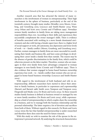Another research area that has attracted the interest of many researchers is the involvement of women in entrepreneurship. Their high involvement in the sphere of business, particularly at the end of the twentieth century, brought many studies (Brindley 2005; Moore, Grunberg, and Greenberg 2005; Loscocco and Smith-Hunter 2004; Winn 2004; Orhan and Scott 2001; Cromie and O'Sullivan 1999). Nowadays women family members in family firms are taking more management responsibilities than ever. According to their skills and experiences they successfully complement the owner manager's skills. There is evidence of benefits associated with working in a more female dominated environment and also with having a female supervisor; there is a higher level of social support at work, job autonomy, less depression and lower levels of work – to – family conflict (Moore, Grunberg, and Greenberg 2005). Further, women managers in family firms are more successful in coordinating their family and business life, and have some privileges in developing their career inside a family firm than outside. The reason may be the absence of gender discrimination in the family firm, which could be otherwise present on the labor market. Therefore, women who are managers in their own family firms have advantages compared to woman managers in non-family firms (Cromie and O'Sullivan 1999). There is also evidence that women engaged in home-based business ownership experience less work – to – family conflict than women who are not engaged in home-based business ownership (Loscocco and Smith-Hunter 2004).

With regard to the involvement of both husband and wife in entrepreneurship, different researchers have started to direct their attention to family business, in particular to copreneurs and copreneurship (Barnett and Barnett 1988; Smith 2000; Tompson and Tompson 2000; Fitzgerald and Muske 2002; De Bruin and Lewis 2004). In these research studies family business is defined as business owned or managed by one or more family members (De Bruin and Lewis 2004), while copreneurship as a kind of entrepreneurship in which couples share the ownership in a business, and try to manage both the business relationship and the personal relationship. The latter requires a lot of devotion and sacrifices from both of them. Without regard to this research, De Bruin and Lewis (2004) stress the fact that familial entrepreneurship is under-researched and therefore there does exist the need for future research.

With this study we wish to examine the role of the spouse in the entrepreneur's personal network. By analyzing the structural characteristics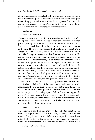of the entrepreneur's personal network we investigate, which is the role of the entrepreneur's spouse in the family business. The key research question of this paper is: What is the role of the entrepreneur's spouse in the entrepreneur's personal network? We examine this question by exploring a case of a family firm entrepreneur's network structure.

# **Methodology**

## research setting

The entrepreneur's small family firm was established in the late 1980s, and operates in the telecommunication industry. There were 165 enterprises operating in the Slovenian telecommunication industry in 2005. The firm is a small firm with a little more than 10 persons employed in the firm. The average rate of growth of employees was about 12% in 2005; meanwhile, the average rate of growth of total revenues was about 25%. The firm's profit was estimated at about eur 500,000 in 2005. The entrepreneur was asked in a questionnaire to evaluate on a scale from 0 (not satisfied) to  $7$  (very satisfied) his satisfaction with the firm's amount of sales, firm's profit and his satisfaction in general. Although the business performance is not above the average results of the industry, the entrepreneur affirms that he is satisfied with the performance and the growth of the firm (the entrepreneur estimated his satisfaction with the amount of sales as 7, the firm's profit as 5, and his satisfaction in general as 6). The performance of the firm is consistent with the objectives of the entrepreneur. Thus, the entrepreneur's firm can be classified as a lifestyle firm. A lifestyle firm is usually privately held and has some specific characteristics. One of the most important characteristics is its modest growth, which is partly a consequence of the limited money invested in research and development, and partly because of the objectives of the entrepreneur. The main purpose of a lifestyle firm is to support the owners. Therefore, the growth and the expansion of the firm are usually not the main strategic orientations adopted by the entrepreneur (Hisrich and Peters 1998). These characteristics can also be recognized as characteristics of the firm from this research.

# data collection

The research is based on the interview data collected about the entrepreneur's ego centered resource (material, financial, and/or human resources) acquisition network, information acquisition network and network of friends. The data collection technique used was a questionnaire. The entrepreneur was asked to list to ten persons for each network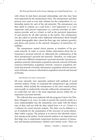with whom he had direct personal relationships and who have been most important for the entrepreneur's firm. The entrepreneur and these persons were used as rows and columns for the composition of a relationship matrix for each of the sub-networks. The entrepreneur was then asked to evaluate on a scale from 0 (not important) to 10 (very important) each person's importance as a resource provider, an information provider and as a friend, as well as the perceived importance of each person for all other persons in the matrix. The entrepreneur was also asked to provide some additional information about himself (mostly demographic data), about the firm (age, size, industry, growth), and about each person in the network (frequency of interaction, friendship).

The entrepreneur named eleven persons as members of his personal network. In order to receive further information about the entrepreneur's personal network we elaborated the combinations of the three entrepreneur's personal sub-networks. Therefore, we could operate with seven different entrepreneur's personal networks (resources acquisition network, information acquisition network, network of friends, resources-information acquisition network, resources acquisition network and network of friends, information acquisition network and network of friends, resources-information acquisition network and network of friends).

## methods of data analysis

All seven networks were separately analyzed with methods of social network analysis. Firstly, we examined the entrepreneur's ego centered networks, which include the entrepreneur as the most central person, and secondly we analyzed the networks without the entrepreneur. Thus, we could find out who is the most important person within the entrepreneur's personal network.

The collected data were analyzed with the program Ucinet 6 for Windows (Borgatti et al. 2002). In order to present the research results in a more understandable way, the estimations were made with the binary type of data (and not with the data valued from 0 to 10). Ucinet 6 is a software for social network analysis. The latter can be defined as a set of methods for the examination of the structure of social relationships within a group. The purpose is to uncover the informal connection among social entities. Social network analysis is an important tool that helps one to understand connections between patterns of interaction and business performance (Ehrlich and Carboni 2006). These are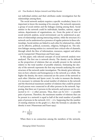not individual entities and their attributes under investigation but the relationships among them.

The social network analysis requires a specific vocabulary, hence it is important to know the meaning of its concepts. The network represents a group of social entities and the linkages existing among them. Social entities in the network could be individuals, families, nations, organizations, departments of organizations, etc. From the point of view of social network analysis, social environment can be understood as patterns of relationships among interacting entities, while the structure of a network can be understood as a presence of regular patterns in these relationships. Social entities are linked to each other by relational ties, which can be affective, political, economic, religious, biological etc. The relation linkages among entities in a network have critical roles of channels, through which the flow of information, resources, support and advice can be transported (Wasserman and Faust 1994).

In this paper, only selected concepts of social network analysis were analyzed. The first one is network *density.* The density can be defined as the proportion of relations that are actually present in the network relative to the total number of possible relations. Estimating the density of the network represents the first step towards analyzing the social structure of the network under investigation. The density gives information on how cohesive and homogeneous is the network as a whole. The higher the density, the more connected are the actors of the network to each other (Martino and Spoto 2006). In order to measure the density, it is necessary to estimate the actual number of relations in the network and the theoretical maximum number of relations that could be present if each person were connected to all other persons in the network. Supposing, that there are *G* persons in the network, each person can be connected to  $(G - 1)$  other persons. Thus, there can be  $G(G − 1)$  possible pairs of persons. Therefore, the maximum number of relations that can be present in a network is equal to half of the total number of possible pairs of persons in the network:  $G(G - 1)/2$ . Supposing that the number of existing relations in the graph is *L*, then the formula to calculate the density is next (Wasserman and Faust 1994):

$$
D = \frac{L}{\frac{G(G-1)}{2}}\tag{1}
$$

When there is no connection among the members of the network,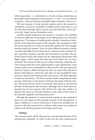which means that  $L = 0$ , the density is 0. On the contrary, when there are all possible relations present in the network  $(L = G(G-1)/2)$ , the density is equal to 1. Thus, the interval of possible values of density is from 0 to 1.

The next concept of social network analysis used in this research is *reachability.* A person is reachable by another person when there is a set of connections through which a person can come from the 'source' person to the 'target' person (Hanneman 2006).

Another concept analyzed in the research is *centrality.* The centrality of a person within the network gives us the information on its structural importance. The purpose of analyzing the centrality is therefore to identify the most important person in the network. The assumption is that the most central person is the most powerful, and has the most strategic position inside the network. There are three different measures of point centrality that differ by the criteria used to measure point centrality: degree centrality, closeness centrality and betweenness centrality. The approach based on the point *degree* has the supposition that persons with higher degree, which means that they have more direct ties, are more powerful. The reason for their power is their autonomy inside the network, because they have more opportunities to gain information, more choices, and are not so dependant on other persons. The next approach, based on *closeness,* affirms that persons that can reach other persons at shorter path distances, and at the same time are also reachable by other persons at shorter path distances have more power. The third approach is based on *betweenness.* The latter concept means being between other persons, which gives to the person in between the status of being a broker. This person has the power to accelerate, slow down or even prevent the flow of information and resources. Although each of these three approaches has its own measure, they all have the same aim, which is to disclose how close are network members to the center of the action in the network (Izquierdo and Hanneman 2006).

Through the methods of social network analysis we also analyzed if there were any cliques in the personal network of the entrepreneur. A *clique* is defined as a sub-set of persons in which every possible pair of persons is directly connected by a relation. Each person is in reciprocal relation with all other persons in the clique (Scott 1991).

## **Findings**

The research results will be discussed for each personal network of the entrepreneur separately. In order to find out the most central person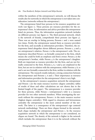within the members of the entrepreneur's network, we will discuss the results also for networks in which the entrepreneur is not taken into consideration (networks without the entrepreneur).

The entrepreneur listed four persons in his resource acquisition network (see figure 1). These persons are resource providers for the entrepreneur's firm. As information and advice providers the entrepreneur listed six persons. Thus, the information acquisition network includes six different persons (see figure 2). The third personal network, which is the network of friends, comprehends three persons (see figure 3). There was an overlap in listing persons; Persons 1 and 2 were named two times. Firstly, the entrepreneur named them as resource providers for the firm, and secondly as information providers. Therefore, the entrepreneur listed altogether eleven different persons. Persons 1, 3 and 4 are entrepreneur's relatives. Person 1 is the entrepreneur's wife. The entrepreneur described Person 1 as formally connected to the firm, which means she could be both an employee and firm's owner. Person 3 is the entrepreneur's brother, while Person 4 is the entrepreneur's daughter. Both are important as resource providers for the firm, and are not formally connected to the firm. Persons 5, 6, 7 and 9 are employed in the firm, but are not in relation with the entrepreneur, while Persons 2, 8, 10 and 11 are nor formally connected to the firm, neither in relation with the entrepreneur. The research results indicate a strong connection between the entrepreneur and Persons 1, 6 and 7. Their importance as resource and information providers for the entrepreneur's firm is very high.

In the entrepreneur's resource acquisition network the entrepreneur and Person 1 are the main resource receivers (degree centrality; tables of results of these and other calculations are not shown due to the limited length of the paper). The entrepreneur is a resource provider for three persons, while Person 1 (entrepreneur's wife) is a resource provider for two other network members. When investigating the network without the entrepreneur, Person 1 is the main resource receiver (highest degree centrality). With regard to closeness and betweenness centrality the entrepreneur is the most central member of the network. The latter is a consequence of the entrepreneur's ego centered network methodology. There are three cliques formed in the network. Each clique includes the entrepreneur and Person 1. In the resource acquisition network in which the entrepreneur is not considered, no cliques are found. The density of the network is higher in the network which includes the entrepreneur than it is in the network without the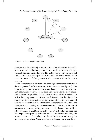

FIGURE 1 Resource acquisition network

entrepreneur. This finding is the same for all examined sub-networks, because of the methodology used in the study (entrepreneur's egocentered network methodology). The entrepreneur, Persons 1, 2 and 4 are the most reachable persons in the network, while Persons 1 and 2 are the most reachable persons in the network without the entrepreneur.

The entrepreneur and Person 1 have the highest indegree centrality in the entrepreneur's information acquisition network (see figure 2). The latter indicates that the entrepreneur and Person 1 are the most important information receivers for the firm. Person 1 is also the most important information provider. In the information acquisition network, in which the entrepreneur is not considered, Person 1 has the highest degree centrality. Therefore, the most important information provider and receiver for the entrepreneur's firm is the entrepreneur's wife. While the entrepreneur has the highest closeness centrality, Person 9 is the second most central person regarding closeness centrality. Person 1 has the highest betweenness centrality in the entrepreneur's network. Therefore, she has the power to speed up or hinder the flow of information among the network members. Three cliques are found in the information acquisition network, in which Person 1 is always included, even when the en-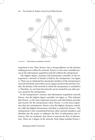

FIGURE 2 Information acquisition network

trepreneur is not. Thus, Person 1 has a strong influence on the decision making process within the network. Person 9 is the most reachable person in the information acquisition network without the entrepreneur.

The highest degree, closeness and betweenness centrality in the entrepreneur's network of friends is held by the entrepreneur (see figure 3). There are no relational ties among the members of the entrepreneur's network of friends, hence there are no cliques found in the network. Further, the density of the network in which the entrepreneur is excluded is 0. Therefore, no one from the network can be reached by any other person, except by the entrepreneur.

In the entrepreneur's resource and information acquisition network Person 1 has the highest degree centrality (see figure 4). This indicates that Person 1 is the most important resource and information provider and receiver for the entrepreneur's firm. Person 1 is even more important than the entrepreneur. Person 9 has the highest closeness centrality, while the highest betweenness centrality is reached by Person 1. The entrepreneur's wife is positioned between other network members, and therefore has the power to influence the flow of information and resources. She can accelerate, slow down or prevent the flow of information. There are 6 cliques in the network. Each clique includes Person 1,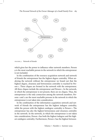

FIGURE 3 Network of friends

which gives her the power to influence other network members. Person 9 is the most reachable person in the network in which the entrepreneur is not included.

In the combination of the resource acquisition network and network of friends the entrepreneur has the highest degree centrality. When analyzing the network without the entrepreneur we found out that the highest degree, closeness and betweenness centrality is reached by Person 1. Three cliques are formed in the network with the entrepreneur. All three cliques include the entrepreneur and Person 1. In the network, in which the entrepreneur is not present, there are no cliques. Thus, the entrepreneur is the only connection among the network members. Persons 1 and 2 are the most reachable persons in the network in which the entrepreneur is not taken into consideration.

In the combination of the information acquisition network and network of friends the entrepreneur has the highest indegree centrality, while the person with the highest outdegree centrality is Person 1. The entrepreneur has also the highest betweenness and closeness centrality in the network. In the network, in which the entrepreneur is not taken into consideration, Person 1 has both the highest indegree and the highest outdegree centrality. Furthermore, Person 1 has the highest between-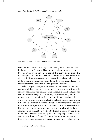

figure 4 Resource and information acquisition network

ness and outcloseness centrality, while the highest incloseness centrality is reached by Person 9. There are three cliques present in the entrepreneur's network. Person 1 is included in every clique, even when the entrepreneur is not included. The latter indicates that Person 1 has direct or indirect contacts with many network members, independently of the presence of the entrepreneur. Beside the entrepreneur, Person 9 is the most reachable person in the entrepreneur's network.

The last analyzed entrepreneur's network is represented by the combination of all three entrepreneur's personal sub-networks, which are the resource acquisition network, information acquisition network, and network of friends (see figure 5). Regarding degree centrality, both the entrepreneur and Person 1 have the highest outdegree centrality in the network. The entrepreneur reaches also the highest indegree, closeness and betweenness centrality. When the estimations are made for the network, in which the entrepreneur is not considered, Person 1 (the wife) has the highest degree, betweenness and outcloseness centrality. While the highest incloseness centrality is reached by Person 9. There are six cliques found in the network. Person 1 is present in every clique, even when the entrepreneur is not included. The research results indicate that the entrepreneur is the most reachable person in the network, while Person 9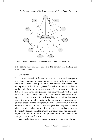

FIGURE 5 Resource-information acquisition network and network of friends

is the second most reachable person in the network. The findings are summarized in table 1.

## **Conclusion**

The personal network of the entrepreneur who owns and manages a small family venture was examined in this paper, with a special emphasis on the role of the spouse in the family firm's networking. The findings indicate that the entrepreneur's wife has a significant influence on the family firm's network performance. She is present in all cliques that are formed in the entrepreneur's network, which allows her to get information from different sources and to influence the decision making process in the network. She is also well connected with other members of the network and is crucial in the resource and information acquisition process for the entrepreneur's firm. Furthermore, her central position in the structure of the network gives her the power to reach other network members more quickly. She can reach other persons at shorter path distances than the entrepreneur or any other network member, and is an important information provider for other members in the entrepreneur's personal network.

Overall, the findings point to the importance of the spouse in the fam-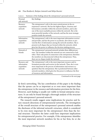| Personal<br>sub-network                               | Key findings                                                                                                                                                                                                                                                                                                                                                                  |
|-------------------------------------------------------|-------------------------------------------------------------------------------------------------------------------------------------------------------------------------------------------------------------------------------------------------------------------------------------------------------------------------------------------------------------------------------|
| Resource<br>acquisition<br>network                    | The entrepreneur's wife is the most central person in the en-<br>trepreneur's network. She has the highest degree, closeness and<br>betweenness centrality within the network members, and is also<br>one of the most reachable persons within the network. She is the<br>most powerful member of the network, and has the most strategic<br>position inside the network.     |
| Information<br>acquisition<br>network                 | The entrepreneur's wife is the most important information receiver<br>and provider, and has the power to accelerate, slow down or pre-<br>vent the flow of information among the network members. She is<br>present in all cliques that are formed within the network, which<br>gives her the power to influence the decision making process.                                 |
| Network of<br>friends                                 | The entrepreneur's personal network includes three different per-<br>sons. The members within the network are not connected to each<br>other. Their only point of connection is the entrepreneur; therefore<br>the members are disconnected without the entrepreneur. Thus,<br>there are no cliques inside the network.                                                       |
| Resource and<br>information<br>acquisition<br>network | The entrepreneur's wife is the most important resource and in-<br>formation provider and receiver in the network. Thus, she is even<br>more important in the process of information and resource ac-<br>quisition than the entrepreneur. She is positioned between other<br>network members, which gives her the power to influence the flow<br>of resources and information. |

table 1 Summary of the findings about the entrepreneur's personal network

*Continued on the next page*

ily firm's networking. The key contribution of this paper is the finding that the spouse can be as important as or even more important than the entrepreneur in the resource and information provision for the firm. However, such finding is usually not visible in formal enterprise structures. It can only be found through a thorough analysis of the structure of the entrepreneur's personal network.

The research results suggest some implications for practice and future research directions of entrepreneurial networks. The investigation of the overall structure of the entrepreneur's personal network enables the disclosure of the informal network's structure, which is considered to be even more important for the entrepreneur's firm than the formal structure. Therefore the latter could have important implications for entrepreneurial practice. For example, if the entrepreneur identifies the most important network members for his or her firm, he or she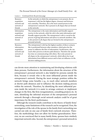| Resource<br>acquisition<br>network and<br>network of<br>friends                 | In the network, in which the entrepreneur is not present, the en-<br>trepreneur's wife has the highest degree, closeness and between-<br>ness centrality. Therefore, she is the most central person in the<br>entrepreneur's network. She is present in all cliques that are formed<br>in the network.                                                                                                                                                                                                                  |
|---------------------------------------------------------------------------------|-------------------------------------------------------------------------------------------------------------------------------------------------------------------------------------------------------------------------------------------------------------------------------------------------------------------------------------------------------------------------------------------------------------------------------------------------------------------------------------------------------------------------|
| Information<br>acquisition<br>network and<br>network of<br>friends              | The entrepreneur is the main information and friendly support<br>receiver in the network, while his wife is the main information and<br>friendly support provider. The entrepreneur's wife is crucial in the<br>process of giving information and advice to network members. She<br>is also present in all cliques that are formed in the entrepreneur's<br>personal network.                                                                                                                                           |
| Resource-<br>information<br>acquisition<br>network and<br>network of<br>friends | The entrepreneur's wife has the highest number of direct contacts.<br>She is positioned between other members, which gives her the<br>power to influence the flow of information. Furthermore, she can<br>reach other persons at shorter path distances. Therefore she spends<br>less time on communicating with others. She is also present in<br>all cliques in the entrepreneur's network, which allows her to get<br>information from different sources and to have an influence on the<br>decision making process. |

table 1 *Continued from the previous page*

can devote more attention to maintaining and developing relations with these persons. Furthermore, the information about the structure of the entrepreneur's personal network is also helpful for persons outside the firm, because it reveals who is the most influential person inside the entrepreneur's network. Having the most strategic position within the network brings some benefits: e. g., to reach other network members at shorter path distances and to influence the decision making process within the network. Therefore, by identifying the most influential persons inside the network it is easier to arrange contracts or implement changes in the firm, like firm reorganizations, consulting projects etc. In sum, identifying the informal structure of the entrepreneur's personal network through a thorough social network analysis could be of great importance for the firm's performance.

Although the research results contribute to the theory of family firms' networking, some limitations of the research can be recognized. First, the investigation of the role of the spouse in the family firm's networking was carried out only on one case of family firm's network structure. Therefore, the methodology does not allow for further generalization. However, we are convinced that in many family firms, spouses have similarly important network roles. Second, the entrepreneur's personal network in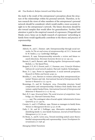the study is the result of the entrepreneur's perception about the structure of the relationships within his personal network. Therefore, in future research the views of other members of the entrepreneur's personal network should be considered, which would enable a more accurate insight in to the entrepreneur's network. The future directions should be also toward samples that would allow for generalization. Further, little attention is paid to the empirical research of copreneurs (Fitzgerald and Muske 2002), hence an in-depth research of copreneurs' networking in family firms would significantly contribute to the theory and practice of copreneurship.

## **References**

- Aldrich, H., and C. Zimmer. 1986. Entrepreneurship through social networks. In *The art and science of entrepreneurship,* ed. D. L. Sexton and R. W. Smilor, 3–23. Cambridge: Ballinger.
- Antoncic, B. 1999. Entrepreneurship networks: a review and future research directions. *Slovenian Economic Review* 50 (3): 195–221.
- Barnett, F., and S. Barnett. 1988. *Working together: Entrepreneurial couples.* Berkely, ca: Ten Speed Press.
- Borgatti, S. P., M. G. Everett, and L. C. Freeman. 2002. *Ucinet for Windows: Software for social network analysis.* Harvard: Analytic Technologies.
- Brass, D. J. 1992. Power in organizations: A social network perspective. *Research in Politics and Society* 4:295–23.
- Brindley, C. 2005. Barriers to women achieving their entrepreneurial potential: Women and risk. *International Journal of Entrepreneurial Behaviour & Research* 11 (2): 144–61.
- Brunninge, O., and M. Nordqvist. 2004. Ownership structure, board composition and entrepreneurship: Evidence from family firms and venture-capital-backed firms. *International Journal of Entrepreneurial Behaviour & Research* 10 (1–2): 85–105.
- Burt, R. S. 1992. *Structural holes: The social structure of competition.* Cambridge, ma: Harvard University Press.

———. 1997. The contingent value of social capital. *Administrative Science Quarterly* 42 (2): 339–65.

- Cromie, S., and S. O'Sullivan. 1999. Women as managers in family firms. *Women in Management Review* 14 (3): 76–88.
- Daily, C. M., and M. J. Dollinger. 1993. Alternative methodologies for identifying family vs. non-family businesses. *Journal of Small Business Management* 31 (2): 70–90.
- De Bruin, A., and K. Lewis 2004. Toward enriching united career theory: familial entrepreneurship and copreneurship. *Career Development International* 9 (7): 638–46.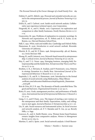- Dubini, P., and H. Aldrich. 1991. Personal and extended networks are central to the entrepreneurial process. *Journal of Business Venturing* 6 (5): 305–13.
- Erlich, K., and I. Carboni. 2006. Inside social network analysis. Collaborative user experience technical report, IBM Corporation.
- Fitzgerald, M. A., and G. Muske. 2002. Copreneurs: An exploration and comparison to other family businesses. *Family Business Review* 15 (1):  $1 - 15$ .
- Granovetter, M. 1992. Problems of explanation in economic sociology. In *Networks and organizations,* ed. N. Nohria and R. G. Eccles, 25–56. Boston, ma: Harvard Business School Press.
- Hall, C. 1992. *White, male and middle class.* Cambridge and Oxford: Polity.
- Hanneman, R. 2006. *Introduction to social network methods.* Riverside: University of California.
- Hisrich, R. D., and M. P. Peters. 1998. *Entrepreneurship*. 4th ed. Boston, ma: Irwin McGraw-Hill.
- Hoang, H., and B. Antoncic 2003. Network-based research in entrepreneurship: A critical review. *Journal of Business Venturing* 18 (2): 165–87.
- Hoy, F., and T. G. Verser. 1994. Emerging business, emerging field: Entrepreneurship and the family firm. *Entrepreneurship Theory and Practice* 19 (1): 9–24.
- Ibrahim, A. B., J. McGuire, K. Soufani, and P. Poutziouris. 2004. Patterns in strategy formation in a family firm. *International Journal of Entrepreneurial Behaviour & Research* 10 (1–2): 127–40.
- Izquierdo, L. R., and R. A. Hanneman. 2006. Introduction to the formal analysis of social networks using Mathematica. Http://library .wolfram.com/infocenter/MathSource/6638/Izquierdo\_Hanneman \_2006.pdf.
- Kets de Vries, M. E. R. 1993. The dynamics of family controlled firms: The good and bad news. *Organizational Dynamic* 21 (3): 59–71.
- Kotey, B. 2005. Goals, management practices, and performance of family smes. *International Journal of Entrepreneurial Behaviour & Research* 11  $(1): 3-24.$
- Liang, C.-I., and P. Dunn. 2002. The impact of starting a new venture on the entrepreneur and their family: Expectations, reality, and willingness to start again. *Journal of Business & Entrepreneurship* 14 (1): 1–16.
- Lin, N. 1982. Social resources and instrumental action. In *Social structure and networks analysis,* ed. P. V. Marsden and N. Lin, 131–45. Beverly Hills, ca: Sage.
- Loscocco, K., and A. Smith-Hunter. 2004. Woman home-based business owners: insights from comparative analyses. *Women in Management Review* 19 (3): 164–73.
- Martino, F., and A. Spoto. 2006. Social network analysis: A brief theoret-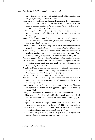ical review and further perspectives in the study of information technology. *PsychNology Journal* 4 (1): 53–86.

- Meyerson, E. 2000. Human capital, social capital and the compensation: The contribution of social contacts to manager's incomes. In *Knowledge and social capital: Foundations and applications,* ed. E. Lesser, 287– 311. Boston, ma: Butterworth-Heinemann.
- Millman, C., and L. M. Martin. 2007. Exploring small copreneurial food companies: Female leadership perspectives. *Women in Management Review* 22 (3): 232–9.
- Moore, S., L. Grunberg, and E. Greenberg. 2005. Are female supervisors good for employee job experiences, health, and wellbeing? *Women in Management Review* 20 (2): 86–95.
- Orhan, M., and D. Scott. 2001. Why women enter into entrepreneurship: An explanatory model. *Women in Management Review* 16 (5): 232–47.
- Pérez de Lema, D. G., and A. Duréndez. 2007. Managerial behaviour of small and medium-sized family businesses: An empirical study. *International Journal of Entrepreneurial Behaviour & Research* 13 (3): 151–72.
- Prior, M., ed. 1986. *Women in English society, 1500–1800.* London: Methuen.
- Reid, R. S., and J. S. Adams. 2001. Human resource management: A survey of practices within family and non-family. *Journal of European Industrial Training* 26 (6): 310–20.
- Reid, R., B. Dunn, S. Cromie, and J. Adams. 1999. Family orientation in family firms: A model and some empirical evidence. *Journal of Small Business and Enterprise Development* 6 (1): 55–67.
- Rose, M. B., ed. 1995. *Family business.* Aldershot: Elgar.
- Ruzzier, M., and B. Antoncic. 2007. Social capital and sme internationalization: An empirical examination. *Transformations in Business & Economics* 6 (1): 122–38.
- Scarborough, N. M., and T. W. Zimmerer. 1999. *Effective small business management: An entrepreneurial approach.* Upper Saddle River, nj: Prentice Hall.
- Scott, J. 1991. *Social network analysis: A handbook.* London: Sage.
- Smith, C. S. 2000. Managing work and family in small 'copreneurial' business: An Australian study. *Women in Management Review* 15 (5–6): 283–9.
- Tompson, G. H., and H. B. Tompson. 2000. Determinants of successful copreneurship. Paper presented at the icsb World Conference, Brisbane.
- Wasserman, S., and K. Faust 1994. Social network analysis, methods and applications. Cambridge: Cambridge University Press.
- Winn, J. 2004. Entrepreneurship: Not an easy path to top management for women. *Women in Management Review* 19 (3): 143–53.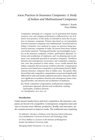# hrm *Practices in Insurance Companies: A Study of Indian and Multinational Companies*

Subhash C. Kundu Divya Malhan

Competitive advantage of a company can be generated from human resources (HR) and company performance is influenced by a set of effective hrm practices. In this study, we intended to assess the hr practices in insurance companies. Primary data based on 218 respondents from four insurance companies (two multinational-7 branches and two Indian-7 branches) were analyzed to assess hr practices being practiced by insurance companies in India. Six factors from factor analysis were further analyzed. 'Training and benefits' was found highly in practice in the insurance companies. Further, 'performance appraisal,' 'selection and socialization of employees,' and 'hr planning and recruitment' were moderately practised in insurance companies. 'Workforce diversity and contemporary hr practices' and 'competitive compensation' were also practised to some extent. anova results showed that Indian companies did not practise workforce diversity. Compensation practices were found more competitive or performance based in Multinational insurance companies than in Indian ones. The gender effect showed that only competitive compensation was perceived significantly differently by male and female employees/executives. Interactive effects were significant on workforce diversity and contemporary issues, training and benefits, and selection and socialization of employees.

*Key Words:* competitive compensation, multinational companies, performance appraisal, selection and socialization, training and benefits, workforce diversity jel *Classification:* m12, m54, o15

## **Introduction**

Under present market forces and strict competition, the insurance companies are forced to be competitive. Contemporary companies must seek ways to become more efficient, productive, flexible and innovative, under constant pressure to improve results. The traditional ways of gaining

*Dr Subhash C. Kundu is a Professor at the Haryana School of Business, Guru Jambheshwar University of Science and Technology, India.*

*Dr Divya Malhan is a Lecturer at the Institute of Management Studies, Kurukshetra University, India.*

*Managing Global Transitions* 7 (2): 191–215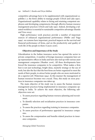competitive advantage have to be supplemented with organizational capability i. e. the firm's ability to manage people (Ulrich and Lake 1990). Organizational capability relates to hiring and retaining competent employees and developing competencies through effective human resource management practices (Ulrich and Lake 1991). Indeed, developing a talented workforce is essential to sustainable competitive advantage (Kundu and Vora 2004).

High performance work practices provide a number of important sources of enhanced organizational performance (Pfeffer and Veiga 1999). HR systems have important, practical impacts on the survival and financial performance of firms, and on the productivity and quality of work life of the people in them (Cascio 2006).

## **Objectives and Importance of the Study**

Liberalization in the Indian insurance sector has opened the sector to private competition. A number of foreign insurance companies have set up representative offices in India and have also tied up with various asset management companies (Shanker 2006). All these developments have forced the insurance companies to be competitive. What makes a firm best is not just technology, bright ideas, masterly strategy or the use of tools, but also the fact that the best firms are better organized to meet the needs of their people, to attract better people who are more motivated to do a superior job (Waterman 1994). In this manner the management of human resources becomes very crucial. Thus, this study on HRM practices in insurance companies was taken up.

The main objective of the study was to assess the human resource management practices being implemented in insurance companies operating in India. To achieve the main objective, the following subobjectives were set:

- 1. To assess practices regarding human resource planning and recruitment.
- 2. To identify selection and socialization practices in insurance companies.
- 3. To assess the practices regarding training in insurance companies.
- 4. To assess practices of performance appraisal in insurance companies.
- 5. To assess the compensation and benefits related practices in insurance companies.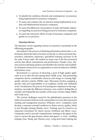- 6. To identify the workforce diversity and contemporary hr practices being implemented in insurance companies.
- 7. To assess and compare the hr practices being implemented in Indian and Multinational insurance companies.
- 8. To assess the differences of perception of male and female employees regarding  $HR$  practices being practiced in insurance companies.
- 9. To assess the interactive effects of type of insurance companies and gender on hr practices.

# **Literature Review**

The literature review regarding various hr practices is presented in the following paragraphs.

Job analysis is the process of obtaining information about jobs i. e. information about the tasks to be done on the job, as well as personal characteristics (education, experience, specialized training) necessary to do the tasks (Cascio 1998). Job analysis in many ways is the first personnel activity that affects commitment and performance (Dessler 2003). Human resource planning analyzes and identifies the need for and availability of human resources for an organization to meet its objectives (Mathis and Jackson 2004).

Recruitment is a process of attracting a pool of high quality applicants so as to select the best among them (Kulik 2004). Top performing companies devote considerable resources and energy to creating highquality selection systems (Pfeffer 1995). Placement involves assigning a specific rank and responsibility to an employee (Jyothi and Venkatesh 2006). Socialization, the process of orienting new employees to the organization, can make the difference between a new worker's feeling like an outsider and feeling like the member of the team (Gomez-Mejia, Balkin and Cardy 2003).

The current challenges caused by the globalisation pressures in the realm of economics behoves work communities to review their personnel training and management practices (Pitkanen 2007). Companies must develop a customer-oriented workforce to deliver service quality, which is met through training (Kundu 2000). Training must be viewed as an important investment for future success (Zeithmal and Bitner 2004). Companies need to provide comprehensive training to the agents in the ways to narrow the gap between clients and agents i. e. trust – building training (Law, Wong, and Theresa 2005). Long-term basis training has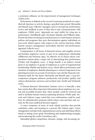a systematic influence on the improvement of management techniques (Zadel 2006).

Performance is defined as the record of outcomes produced on a specified job function or activity during a specified time period (Bernardin and Russell 1993). Effective managers need to incorporate performance review and feedback as part of their day-to-day communications with employees (Webb 2004). Appraisals are used widely for tying pay to performance (Schellhardt 1996; Cleveland, Murphy and Williams 1989). Present day firms are facing increased pressure to create human resources policies and programs that avert discrimination against individuals on non-work related aspects with respect to the various functions within human resource management, particularly selection and performance appraisal (Lillevik 2007).

Compensation is all forms of financial returns and tangible services and benefits employees receive as part of an employment relationship (Milkovich and Newman 1999). An effective set of choices about compensation systems plays a major role in determining firm performance (Dreher and Dougherty 2005). A fringe benefit is an indirect reward given to an employee or group of employees as a part of organizational membership (Mathis and Jackson 2004), which affects performance and retention of employees. Benefits planning are a critical component of hr planning processes on account of enormous costs and the financial commitment made for the future (Bernardin and Russell 1993). A pay-forcompetence program enhances productivity and product quality, and reduces absenteeism, turnover, and accident rates (Jyothi and Venkatesh 2006).

A Human Resource Information Systems (HRIS) is basically a data base system that offers important information about employees in a central and accessible location that, when needed, could be retrieved and used to facilitate human resources planning decisions (Wolfe 1998). Kovach and Cathcart (1999) noted that HRIS information could be used, first, for administrative purposes which reduce costs and time and, second, for the more analytical decision support.

A career comprises of series of work related activities that provide continuity, order, and meaning to a person's life (Schein 1996). Career management includes both organizational actions and individual efforts aimed at setting career goals, formulating and implementing strategies and monitoring the results (Greenhaus 1987).

Intensified global competition, dynamic change, and increasing un-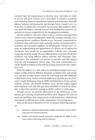certainty have led organizations to become more innovative in order to survive and grow (Lassen 2007). Innovation is critical to sustaining and enhancing shares of mainstream markets and obtaining a desirable balance between entrepreneurial and strategic forces (Lassen 2007). So, firms have to adopt new/ innovative hr practices like workforce diversity, work-life balance, attitude surveys, and leading with proactive hr practices to remain competitive in the changing envioronment.

Diverse workforce (diversity) refers to the co-existence of people from various socio-cultural backgrounds within the company (Kundu 2004). A growing diverse workforce (Kundu 2003), increased competition for businesses (Jain and Verma 1996), growing number of mergers and acquisitions, and increased emphasis on globalization (Terrisse 2001) require an understanding and appreciation of a diverse set of cultures for having the 'best' people for an organization (Lillevik 2007). Dynamic companies look for people who are different from us because the diverse workforce may bring different talents, interests, and viewpoints (Simmons 1996). The companies can succeed at diversity with full support from the top management (Hayes 1999). The work communities as a whole should be helped to deal with increasing cultural diversity (Pitkanen 2007).

Work-life balance is a state where an individual manages real or potential conflict between different demands on his/her time and energy in a way that satisfies his/her needs for well-being and self-fulfillment (Clutterbuck 2004). Today's married employee is typically part of a dualcareer couple finding less time to fulfill commitments to home, spouse, children, parents, and friends (Robbins 2004). Recent studies suggest that employees want jobs that give them flexibility in their work schedules, so that they can better manage work/life conflicts (Conlin 1999).

Attitude surveys can provide information on the preferences of employees, give warning on potential problem areas, diagnose the cause of particular problems, and compare levels of job satisfaction, commitment and morale in different parts of the organization (Armstrong 2005).

Thus, on the basis of literature review, we propose following hypotheses:

- h1 *Insurance companies operating in India use human resource planning and recruitment practices.*
- h1a *Indian and Multinational insurance companies do differ on human resource planning and recruitment.*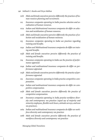- h1b *Male and female executives perceive differently the practices of human resource planning and recruitment.*
- h2 *Insurance companies operating in India practise selection and socialization of human resources.*
- h2a *Indian and Multinational insurance companies do differ on selection and socialization of human resources.*
- h2b *Male and female executives perceive differently the practices of selection and socialization of human resources.*
- h3 *Insurance companies operating in India use practices regarding training and benefits.*
- h3a *Indian and Multinational insurance companies do differ on training and benefits.*
- h3b *Male and female executives perceive differently the practices of training and benefits.*
- h4 *Insurance companies operating in India use the practice of performance appraisal.*
- h4a *Indian and multinational insurance companies do differ on performance appraisal.*
- h4b *Male and female executives perceive differently the practice of performance appraisal.*
- h5 *Insurance companies operating in India practise competitive compensation.*
- h5a *Indian and multinational insurance companies do differ on competitive compensation.*
- h5b *Male and female executives perceive differently the practice of competitive compensation.*
- h6 *Insurance companies operating in India practise workforce diversity and contemporary* hr *practices (equal say of majority and minority employees, flexible work hours, attitude surveys, and new* hr *practices).*
- h6a *Indian and multinational insurance companies do differ on workforce diversity and contemporary* hr *practices*
- h6b *Male and female executives perceive differently the practices of workforce diversity and contemporary* hr *practices*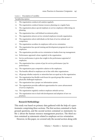|                | Variable/description                                                                                          |
|----------------|---------------------------------------------------------------------------------------------------------------|
| V1             | The organization conducts job analysis regularly.                                                             |
| V <sub>2</sub> | The organization conducts human resource planning on a regular basis.                                         |
| V <sub>3</sub> | The organization places special emphasis on service employees while doing HR<br>planning.                     |
| V <sub>4</sub> | The organization has a well defined recruitment policy.                                                       |
| V5             | The organization attracts service oriented employees towards organization.                                    |
| v6             | The organization selects individuals on the basis of service attitude and<br>competence.                      |
| V7             | The organization socializes its employees with service orientation.                                           |
| v8             | The organization has special training and development programs for service<br>employees.                      |
| V9             | The organization provides service orientation to leaders from top management.                                 |
| V10            | Performance appraisal is done regularly in the organization.                                                  |
| V11            | Service performance is given due weight in the performance appraisal of<br>employees.                         |
| V12            | The organization has a system of pay for service performance (pay for<br>performance).                        |
| V13            | The organization pays competitive salaries to the employees.                                                  |
| V14            | The benefits offered to employees are in line with other organizations.                                       |
| V15            | All groups whether majority or minorities have an equal say in the organization.                              |
| V16            | The organization has flexible work hours for special groups like women or<br>physically challenged employees. |
| V17            | The organization has a proper HR information system.                                                          |
| V18            | The organization provides sufficient opportunities for career advancement<br>of service employees.            |
| V19            | The organization regularly conducts employee attitude surveys.                                                |
| V20            | The organization tries to lead with development and adoption of new HR<br>practices.                          |

#### TABLE 1 Description of variables

# **Research Methodology**

This study was based on primary data gathered with the help of a questionnaire comprising three sections. The first section contained 10 background questions, and the second section contained 20 statements (table 1) about the human resource management practices. The third section contained 45 statements related to employee service orientation.

However, in this paper, we covered only the second section along with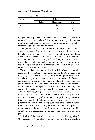#### 198 *Subhash C. Kundu and Divya Malhan*

| Gender |        | Background    |       |
|--------|--------|---------------|-------|
|        | Indian | Multinational | Total |
| Male   | 97     | 80            | 177   |
| Female | 26     | 15            | 41    |
| Total  | 123    | 95            | 218   |

TABLE 2 Distribution of the sample

first part. The respondents were asked to rate statements on a five point rating scale where one indicated that respondents strongly disagree, two meant disagree, three indicated neutral, four indicated agreeing and five meant strongly agree with the statement.

The questionnaire was administered to 400 respondents of four insurance companies (two multinational-7 branches and two Indian-7 branches). Only 218 (54.5%) of the returned questionnaires were found suitable for final analysis and without discrepancies. Out of the sample of 218 respondents, 123 (including 26 females) respondents were from Indian and 95 (including 15 females) from multinational insurance companies. All respondent employees/ managers were of Indian origin. Table 2 explains the distribution of the sample.

The data gathered were analyzed with the help of statistical tools like actual counts, percentages, correlations, standard deviations, factor analysis, analysis of variance (anova), and mean and grand mean scores. Actual counts, percentages, and means were used to assess the frequency and percentage extent of certain variables related to general and background information. Correlations were used to assess the relationships of human resource management practices used in insurance companies, and standard deviations were calculated to understand the variations in data collected through responses. Factor analysis was basically used to reduce the data collected on the five-point scale for further analysis. anova was used to assess the significant differences regarding hr practices between Indian and multinational insurance companies and between the perception of male and female employees/executives. Means and grand means were helpful in explaining the extent and direction of prevalence of hr practices and related factors. Means were also used to see the differences between hr practices in Indian and Multinational insurance companies.

Reliability of the data collected was also calculated by applying the Cronbach Alpha. Alpha value of the scale of 20 variables was calculated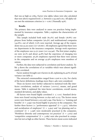that was as high as 0.864. Factor wise alpha values were also calculated that were above required level i. e. between 0.743 and 0.612. All alpha values met the minimum criterion ( $\alpha$  > 0.60) (Nunnally 1978).

## **Results**

The primary data were analyzed to assess HR practices being implemented by insurance companies. Table 3 explains the characteristics of the sample.

This sample included both male (81.2%) and female (18.8%) employees from Indian companies (56.4%) and multinational companies (43.6%), out of which 77.5% were married. Average age of the respondents was 35.302 years ( $s$ D= $\pm$ 8.667). All employees agreed that there were hr departments in the insurance companies. Average work experience of the employees was 13.272 years ( $s$ D= $\pm$ 9.346). The first joiner employees were 56.1% and about 43.8% had the experience of changing two or more companies. 56.4% employees reported that there were unions in the companies and on average 42.9% employees were members of unions.

Further, the data were subjected to correlation and factor analysis. Table 4 shows the correlations of 20 variables which were almost significantly correlated.

Factor analysis brought out 6 factors in all, explaining 65.410% of total variance (see table 5).

The extracted communalities ranged from 0.506 to 0.763. For clarity of the factor definitions, loadings more than 0.480 were considered.

These six factors were further subjected to statistical tools like interfactor correlations, analysis of variance (anova), means, and grand means. Table 6 explained the inter-factor correlations, overall means, standard deviations, and alpha values.

All factors were found highly correlated  $(r \le 0.01)$ . Standard deviations were found varying between <sup>±</sup>0.<sup>830</sup> and <sup>±</sup>1.113. The factors mean scores were found between 3.005 and 3.599. One factor i. e. 'training and benefits'  $(\bar{x} = 3.599)$  was found highly in practice in the companies. The further three factors i.e. 'performance appraisal' ( $\bar{x}$  = 3.472), 'selection and socialization of employees'  $(\bar{x} = 3.404)$  and 'HR planning and recruitment'  $(\bar{x} = 3.298)$  were moderately practised in the companies. 'Workforce diversity and contemporary HR practices' ( $\bar{x}$  = 3.005) and 'competitive compensation'  $(\bar{x} = 3.089)$  were also practised in companies but not as high as other factors. These factors mean scores indicated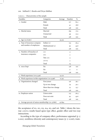| Variables                                           | Categories           | Average | Number   | $\frac{0}{0}$ |
|-----------------------------------------------------|----------------------|---------|----------|---------------|
| 1. Gender                                           | Male                 |         | 177      | 81.2          |
|                                                     | Female               |         | 41       | 18.8          |
|                                                     | Total                |         | 218      | 100           |
| 2. Marital status                                   | Married              |         | 169      | 77.5          |
|                                                     | Unmarried            |         | 49       | 22.5          |
|                                                     | Total                |         | 218      | 100           |
| 3. Age (sp 8.667)                                   |                      | 35.302  |          |               |
| 4. Type of insurance company                        | Indian $(2)$         |         | 123      | 56.4          |
| and number of employees                             | Multinational (2)    |         | 95       | 43.6          |
|                                                     | Total                |         | 218      | 100           |
| 5. Number of branches of                            | <b>LIC</b>           |         | 4        |               |
| insurance companies                                 | <b>OIC</b>           |         | 3        |               |
|                                                     | Tata atg             |         | 4        |               |
|                                                     | <b>AVIVA</b>         |         | 3        |               |
|                                                     | Total                |         | 14       |               |
| 6. нвм Dept                                         | Yes                  |         | 218      | 100           |
|                                                     | No                   |         | $\Omega$ | 0             |
|                                                     | Total                |         | 218      | 100           |
| 7. Work experience (sp 9.346)                       |                      | 13.272  |          |               |
| 8. Work experience in this organization (SD 9.598)  |                      | 11.355  |          |               |
| 9. Organizations changed                            | First joiner         |         | 116      | 56.1          |
|                                                     | Up to two change     |         | 79       | 30.1          |
|                                                     | More than two change |         | 23       | 13.7          |
|                                                     | Total                |         | 218      | 100           |
| 10. Employee union                                  | Union exists         |         | 123      | 56.4          |
|                                                     | Does not exist       |         | 95       | 43.6          |
|                                                     | Total                |         | 218      | 100           |
| 11. Average percent of union membership (SD 37.866) |                      |         |          |               |

TABLE 3 Characteristics of the sample

the acceptance of  $H1$ ,  $H2$ ,  $H3$ ,  $H4$ ,  $H5$ , and  $H6$ . Table 7 shows the twoway anova results based upon type effect, gender effect and two-way interactions.

According to the type of company effect, performance appraisal ( $p \leq$ 0.002), workforce diversity and contemporary issues ( $p \le 0.006$ ), train-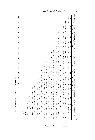| $\triangleright$         | $\sqrt{2}$      | V <sub>2</sub>                                         | $\tilde{c}$ | $V_4$            | v5               | $\sqrt{6}$            | V7               | v8                                                                  | $\mathsf{v}\mathsf{g}$ | V10              | V <sub>11</sub>         | V12                   | V13                   | V14                | V <sub>15</sub> | V16                   | VI7       | V18                     | V19   | V20   |
|--------------------------|-----------------|--------------------------------------------------------|-------------|------------------|------------------|-----------------------|------------------|---------------------------------------------------------------------|------------------------|------------------|-------------------------|-----------------------|-----------------------|--------------------|-----------------|-----------------------|-----------|-------------------------|-------|-------|
| Σ                        |                 |                                                        |             |                  |                  |                       |                  |                                                                     |                        |                  |                         |                       |                       |                    |                 |                       |           |                         |       |       |
|                          | $0.470**$       |                                                        |             |                  |                  |                       |                  |                                                                     |                        |                  |                         |                       |                       |                    |                 |                       |           |                         |       |       |
| $V_3$                    |                 | $0.290**0.035**$                                       |             |                  |                  |                       |                  |                                                                     |                        |                  |                         |                       |                       |                    |                 |                       |           |                         |       |       |
| $V_4$                    |                 | $0.221$ <sup>**</sup> $0.389$ <sup>**</sup> 0.         | $.326**$    |                  |                  |                       |                  |                                                                     |                        |                  |                         |                       |                       |                    |                 |                       |           |                         |       |       |
| v5                       |                 | $0.363**0.344**0.381**0.503**$                         |             |                  |                  |                       |                  |                                                                     |                        |                  |                         |                       |                       |                    |                 |                       |           |                         |       |       |
| $\sqrt{6}$               |                 | $0.364**0.380**0.003$                                  |             | $0.461**$        | $0.382**$        |                       |                  |                                                                     |                        |                  |                         |                       |                       |                    |                 |                       |           |                         |       |       |
| V7                       | $0.304**$ 0.111 |                                                        |             | $0.164**0.226**$ | $0.381**$        | $0.550**$             |                  |                                                                     |                        |                  |                         |                       |                       |                    |                 |                       |           |                         |       |       |
| v8                       |                 | $0.236**0.203**0.219**0.364**$                         |             |                  | $0.370**$        |                       | $0.273**0.144**$ |                                                                     |                        |                  |                         |                       |                       |                    |                 |                       |           |                         |       |       |
| $\mathcal{S}_{\lambda}$  |                 | $0.151**$ $0.188**$ $0.236**$ $0.146**$                |             |                  | $0.319**$        | $0.221$ <sup>**</sup> | $0.182**$        | $0.351***$                                                          |                        |                  |                         |                       |                       |                    |                 |                       |           |                         |       |       |
| V10                      |                 | $0.219$ <sup>**</sup> $0.255$ <sup>**</sup> $0.358$ ** |             | $0.417**$        | $0.375***$       |                       |                  | $0.262**0.246**0.388**$                                             | $0.432**$              |                  |                         |                       |                       |                    |                 |                       |           |                         |       |       |
| $\overline{v}$           |                 | $0.327***$ 0.266** 0.112                               |             |                  |                  |                       |                  | $0.404**0.170**0.439**0.180**0.262**$                               | 0.109                  | $0.482**$        |                         |                       |                       |                    |                 |                       |           |                         |       |       |
| V12                      |                 | $0.147*0.299*0.197*0.035$                              |             |                  |                  | $0.242**0.200**0.066$ |                  | 0.027                                                               | $-0.017$               | 0.088            | 0.083                   |                       |                       |                    |                 |                       |           |                         |       |       |
| V13                      |                 | $0.353**0.405**0.207**0.350**$                         |             |                  |                  |                       |                  | $0.379**0.464**0.322**0.330**0.054$                                 |                        |                  |                         | $0.171*0.223*0.441**$ |                       |                    |                 |                       |           |                         |       |       |
| V14                      | 0.087           | $0.187**0.059$                                         |             |                  |                  |                       |                  | $0.330*$ $0.308**$ $0.298**$ $0.304*$ $0.368**$ $0.405**$ $0.335**$ |                        |                  | $0.212**0.066$          |                       | $0.362**$             |                    |                 |                       |           |                         |       |       |
| V <sub>15</sub>          |                 | $0.174*0.309*0.334**$                                  |             |                  | $0.289**0.226**$ | $0.195**$             |                  | $0.243**0.247**0.251**0.366**0.273**$                               |                        |                  |                         | $0.149**$             | $0.155**$             | $0.234***$         |                 |                       |           |                         |       |       |
| V16                      | 0.032           | $0.369**0.120$                                         |             | 0.113            | 0.056            | 0.070                 | $-0.082$         | $-0.023$                                                            | 0.082                  | $-0.005$         | $-0.058$                | $0.348**$             | 0.118                 | 0.048              | $0.387**$       |                       |           |                         |       |       |
| V <sub>17</sub>          |                 | $0.359**$ $0.257**$ $0.184**$ $0.357**$                |             |                  |                  |                       |                  | $0.234**0.365**0.253**0.323**0.065$                                 |                        |                  | $0.395***0.448***0.104$ |                       |                       | $0.477***$ 0.310** | $0.334***$      | 0.127                 |           |                         |       |       |
| V18                      |                 | $0.211**0.389**0.450**$                                |             | $0.198**$        | $0.364**$        |                       |                  | $0.283**0.266**0.221**0.429**0.334**$                               |                        |                  | 0.102                   |                       | $0.156**0.196**$      | $0.165**$          | $0.387**$       | $0.212**$             | $0.175**$ |                         |       |       |
| V19                      | 0.006           | $0.315**$ $0.221**$                                    |             | 0.092            | $0.151**$        | $0.138***$            | 0.017            | 0.051                                                               | $0.211**$              | 0.127            | 0.052                   | $0.299**0.089$        |                       | 0.110              |                 | $0.288**0.464**0.005$ |           | $0.440**$               |       |       |
| V20                      |                 | $0.217**0.174**$                                       |             |                  | $0.196**0.282**$ | $0.358**$             | $0.301**0.085$   |                                                                     |                        | $0.164**0.272**$ | $0.158**$               |                       | $0.250**0.299**0.124$ |                    | $0.233**$       | $0.221**$             |           | $0.246**0.340**0.440**$ |       |       |
| z                        | 3.279           | 3.307                                                  | 3.160       | 3.564            | 3.394            | 3.399                 | 3.412            | 3.692                                                               | 3.614                  | 3.633            | 3.550                   | 2.986                 | 3.192                 | 3.490              | 3.133           | 2.568                 | 3.142     | 3.348                   | 2.917 | 3.399 |
| $\overline{\phantom{0}}$ | 1.295           | 1.160                                                  | 1.217       | 1.186            | 1.115            | 1.120                 | 0.981            | 1.065                                                               | 1.050                  | 1.129            | 1.135                   | 1.300                 | 1.323                 | 1.149              | 1.489           | 1.269                 | 1.211     | 1.159                   | 1.230 | 1.107 |

*Volume 7 · Number 2 · Summer 2009*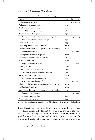| Factors                                                   | (1)   | (2)   | (3)    |
|-----------------------------------------------------------|-------|-------|--------|
| F1 Performance appraisal                                  |       | 5.819 | 29.096 |
| Well defined recruitment policy                           | 0.512 |       |        |
| Regular performance appraisal                             | 0.524 |       |        |
| Due weight to service performance                         | 0.818 |       |        |
| Proper HR information system                              | 0.716 |       |        |
| F2 Workforce diversity and contemporary HR practices      |       | 2.119 | 10.595 |
| Equal say of majority or minority employees               | 0.522 |       |        |
| Flexible work hours                                       | 0.749 |       |        |
| Conducting employee attitude surveys                      | 0.807 |       |        |
| Lead with development and adoption of new HR practices    | 0.493 |       |        |
| F3 Training and Benefits                                  |       | 1.620 | 8.102  |
| Training and development programs                         | 0.649 |       |        |
| Providing service orientation to managers                 | 0.691 |       |        |
| Benefits to employees                                     | 0.766 |       |        |
| F4 HR planning and recruitment                            |       | 1.237 | 6.185  |
| Regular job analysis                                      | 0.526 |       |        |
| Regular human resource planning                           | 0.523 |       |        |
| Emphasis on service employees in HR planning              | 0.837 |       |        |
| Attracting service oriented employees                     | 0.488 |       |        |
| Opportunities for career advancement                      | 0.492 |       |        |
| F5 Selection and Socialization of employees               |       | 1.194 | 5.970  |
| Selection on the basis of service attitude and competence | 0.680 |       |        |
| Socialization of employees                                |       |       |        |
| Lead with development and adoption of new HR practices    | 0.558 |       |        |
| F6 Competitive compensation                               |       | 1.092 | 5.462  |
| Pay for performance (service)                             | 0.667 |       |        |
| Paying competitive salaries                               |       |       |        |

table 5 Factor loadings of varimax rotated principal components

NOTES Column headings are as follows: (1) loadings, (2) eigen value, (3) % of variance.

ing and benefits ( $p \le 0.000$ ), and competitive compensation ( $p \le 0.005$ ) were found significantly different. So, н3a, н4a, н5a, and н6a, were accepted. Indian companies were found stronger on performance appraisal practice ( $\bar{x}$  = 3.63) than multinational companies ( $\bar{x}$  = 3.26). On workforce diversity and contemporary issues, multinational companies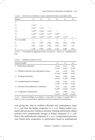| Factors          | F1             | F2        | F3        | F <sub>4</sub> | F <sub>5</sub> | F6           |
|------------------|----------------|-----------|-----------|----------------|----------------|--------------|
| F1               |                |           |           |                |                |              |
| F2               | $0.314***$     |           |           |                |                |              |
| F <sub>3</sub>   | $0.477***$     | $0.252**$ |           |                |                |              |
| F <sub>4</sub>   | $0.508**$      | $0.464**$ | $0.410**$ |                |                |              |
| F <sub>5</sub>   | $0.478**$      | $0.464**$ | $0.320**$ | $0.481**$      |                |              |
| F6               | $0.305***$     | $0.346**$ | $0.216**$ | $0.431***$     | $0.411**$      |              |
| No. of variables | $\overline{4}$ | 4         | 3         | 5              | 3              | $\mathbf{2}$ |
| $\mathbf M$      | 3.472          | 3.005     | 3.599     | 3.298          | 3.404          | 3.089        |
| <b>SD</b>        | 0.874          | 0.906     | 0.831     | 0.837          | 0.830          | 1.113        |
| $\alpha$         | 0.740          | 0.666     | 0.642     | 0.743          | 0.666          | 0.612        |

table 6 Inter factor correlations, means, standard deviations and alpha values

NOTES  $*$  Correlation is significant at the 0.01 levels;  $M$  – mean,  $SD$  – standard deviation.

table 7 Summary results of anova

|                | Factors/variable<br>$\left( 1\right)$                   |                   |                  | (3)              |
|----------------|---------------------------------------------------------|-------------------|------------------|------------------|
|                | F1 Performance appraisal                                | 10.223<br>(0.002) | 0.001<br>(0.973) | 1.513<br>(0.220) |
|                | F2 Workforce diversity and contemporary issues          | 7.725<br>(0.006)  | 0.078<br>(0.780) | 6.801<br>(0.010) |
| F3             | Training and benefits                                   | 17.626<br>(0.000) | 0.883<br>(0.348) | 4.545<br>(0.034) |
| F <sub>4</sub> | HR planning and recruitment                             | 1.495<br>(0.223)  | 0.145<br>(0.704) | 2.210<br>(0.139) |
|                | F <sub>5</sub> Selection and socialization of employees | 0.502<br>(0.480)  | 3.455<br>(0.064) | 4.083<br>(0.045) |
| F6             | Competitive compensation                                | 8.151<br>(0.005)  | 4.866<br>(0.028) | 1.422<br>(0.234) |

notes Column headings are as follows: (1) type effect (*F*-value), (2) gender effect (*F*value), (3) two-way interactions. Significance levels are indicated in parentheses.

were giving due value to workforce diversity and contemporary issues  $(\bar{x} = 3.38)$  than the Indian companies ( $\bar{x} = 2.72$ ). Rather Indian companies did not practice workforce diversity. Training and benefits related practices were comparatively stronger in Indian companies ( $\bar{x}$  = 3.78) than in the multinational companies ( $\bar{x}$  = 3.37). Compensation practices were found more competitive or performance based in multinational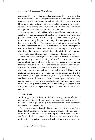companies ( $\bar{x}$  = 3.33) than in Indian companies ( $\bar{x}$  = 2.90). Further, the mean score of Indian companies showed that compensation practices were broadly based on seniority basis rather than competitive basis. However, both types of companies gave equal importance to HR practices related to hr planning and recruitment and selection and socialization of employees. Therefore, h1a and h2a were rejected.

According to the gender effect, only competitive compensation ( $p \leq$ 0.028) was found significantly different as between male and female employees/ executives. So,  $H5b$  was accepted. Male executives  $(\bar{x} = 3.19)$ were more accepting the practice of competitive compensation than the female executives ( $\bar{x}$  = 2.67). Further, male and female executives did not differ significantly on other hr practices i. e. performance appraisal, workforce diversity and contemporary issues, training and benefits, HR planning and recruitment, and selection and socialization of employees. These results caused the rejection of  $H1b$ ,  $H2b$ ,  $H3b$ ,  $H4b$ , and  $H6b$ .

Interactive effects were significant on workforce diversity and contemporary issues ( $p \le 0.010$ ), training and benefits ( $p \le 0.034$ ), selection and socialization of employees ( $p \le 0.045$ ). Cell means of table 8 showed that male executives ( $\bar{x}$  = 2.63) did not favor workforce diversity and contemporary issues as compared to female executives ( $\bar{x}$  = 3.06) in Indian companies, whereas male executives highly favored this practice in multinational companies ( $\bar{x}$  = 3.46). In case of training and benefits, both males ( $\bar{x}$  = 3.44) and females ( $\bar{x}$  = 3.00) received less training and benefits in multinational companies as compared to Indian companies. In case of selection and socialization of employees, female executives ( $\bar{x}$  = 3.82) perceived stronger than the males ( $\bar{x}$  = 3.25) in Indian companies, whereas both perceived equally in case of multinational companies.

### **Discussion**

Studies suggest that the insurance industry through risk transfer, financial intermediation, and employment can generate positive externalities and economic growth. hr plays a crucial role in service companies (Schneider and Bowen 1993).

In the present study, six derived factors have been further used. It was found that three factors i.e. 'performance appraisal,' 'selection and socialization of employees' and 'hr planning and recruitment' were moderately practiced in companies; 'performance appraisal' loaded significantly with HR practices such as well defined recruitment policy, reg-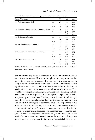| Factors/Variables                                             |    | $\left( 1\right)$ | (2)  | <b>GM</b> |
|---------------------------------------------------------------|----|-------------------|------|-----------|
| Performance appraisal<br>F1                                   | М  | 3.60              | 3.29 | 3.46      |
|                                                               | F  | 3.78              | 3.10 | 3.53      |
|                                                               | GM | 3.63              | 3.26 | 3.47      |
| Workforce diversity and contemporary issues<br>F <sub>2</sub> | M  | 2.63              | 3.43 | 2.99      |
|                                                               | F  | 3.06              | 3.08 | 3.07      |
|                                                               | GM | 2.72              | 3.38 | 3.00      |
| Training and benefits<br>F3                                   | М  | 3.74              | 3.44 | 3.60      |
|                                                               | F  | 3.91              | 3.00 | 3.58      |
|                                                               | GM | 3.78              | 3.37 | 3.60      |
| HR planning and recruitment<br>F4                             | M  | 3.28              | 3.32 | 3.30      |
|                                                               | F  | 3.45              | 3.04 | 3.30      |
|                                                               | GM | 3.32              | 3.28 | 3.30      |
| F5 Selection and socialization of employees                   | м  | 3.25              | 3.45 | 3.34      |
|                                                               | F  | 3.82              | 3.42 | 3.67      |
|                                                               | GM | 3.37              | 3.44 | 3.40      |
| Competitive compensation<br>F6                                | M  | 3.04              | 3.36 | 3.19      |
|                                                               | F  | 2.38              | 3.17 | 2.67      |
|                                                               | GM | 2.90              | 3.33 | 3.09      |

table 8 Summary of means and grand means for main scales (factors)

NOTES Column headings are as follows: (1) Indian, (2) multinational.  $M -$  male,  $F$ female, gm – grand mean.

ular performance appraisal, due weight to service performance, proper HR information system. This factor brought out the importance of due weight to service performance and proper hr information system in companies. The factor 'selection and socialization of employees' loaded significantly and positively with variables like selection on the basis of service attitude and competence and socialization of employees. Variables like regular job analysis, regular human resource planning, and emphasis on service employees in hr planning loaded highly on the factor 'hr planning and recruitment.' Indian companies were found stronger on performance appraisal practice than multinational companies. It was also found that both types of companies gave equal importance to hr practices related to HR planning and recruitment, and selection and socialization of employees. Performance management is a vehicle for the continuous improvement of business performance via a co-ordinate program of people management interventions (Walters 1995). The HRIS market has now grown significantly across the spectrum of organizational types (Ball 2001). An up-to-date and sophisticated global HRIS en-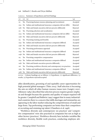| $\left( 1\right)$ | $\left( 2\right)$ | (3)                                                                            | (4)      |
|-------------------|-------------------|--------------------------------------------------------------------------------|----------|
| H1                | Yes               | Practicing human resource planning and recruitment                             | Accepted |
| H <sub>1</sub> a  | No.               | Indian and multinational insurance companies did not differ                    | Rejected |
| H1b               |                   | No Male and female executives did not perceive differently                     | Rejected |
| H2                |                   | Yes Practising selection and socialization                                     | Accepted |
|                   |                   | H <sub>2a</sub> No Indian and multinational insurance companies did not differ | Rejected |
|                   |                   | H <sub>2</sub> b No Male and female executives did not perceive differently    | Rejected |
| H <sub>3</sub>    |                   | Yes Practising training and benefits                                           | Accepted |
|                   |                   | нза Yes Indian and multinational insurance companies differed.                 | Accepted |
|                   |                   | н3b No Male and female executives did not perceive differently                 | Rejected |
| H <sub>4</sub>    |                   | Yes Practising performance appraisal                                           | Accepted |
|                   |                   | н4a Yes Indian and multinational insurance companies differed                  | Accepted |
|                   |                   | H4b No Male and female executives did not perceive differently                 | Rejected |
| H <sub>5</sub>    |                   | Yes Practising competitive compensation                                        | Accepted |
|                   |                   | H5a Yes Indian and multinational insurance companies differed                  | Accepted |
|                   |                   | H <sub>5</sub> b Yes Male and female executives perceive differently           | Accepted |
| н6                |                   | Yes Practising workforce diversity and contemporary HR practices               | Accepted |
|                   |                   | н 6a Yes Indian and multinational insurance companies differed                 | Accepted |
|                   |                   | н6b No Male and female executives did not perceive differently                 | Rejected |

table 9 Summary of hypothesis and brief findings

notes Column headings are as follows: (1) hypothesis, (2) significant difference, (3) results, (4) hypothesis rejected/accepted.

ables identification, grooming of and equitable career opportunities for high potential global managers (Thite 2004). Staff selection is becoming the axis on which all other human resource issues turn (Langtry 2001). Atkinson (1984) described that selection process requires greater emphasis and thought because the quantity and quality of output required will be greater. Campbell and Baldwin (1993) suggest that in many industrialized countries there is a concern that skills shortages and mismatches are appearing in the labor market reducing the competitiveness of small and large firms. Top performing companies are better than their competitors at recruiting and retaining top talent (Chambers et al. 1998).

'Workforce diversity and contemporary hr practices' and 'competitive compensation' were also practised in companies but not as high as other factors (practices). Workforce diversity here includes variables like workforce diversity, flexible work practices, conducting employee atti-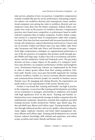tude surveys, adoption of new hr practices. Competitive compensation includes variables like pay for service performance and paying competitive salaries. On workforce diversity and contemporary issues, multinational companies were giving due value to workforce diversity and contemporary issues than were the Indian companies. Indeed, Indian companies were weak on the practice of workforce diversity. Compensation practices were found more competitive or performance based in multinational companies than in Indian companies. Further, Indian companies turned to a seniority basis of compensation rather than competitive basis. Flexi time has been associated with increased productivity and morale, job satisfaction, reduced absenteeism and turnover, truancy and use of overtime (Dalton and Mesch 1990; Guy 1993; Mellor 1986; Swart 1985; Narayanan and Nath 1982; Pierce and Newstrom 1983). Comparatively high compensation contingent on organizational performance is one of the key practices of companies that produce profit through people (Pfeffer and Veiga 1999). It plays a key role in recruitment, job performance, and job satisfaction (Jyothi and Venkatesh 2006). The pay policy decision can have a major impact on the quality of a company's workforce and, therefore, on company's performance (Dreher and Dougherty 2005). Performance-based pay schemes are implemented by the firms in order to induce greater efforts from their existing workforce (Gibbons 1998). Kundu (2003; 2004) gave favourable arguments for creating a diverse workforce. Further, in a service economy effective interactions and communications between people are essential to business success (Kundu 2003). By managing and valuing diversity, the organization can justify itself as a true representative of the society (Kundu 2001).

Further, it was found that 'training and benefits' was high in practice in the companies. hr practices like training and development, providing service orientation to managers, and benefits to employees were loaded with high significance level on this factor. 'Training and benefits' related practices were comparatively stronger in Indian companies than the multinational companies. Researches conclude that employer-provided training increases worker productivity (Holzer 1990; Bartel 1994; Pindus and Isbell 1997; Bloom and LaFleur 1999). Training benefits companies through enhanced product and service quality, reduced production waste, higher employee retention and better labor-management relations (Bloom and LaFleur 1999). Training and development are a morale booster, enhance knowledge, skill, attitude and experience, and reduce scraps, accidents and wastes (Kundu and Kumar 2006).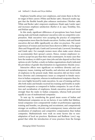Employee benefits attract new employees, and retain them in the latter stages of their careers (White and Becker 1980). Research results suggest that the flexible benefit plan enhances motivation (Werther 1986; White and Becker 1980) empowers employees (Kauk 1996; Lawler 1990) and increases employee satisfaction (Barber et al. 1992; Tremblay, Sire, and Pelchat 1998).

In this study, significant differences of perceptions have been found among male and female employees/ executives only on competitive compensation. Male executives were accepting the practice of competitive compensation more than the female executives. Further, male and female executives did not differ significantly on other hr practices. The career experiences of women and men have been shown to differ to some degree (Betz and Fitzgerald 1987; Gutek and Larwood 1987; Larwood, Stromberg and Gutek 1985). For example women more often make career choices to accommodate their spouse's careers. Hence, women employees/ executives accept less pay than their male counterparts. In many cases they have the tendency to shift to part-time jobs and also depend on flexi time options on job. Further, a study on Indian organizations clearly indicated the prevalence of gender discrimination in organizations (Kundu 2003).

Interactive effects were significant on workforce diversity and contemporary issues, training and benefits, and selection and socialization of employees in the present study. Male executives did not favor workforce diversity and contemporary issues as compared to female executives in Indian companies, whereas in multinational companies these factors were highly favored by male executives. In case of training and benefits both males and females received less training and benefits in multinational companies as compared to Indian companies. In case of selection and socialization of employees, female executives perceived more strongly than the males in Indian companies, whereas both perceived equally in case of multinational companies.

To sum up, by considering the grand mean scores of Indian and Multinational companies on six hr factors, it was visible that Multinational companies were comparatively weaker on performance appraisal, training and benefits, HR planning and recruitment, and comparatively stronger on workforce diversity and contemporary issues, selection and socialization of employees and competitive compensation than Indian companies. Multinationals were weak on some factors due to nonadaptation of local HR practices. Bjorkman and Budhwar (2007) suggested that while the introduction of  $HRM$  practices from the foreign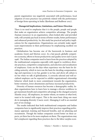parent organization was negatively associated with performance, local adaption of HRM practices was positively related with the performance of foreign firms operating in India (Bjorkman and Budhwar 2007).

#### **Managerial Implications, Limitations, and Future Direction**

There is no need to emphasise that it is the people, people and people that make an organization achieve competitive advantage. The people (human resources) in an organization, when looked after and provided with, will certainly pay back in terms of better results, better performance and enhanced productivity. So, this study has practical and policy implications for the organizations. Organizations can certainly make significant improvements to their performance by emphasizing excellent hr practices.

Globalization has become one of the buzzwords in business and academia (Joynt and Morton 2005). In a fast-paced, globally competitive economy, efforts to boost productivity and quality never end (Cascio 1998). The Indian companies need to learn from the practices adopted by the multinational companies especially with regard to workforce diversity practices, competitive compensation, and selection and socialization of employees. Gone are the days when experience was the basis for deciding seniority, which in turn was the basis for deciding compensation. Age and experience is no bar, gender is no bar, and above all culture is no bar when we talk of globalization. A correctly selected and well socialized employee can be expected to exhibit organizational citizenship behavior which leads to more commitment towards the organization, better retention, lower absenteeism and hence increased productivity.

Diversity of human resources has become a demographic reality. Indian organizations have to learn how to manage a diverse workforce to get maximum benefit and competitive advantage in the changed scenario (Kundu 2004). All employees, no matter whom, no matter at what level, want to be treated with respect. This is the most basic thing one must do in managing diversity (Cascio 2006). Managing it well is an essential part of hr strategy.

The results indicated that both multinational companies and Indian companies have to significantly improve their practices regarding performance appraisal, training and financial benefits, and HR planning and recruitment. Though the Indian companies scored better on these aspects, yet there has to be more emphasis on them. The organizations may feel complacent regarding these practices due to the labor surplus econ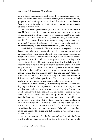omy of India. Organizations must enrich the hr practices, such as performance appraisal in terms of service delivery, service oriented training programs, and service performance based financial and other benefits. Service organizations should plan to attract employees having a service attitude and orientation.

There has been a phenomenal growth in service industries (Bateson and Hoffman 1999). Services are human resource intensive businesses. To gain competitive advantage, service organizations ought to lay greater emphasis on human resource management practices, as has been indicated in the results of this study on insurance companies (service organizations). A strategy that focuses on the human side can be an effective way for competing in the current environment (Verma 2000).

A well-defined framework of human resource management practices benefits not only the organization but also the employee. HR policies of an organization benefit the employee by providing better opportunities for growth in terms of better compensation, benefits, training and development opportunities, and career management, in turn leading to jobsatisfaction and self-fulfillment. Further, this study will be helpful for the organizations to develop intrapreneurship/ corporate entrepreneurship. Organizations can cultivate corporate entrepreneurship (entrepreneurship of the whole staff) to enhance corporate innovation and performance (Chen, Zhu and Anquan 2005). Lee and Peterson's (2000) research reveals that a culture with a strong entrepreneurial orientation is important to global competitiveness. This is contingent on the high performing hr practices being implemented in organizations.

Despite the different sources, different timing of data collection, and high alpha values of data, a potential limitation of this study was that the data were collected by using same construct (using self-completion questionnaires) with same method. The relationships among the variables and sub-scales could be influenced by common method variance. Podsakoff and Organ (1986) recommend that researchers should at least report results from a test of single-factor hypothesis as an explanation of inter-correlation of the variables. Harman's one-factor test on the hr practices construct showed that the first factor accounted for only 29.096% of the covariance among measures (Podsakoff et al. 2003; Podsakoff and Organ 1986), suggesting that common method variance is not a severe issue.

Another limitation was that the data were collected from Indian bases, which could have been collected from the wider area. The study could,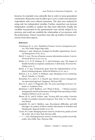however, be extended cross culturally that in order to more generalized conclusions. Researches may be taken up to cover a wider area and more respondents with cross cultural extensions. The data were analyzed by using only two independent variables. Further, researchers can increase independent variables to analyze the data more effectively. Finally, the variables incorporated in the questionnaire were strictly related to hr practices and could not establish the relationship of hr practices with the performance. Future researchers may take up studies on human resources from these aspects.

#### **References**

- Armstrong, M. A. 2005. *Handbook of human resource management practice.* New Delhi: Kogan Page India.
- Atkinson, J. 1984. Manpower strategies for flexible organizations. *Personnel Management* 16 (8): 28–31.
- Ball, K. S. 2001. The use of human resource information systems: A survey. *Personnel Review* 30 (6): 677–93.
- Barber, A. E., R. B. Dunham, R. A. and Formisano. 1992. The impact of flexible benefits on employee satisfaction: A field study. *Personnel Psychology* 45:55–75.
- Bartel, A. P. 1994. Productivity gains from the implementation of employee training programs. *Industrial Relations* 33 (4): 441–5.
- Bateson, J. E. G., and K. D. Hoffman. 1999. *Managing services marketing.* 4th ed. Orlando, FL: Dryden.
- Bernardin, H. J., and J. E. A. Russell. 1993. *Human resource management: An experiential approach.* Singapore: McGraw-Hill.
- Betz, N. E., and L. F. Fitzgerald. 1987. *The career psychology of women.* Orlando, FL: Academic Press.
- Bjorkman, I. and P. Budhwar. 2007. When in Rome . . . ? Human resource management and the performance of foreign firms operating in India. *Employee Relations* 29 (6): 595–610.
- Bloom, M. R., and B. LaFleur. 1999. *Turning skills into profits: Economic benefits of workplace education programs.* New York, ny: The Conference Board.
- Campbell, M., and S. Baldwin. 1993. Recruitment difficulties and skill shortages: An analysis of labour market information in Yorkshire and Humberside. *Regional Studies* 27:271–80.
- Cascio, W. F. 1998. *Managing human resources: Productivity, quality of work life, profits.* 5th ed. New York: McGraw-Hill.

———. 2006. *Managing human resources: Productivity, quality of work life, profits.* New Delhi: Tata / McGraw-Hill.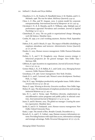- Chambers, E. G., M. Foulon, H. Handfield-Jones, S. M. Hankin, and E. G. Michaels. 1998. The war for talent. *McKinsey Quarterly* 3:44–57.
- Chen, J., Z. Zhu, and W. Anquan. 2005. A system model for corporate entrepreneurship. *International Journal of Manpower* 26 (6): 529–43.
- Cleveland, J. N., K. R. Murphy, and R. E. Williams. 1989. Multiple uses of performance appraisal: Prevalence and correlates. *Journal of Applied Psychology* 74 (1): 130–5.
- Clutterbuck, D. 2004. *The* hr *guide to organizational change: Managing work-life balance.* Mumbai: Jaico.
- Conlin, M. 1999. 9 to 5 isn't working anymore. *Business Week,* September 20.
- Dalton, D. R., and D. Mesch, D. 1990. The impact of flexible scheduling on employee attendance and turnover. *Administrative Science Quarterly* 35 (2): 370–87.
- Dessler, G. 2003. *Human resource management.* Delhi: Pearson Education Asia.
- Dreher, G. F., and T. W. Dougherty. *2005. Human resource strategy: A behavioral perspective for the general manager.* New Delhi: Tata / McGraw-Hill.
- Gibbons, R. 1998. Incentives in organizations. *Journal of Economic Perspectives* 12 (4): 115–32.
- Gomez-Mejia, L. R., D. B. Balkin, R. L. and Cardy. 2003. *Managing human resources.* Delhi: Pearson Education.
- Greenhaus, J. H. 1987. *Career management.* New York: Dryden.
- Gutek, B. A., and L. Larwood. 1987. *Women's career development.* Newbury Park, ca: Sage.
- Guy, M. E. 1993. Workplace productivity and gender issues. *Public Administration Review* 53 (3): 282–97.
- Hayes, E. 1999. *Winning at diversity: Executive excellence.* New Delhi: Sage.
- Holzer, H. 1990. The determinants of employee productivity and earnings. *Industrial Relations* 29 (3): 403–22.
- Jain, H. C., and A. Verma. 1996. Workforce diversity, employment equity/affirmative action programs and public policy in selected countries. *International Journal of Manpower* 17 (4–5): 14–29.
- Joynt, P., and B. Morton. 2005. *The global* hr *manager: Creating the seamless organization.* Mumbai: Jaico.
- Jyothi, P., and D. N. Venkatesh. 2006. *Human resource management.* New Delhi: Oxford University Press.
- Kauk, J. 1996. The stretch of flex. *Benefits Canada,* December:61–4.
- Kovach, K. A., and C. E. Cathart. 1999. Human resource information systems: Providing business with rapid data access, information exchange and strategic advantage. *Public Personnel Management* 28 (2): 275–82.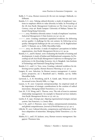- Kulik, C. T. 2004. *Human resources for the non-*hr *manager.* Mahwah, nj: Erlbaum.
- Kundu, S. C. 2001. Valuing cultural diversity: a study of employees' reactions to employer efforts to value diversity in India. In *Proceedings of the 7th Asia Pacific Management Conference on The Great Asia in 21st Century,* 2:635–46. Kuala Lumpur: University of Malaya; Tainan: National Cheng Kung University.
	- ———. 2003. Workforce diversity status: A study of employees' reactions. *Industrial Management & Data Systems* 103 (4): 215–26.
	- ———. 2000. Creating constituent capitalized workforce for delivering service quality: A challenge for the 21st century. In *Delivering service quality: Managerial challenges for the 21st century,* ed. M. Raghavachari and K. V. Ramani, 232–9. Delhi: Macmillan India.
	- ———. 2004. hr diversity: A study of employees' perceptions in Indian organizations. *Asia Pacific Management Review* 9 (1): 39–59.
- Kundu, S. C., and R. Kumar. 2006. Evaluating the benefits of training and development: A study of Indian and Multinational companies. In *Proceedings of 12th Asia Pacific Management Conference on Managing Competitiveness in the Knowledge Economy,* 760–8. Bangkok: Asia Institute of Technology and National Cheng Kung University.
- Kundu, S. C., and J. A. Vora. 2004. Creating a talented workforce for delivering service quality. *Human Resource Planning* 27 (2): 40–51.
- Langtry, R. 2001. Selection. In *Human resource management: A contemporary perspective,* ed. I. Beardwell and L. Holden, 230–63. Delhi: Macmillan India.
- Larwood, L., A. H. Stromberg, and B. A. Gutek. 1985. *Women and work: An annual review.* Beverly Hills, ca: Sage.
- Lassen, A. H. 2007. Corporate entrepreneurship: An empirical study of the importance of strategic considerations in the creation of radical innovation. *Managing Global Transitions* 5 (2): 109–31.
- Law, M., Y. H. Wong, and L. Theresa. 2005. The role of trust in customer relationship management: An example to financial services industry. *Asia Pacific Management Review* 10 (4): 267–74.
- Lawler, E. E. 1990. *Strategic pay: Aligning organizational strategies and pay systems.* San Francisco, ca: Jossey-Bass.
- Lee, S. M., and S. J. Peterson. 2000. Culture, entrepreneurial orientation, and global competitiveness. *Journal of World Business* 35 (4): 411–2.
- Lillevik, W. 2007. Cultural diversity, competencies and behaviour: Workforce adaptation of minorities. *Managing Global Transitions* 5 (1): 85– 102.
- Mathis, R. L., and J. H. Jackson. 2004. *Human resource management.* Singapore: Thomson Asia.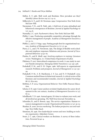- Mellor, E. F. 1986. Shift work and flexitime: How prevalent are they? *Monthly Labour Review* 109 (11): 14–21.
- Milkovich, G. T., and J. M. Newman. 1999. *Compensation.* New York: Irwin McGraw-Hill.
- Narayanan, V. K., and R. Nath. 1982. A field test of some attitudinal and behavioral consequences of flexitime. *Journal of Applied Psychology* 67  $(2): 214 - 8.$
- Nunnally, J. C. 1978. *Psychometric theory.* New York: McGraw Hill.
- Pfeffer, J. 1995. Producing sustainable competitive advantage through the effective management of people. *Academy of Management Executive* 9  $(1): 55 - 72.$
- Pfeffer, J., and J. F. Veiga. 1999. Putting people first for organizational success. *Academy of Management Executive* 13 (2): 37–49.
- Pierce, J. L., and J. W. Newstrom. 1983. The design of flexible work schedules and employee responses: Relations and process. *Journal of Occupational Behaviour* 4:247–62.
- Pindus, N., and K. Isbell. 1997. *Involving employers in training: Literature* review. Washington, DC: United States Department of Labor.
- Pitkänen, P. 2007. Intercultural competence in work: A case study in eastern Finnish enterprises. *Managing Global Transitions* 5 (4): 391–408.
- Podsakoff, P. M., and D. W. Organ. 1986. Self-reports in organizational research: Problems and prospects. *Journal of Management* 12 (4): 531– 44.
- Podsakoff, P. M., S. B. MacKenzie, J. Y. Lee, and N. P. Podsakoff. 2003. Common method biases in behavioral research: A critical review of the literature and recommended remedies. *Journal of Applied Psychology* 88 (5): 879–903.
- Robbins, S. P. 2004. *Organizational Behavior.* New Delhi: Pearson Education.
- Schein, E. H. 1996. Career anchors revisited: Implications for career development in the 21st century. *Academy of Management Executive* 10 (4): 80–9.
- Schellhardt, T. D. 1996. Annual agony: It's time to evaluate your work, and all involved are groaning. *The Wall Street Journal,* November 19.
- Schneider, B., and D. Bowen. 1993. The service organization: Human resources management is crucial. *Organizational Dynamics* 21 (4): 39–52.
- Shanker, R. 2006. *Services marketing: The Indian perspective; text and readings.* New Delhi: Excel.
- Simmons, M. 1996. *New leadership for women and men: building an inclusive organization.* Aldershot: Gower.
- Swart, J. C. 1985. Clerical workers on flexitime: A survey of three industries. *Personnel* 62:40–4.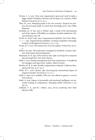- Terrisse, S. A. 2001. Does your organization's gene pool need to make a bigger splash? Workplace diversity and its impact on creativity. *Public Relations Quarterly* 46 (1): 30–2.
- Thite, M. 2004. *Managing people in the new economy: Targeted* hr *practices that persuade people to unlock their knowledge power.* New Delhi: Response.
- Tremblay, M., B. Sire, and A. Pelchat. 1998. A study of the determinants and of the impact of flexibility on employee benefits satisfaction. *Human Relations* 1:667–88.
- Ulrich, D., and D. Lake. 1990. *Organizational capability.* New York: Wiley. ———. 1991. Organizational capability: Creating competitive advantage. *Academy of Management Executive* 5 (1): 77–92.
- Verma, H. V. 2000. The human face of service quality. *Productivity* 41:121– 9.
- Walters, M. 1995. *The performance management handbook.* London: Institute of Personnel and Development.
- Waterman, R. H. 1994. *What America does right: Learning from companies that put people first.* New York: Norton.
- Webb, J. 2004. Putting management back into performance: A handbook for managers and supervisors. Sydney: Allen & Unwin.
- Werther, W. B., Jr. 1986. Flexible compensation evaluated. *California Management Review* 19 (1): 40–6.
- White, W. L., and J. Becker. 1980. Increasing the motivational impact of employee benefits. *Personnel* 57 (1): 32–7.
- Wolfe, S. 1998. HRIS usability: Why you can't afford to ignore it. IHIRIM *Link,* January.
- Zadel, A. 2006. Impact of personality and emotional intelligence on successful training in competences. *Managing Global Transitions* 4 (4): 363–76.
- Zeithaml, V. A., and M. J. Bitner. 2004. *Service marketing.* New York: McGraw-Hill.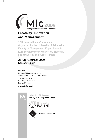

# **Creativity, Innovation and Management**

**10th International Conference Organised by the University of Primorska, Faculty of Management Koper, Slovenia, Euro-Mediterranean University, Slovenia, and University of Sousse, Tunisia**

# **25–28 November 2009 Sousse, Tunisia**

### **Contact**

Faculty of Management Koper<br>Cankarjeva 5, SI-6104 Koper, Slovenia

 $T_1 + 386556102012$  $F: +38656102015$ E: mic@fm-kp.si

E: mic@fm-kp.si **www.mic.fm-kp.si**



**University of Primorska Faculty of Management Koper**





**University of Sousse**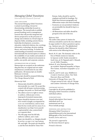## *Managing Global Transitions*

*International Research Journal*

#### aims and scope

The journal *Managing Global Transitions* is aimed at providing a forum for disseminating scholarship focused on transitions. The journal seeks to publish ground breaking work in management research that will provide integrated and diverse perspectives on the processes of change and evolution in a broad range of disparate fields, including systems theory, leadership development, economics, education, industrial relations, law, sociology, informatics, technology, decision-making theory, and action learning. To further the understanding of transition environments internationally the journal aspires to enhance the availability of case studies and analysis of data from different cultural environments in public, non-profit, and corporate contexts.

#### information for authors

Manuscripts are accepted on the understanding that they are original and not under simultaneous consideration by any other publication. All manuscripts are doubleblind peer reviewed.

Manuscripts should be prepared following *The Chicago Manual of Style.*

#### *Manuscript Style*

- Manuscripts should be submitted electronically via e-mail. We accept files created with all major word processing packages, but prefer Ms Word and LATEX.
- The editors reserve to right to return to authors, without peer review, improperly formatted manuscripts.
- Papers should be between 5000 and 6000 words in length, accompanied by a 100–150-word abstract, and no more than five key words and two areas of JEL classification (see http://www.aeaweb .org/journal/jel\_class\_system.html) on a separate sheet.
- The title page must list full title, author(s) address, and e-mail.
- Paper size should be a4. Margins should be set for a 25 mm (1 in.) top, bottom, left, and right. The point size should be 12 and the font should be Times New

Roman. Italics should be used for emphasis and bold for headings. Put blank lines between paragraphs and differentiate major and minor headings.

- Footnotes are not permitted. Endnotes are permissible but should be kept to a minimum.
- All illustrations and tables should be grouped at the end of the text.

#### *Reference Style*

The author-date system of citation for references should be used in the text, followed by page number if a direct quotation is given, e.g., (Jackson 1979, 181). The alphabetized reference list should be titled 'References' with entries in the following format:

Beech, M. H. 1982. The domestic realm in the lives of Hindu women in Calcutta. In *Separate worlds: Studies of purdah in South Asia,* ed. H. Papanek and G. Minault, 110–38. Delhi: Chanakya.

Jackson, R. 1979. Running down the up-escalator: Regional inequality in Papua New Guinea. *Australian Geographer* 14 (5): 175–84.

Lynd, R., and H. Lynd. 1929. *Middletown: A study in American culture.* New York: Harcourt, Brace and World.

University of Chicago Press. 2003. *The Chicago manual of style.* 15th ed. Chicago and London: University of Chicago Press.

#### copyright notice

Copyright for all articles published in *Managing Global Transitions* is held by individual authors.

#### subscriptions

Annual subscription (four issues): individual rate  $\epsilon$  39, institutional rate  $\epsilon$  49. Prices include postage.

indexing and abstracting *Managing Global Transitions* is indexed/abstracted in the International Bibliography of the Social Sciences, EconLit, Repec and DOAJ.

*The journal is supported by the Slovenian Research Agency. Printed in Slovenia*